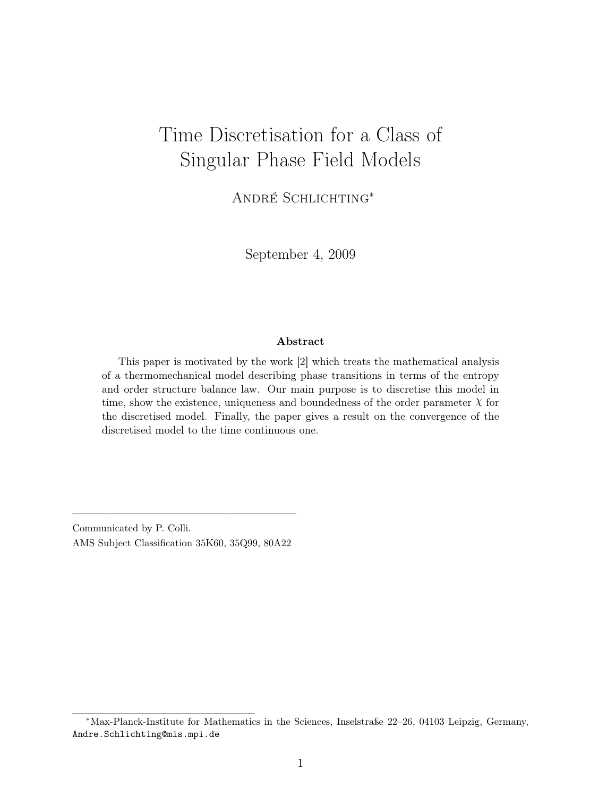# Time Discretisation for a Class of Singular Phase Field Models

André Schlichting<sup>∗</sup>

September 4, 2009

#### Abstract

This paper is motivated by the work [2] which treats the mathematical analysis of a thermomechanical model describing phase transitions in terms of the entropy and order structure balance law. Our main purpose is to discretise this model in time, show the existence, uniqueness and boundedness of the order parameter  $X$  for the discretised model. Finally, the paper gives a result on the convergence of the discretised model to the time continuous one.

Communicated by P. Colli. AMS Subject Classification 35K60, 35Q99, 80A22

———————————————————

<sup>∗</sup>Max-Planck-Institute for Mathematics in the Sciences, Inselstraße 22–26, 04103 Leipzig, Germany, Andre.Schlichting@mis.mpi.de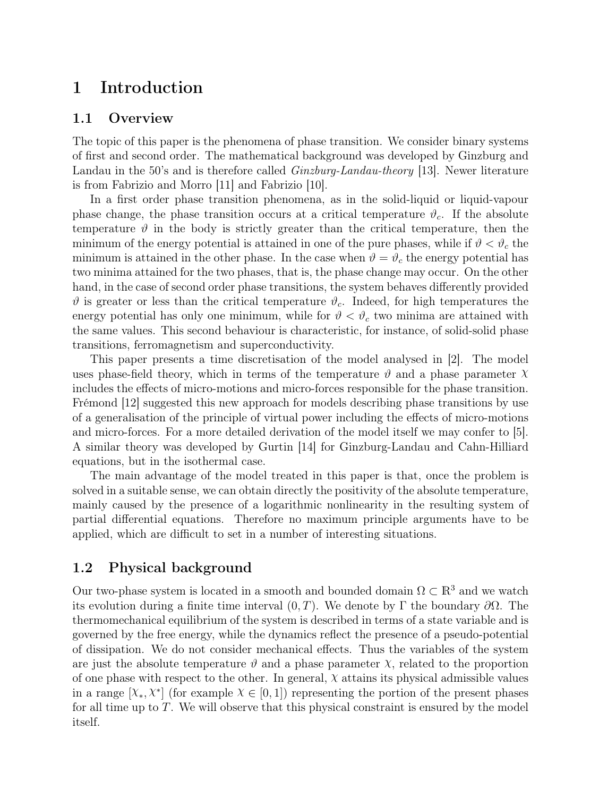# 1 Introduction

### 1.1 Overview

The topic of this paper is the phenomena of phase transition. We consider binary systems of first and second order. The mathematical background was developed by Ginzburg and Landau in the 50's and is therefore called *Ginzburg-Landau-theory* [13]. Newer literature is from Fabrizio and Morro [11] and Fabrizio [10].

In a first order phase transition phenomena, as in the solid-liquid or liquid-vapour phase change, the phase transition occurs at a critical temperature  $\vartheta_c$ . If the absolute temperature  $\vartheta$  in the body is strictly greater than the critical temperature, then the minimum of the energy potential is attained in one of the pure phases, while if  $\vartheta < \vartheta_c$  the minimum is attained in the other phase. In the case when  $\vartheta = \vartheta_c$  the energy potential has two minima attained for the two phases, that is, the phase change may occur. On the other hand, in the case of second order phase transitions, the system behaves differently provided  $\vartheta$  is greater or less than the critical temperature  $\vartheta_c$ . Indeed, for high temperatures the energy potential has only one minimum, while for  $\vartheta < \vartheta_c$  two minima are attained with the same values. This second behaviour is characteristic, for instance, of solid-solid phase transitions, ferromagnetism and superconductivity.

This paper presents a time discretisation of the model analysed in [2]. The model uses phase-field theory, which in terms of the temperature  $\vartheta$  and a phase parameter  $\chi$ includes the effects of micro-motions and micro-forces responsible for the phase transition. Frémond [12] suggested this new approach for models describing phase transitions by use of a generalisation of the principle of virtual power including the effects of micro-motions and micro-forces. For a more detailed derivation of the model itself we may confer to [5]. A similar theory was developed by Gurtin [14] for Ginzburg-Landau and Cahn-Hilliard equations, but in the isothermal case.

The main advantage of the model treated in this paper is that, once the problem is solved in a suitable sense, we can obtain directly the positivity of the absolute temperature, mainly caused by the presence of a logarithmic nonlinearity in the resulting system of partial differential equations. Therefore no maximum principle arguments have to be applied, which are difficult to set in a number of interesting situations.

### 1.2 Physical background

Our two-phase system is located in a smooth and bounded domain  $\Omega \subset \mathbb{R}^3$  and we watch its evolution during a finite time interval  $(0, T)$ . We denote by Γ the boundary  $\partial \Omega$ . The thermomechanical equilibrium of the system is described in terms of a state variable and is governed by the free energy, while the dynamics reflect the presence of a pseudo-potential of dissipation. We do not consider mechanical effects. Thus the variables of the system are just the absolute temperature  $\vartheta$  and a phase parameter  $\chi$ , related to the proportion of one phase with respect to the other. In general,  $\chi$  attains its physical admissible values in a range  $[\chi_*, \chi^*]$  (for example  $\chi \in [0, 1]$ ) representing the portion of the present phases for all time up to  $T$ . We will observe that this physical constraint is ensured by the model itself.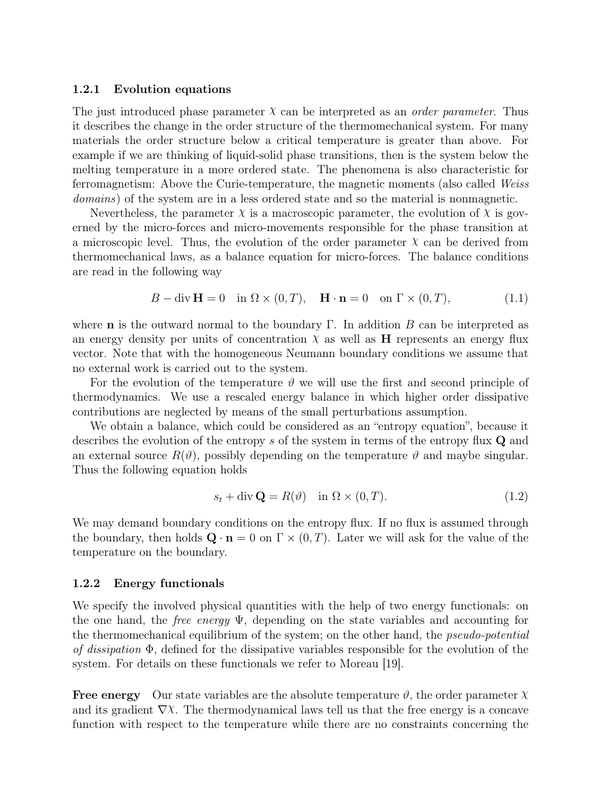#### 1.2.1 Evolution equations

The just introduced phase parameter  $\chi$  can be interpreted as an *order parameter*. Thus it describes the change in the order structure of the thermomechanical system. For many materials the order structure below a critical temperature is greater than above. For example if we are thinking of liquid-solid phase transitions, then is the system below the melting temperature in a more ordered state. The phenomena is also characteristic for ferromagnetism: Above the Curie-temperature, the magnetic moments (also called Weiss domains) of the system are in a less ordered state and so the material is nonmagnetic.

Nevertheless, the parameter  $\chi$  is a macroscopic parameter, the evolution of  $\chi$  is governed by the micro-forces and micro-movements responsible for the phase transition at a microscopic level. Thus, the evolution of the order parameter  $\chi$  can be derived from thermomechanical laws, as a balance equation for micro-forces. The balance conditions are read in the following way

$$
B - \operatorname{div} \mathbf{H} = 0 \quad \text{in } \Omega \times (0, T), \quad \mathbf{H} \cdot \mathbf{n} = 0 \quad \text{on } \Gamma \times (0, T), \tag{1.1}
$$

where **n** is the outward normal to the boundary Γ. In addition B can be interpreted as an energy density per units of concentration  $\chi$  as well as **H** represents an energy flux vector. Note that with the homogeneous Neumann boundary conditions we assume that no external work is carried out to the system.

For the evolution of the temperature  $\vartheta$  we will use the first and second principle of thermodynamics. We use a rescaled energy balance in which higher order dissipative contributions are neglected by means of the small perturbations assumption.

We obtain a balance, which could be considered as an "entropy equation", because it describes the evolution of the entropy s of the system in terms of the entropy flux Q and an external source  $R(\vartheta)$ , possibly depending on the temperature  $\vartheta$  and maybe singular. Thus the following equation holds

$$
s_t + \operatorname{div} \mathbf{Q} = R(\vartheta) \quad \text{in } \Omega \times (0, T). \tag{1.2}
$$

We may demand boundary conditions on the entropy flux. If no flux is assumed through the boundary, then holds  $\mathbf{Q} \cdot \mathbf{n} = 0$  on  $\Gamma \times (0,T)$ . Later we will ask for the value of the temperature on the boundary.

### 1.2.2 Energy functionals

We specify the involved physical quantities with the help of two energy functionals: on the one hand, the *free energy*  $\Psi$ , depending on the state variables and accounting for the thermomechanical equilibrium of the system; on the other hand, the *pseudo-potential* of dissipation  $\Phi$ , defined for the dissipative variables responsible for the evolution of the system. For details on these functionals we refer to Moreau [19].

**Free energy** Our state variables are the absolute temperature  $\vartheta$ , the order parameter  $\chi$ and its gradient  $\nabla \chi$ . The thermodynamical laws tell us that the free energy is a concave function with respect to the temperature while there are no constraints concerning the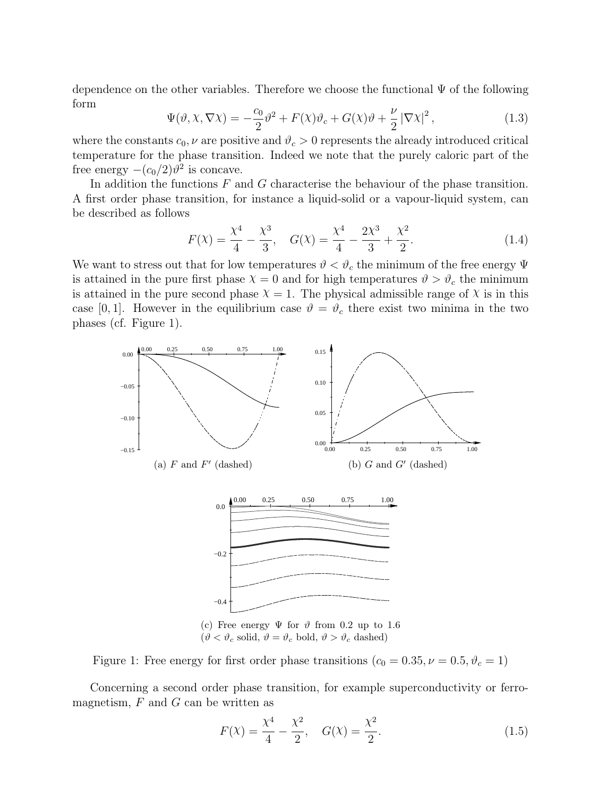dependence on the other variables. Therefore we choose the functional  $\Psi$  of the following form

$$
\Psi(\vartheta, \chi, \nabla \chi) = -\frac{c_0}{2} \vartheta^2 + F(\chi)\vartheta_c + G(\chi)\vartheta + \frac{\nu}{2} |\nabla \chi|^2, \qquad (1.3)
$$

where the constants  $c_0$ ,  $\nu$  are positive and  $\vartheta_c > 0$  represents the already introduced critical temperature for the phase transition. Indeed we note that the purely caloric part of the free energy  $-(c_0/2)\vartheta^2$  is concave.

In addition the functions  $F$  and  $G$  characterise the behaviour of the phase transition. A first order phase transition, for instance a liquid-solid or a vapour-liquid system, can be described as follows

$$
F(\chi) = \frac{\chi^4}{4} - \frac{\chi^3}{3}, \quad G(\chi) = \frac{\chi^4}{4} - \frac{2\chi^3}{3} + \frac{\chi^2}{2}.
$$
 (1.4)

We want to stress out that for low temperatures  $\vartheta < \vartheta_c$  the minimum of the free energy  $\Psi$ is attained in the pure first phase  $\chi = 0$  and for high temperatures  $\vartheta > \vartheta_c$  the minimum is attained in the pure second phase  $\chi = 1$ . The physical admissible range of  $\chi$  is in this case [0, 1]. However in the equilibrium case  $\vartheta = \vartheta_c$  there exist two minima in the two phases (cf. Figure 1).



Figure 1: Free energy for first order phase transitions  $(c_0 = 0.35, \nu = 0.5, \vartheta_c = 1)$ 

Concerning a second order phase transition, for example superconductivity or ferromagnetism,  $F$  and  $G$  can be written as

$$
F(\chi) = \frac{\chi^4}{4} - \frac{\chi^2}{2}, \quad G(\chi) = \frac{\chi^2}{2}.
$$
 (1.5)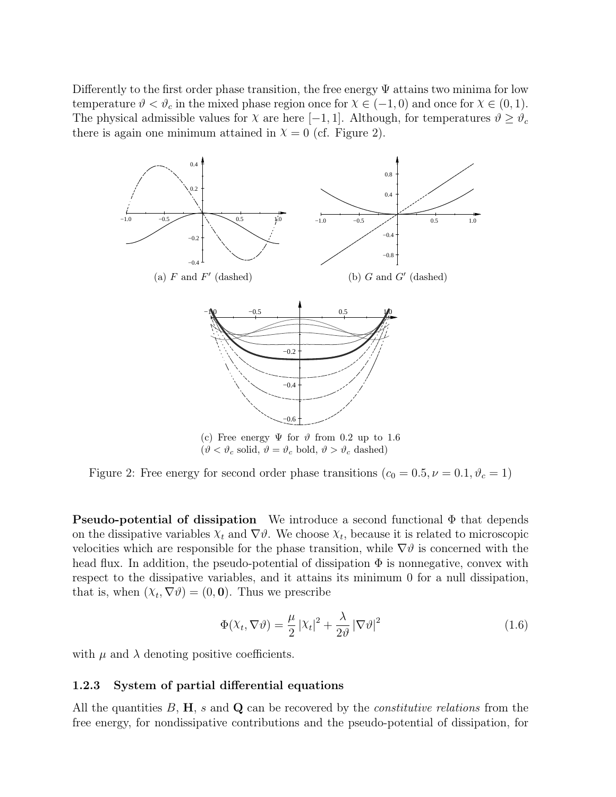Differently to the first order phase transition, the free energy  $\Psi$  attains two minima for low temperature  $\vartheta < \vartheta_c$  in the mixed phase region once for  $\chi \in (-1,0)$  and once for  $\chi \in (0,1)$ . The physical admissible values for  $\chi$  are here [−1, 1]. Although, for temperatures  $\vartheta \geq \vartheta_c$ there is again one minimum attained in  $\chi = 0$  (cf. Figure 2).



Figure 2: Free energy for second order phase transitions ( $c_0 = 0.5, \nu = 0.1, \vartheta_c = 1$ )

**Pseudo-potential of dissipation** We introduce a second functional  $\Phi$  that depends on the dissipative variables  $\chi_t$  and  $\nabla \vartheta$ . We choose  $\chi_t$ , because it is related to microscopic velocities which are responsible for the phase transition, while  $\nabla \vartheta$  is concerned with the head flux. In addition, the pseudo-potential of dissipation  $\Phi$  is nonnegative, convex with respect to the dissipative variables, and it attains its minimum 0 for a null dissipation, that is, when  $(X_t, \nabla \vartheta) = (0, 0)$ . Thus we prescribe

$$
\Phi(\chi_t, \nabla \vartheta) = \frac{\mu}{2} |\chi_t|^2 + \frac{\lambda}{2\vartheta} |\nabla \vartheta|^2
$$
\n(1.6)

with  $\mu$  and  $\lambda$  denoting positive coefficients.

### 1.2.3 System of partial differential equations

All the quantities  $B$ ,  $H$ , s and  $Q$  can be recovered by the *constitutive relations* from the free energy, for nondissipative contributions and the pseudo-potential of dissipation, for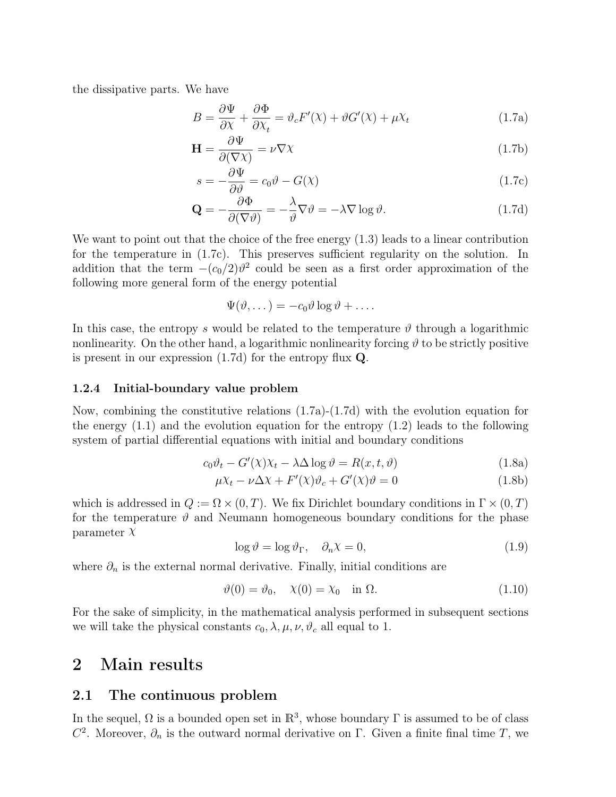the dissipative parts. We have

$$
B = \frac{\partial \Psi}{\partial X} + \frac{\partial \Phi}{\partial X_t} = \vartheta_c F'(\chi) + \vartheta G'(\chi) + \mu \chi_t \tag{1.7a}
$$

$$
\mathbf{H} = \frac{\partial \Psi}{\partial (\nabla \chi)} = \nu \nabla \chi \tag{1.7b}
$$

$$
s = -\frac{\partial \Psi}{\partial \vartheta} = c_0 \vartheta - G(\chi) \tag{1.7c}
$$

$$
\mathbf{Q} = -\frac{\partial \Phi}{\partial (\nabla \vartheta)} = -\frac{\lambda}{\vartheta} \nabla \vartheta = -\lambda \nabla \log \vartheta.
$$
 (1.7d)

We want to point out that the choice of the free energy  $(1.3)$  leads to a linear contribution for the temperature in (1.7c). This preserves sufficient regularity on the solution. In addition that the term  $-(c_0/2)\theta^2$  could be seen as a first order approximation of the following more general form of the energy potential

$$
\Psi(\vartheta,\dots) = -c_0 \vartheta \log \vartheta + \dots
$$

In this case, the entropy s would be related to the temperature  $\vartheta$  through a logarithmic nonlinearity. On the other hand, a logarithmic nonlinearity forcing  $\vartheta$  to be strictly positive is present in our expression (1.7d) for the entropy flux Q.

#### 1.2.4 Initial-boundary value problem

Now, combining the constitutive relations (1.7a)-(1.7d) with the evolution equation for the energy  $(1.1)$  and the evolution equation for the entropy  $(1.2)$  leads to the following system of partial differential equations with initial and boundary conditions

$$
c_0 \vartheta_t - G'(\chi)\chi_t - \lambda \Delta \log \vartheta = R(x, t, \vartheta)
$$
\n(1.8a)

$$
\mu X_t - \nu \Delta X + F'(\lambda)\vartheta_c + G'(\lambda)\vartheta = 0
$$
\n(1.8b)

which is addressed in  $Q := \Omega \times (0,T)$ . We fix Dirichlet boundary conditions in  $\Gamma \times (0,T)$ for the temperature  $\vartheta$  and Neumann homogeneous boundary conditions for the phase parameter  $\chi$ 

$$
\log \vartheta = \log \vartheta_{\Gamma}, \quad \partial_n \chi = 0,
$$
\n(1.9)

where  $\partial_n$  is the external normal derivative. Finally, initial conditions are

$$
\vartheta(0) = \vartheta_0, \quad \chi(0) = \chi_0 \quad \text{in } \Omega. \tag{1.10}
$$

For the sake of simplicity, in the mathematical analysis performed in subsequent sections we will take the physical constants  $c_0, \lambda, \mu, \nu, \vartheta_c$  all equal to 1.

# 2 Main results

### 2.1 The continuous problem

In the sequel,  $\Omega$  is a bounded open set in  $\mathbb{R}^3$ , whose boundary  $\Gamma$  is assumed to be of class  $C^2$ . Moreover,  $\partial_n$  is the outward normal derivative on  $\Gamma$ . Given a finite final time T, we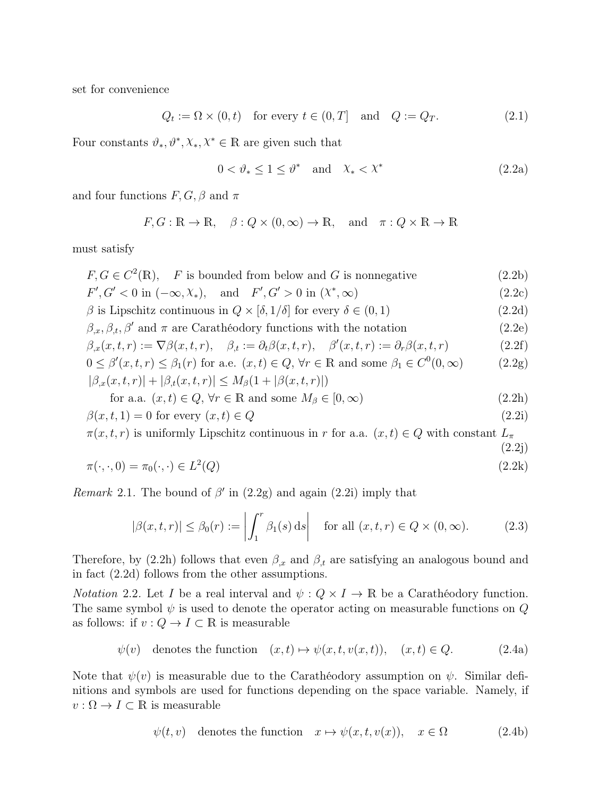set for convenience

$$
Q_t := \Omega \times (0, t) \quad \text{for every } t \in (0, T] \quad \text{and} \quad Q := Q_T. \tag{2.1}
$$

Four constants  $\vartheta_*, \vartheta^*, \chi_*, \chi^* \in \mathbb{R}$  are given such that

$$
0 < \vartheta_* \le 1 \le \vartheta^* \quad \text{and} \quad \chi_* < \chi^* \tag{2.2a}
$$

 $(2.2j)$ 

and four functions  $F, G, \beta$  and  $\pi$ 

$$
F, G : \mathbb{R} \to \mathbb{R}, \quad \beta : Q \times (0, \infty) \to \mathbb{R}, \text{ and } \pi : Q \times \mathbb{R} \to \mathbb{R}
$$

must satisfy

- $F, G \in C^2(\mathbb{R}), \quad F$  is bounded from below and G is nonnegative (2.2b)
- $F', G' < 0$  in  $(-\infty, \chi_*)$ , and  $F', G' > 0$  in  $(\chi^*)$  $(2.2c)$
- β is Lipschitz continuous in  $Q \times [δ, 1/δ]$  for every  $δ ∈ (0, 1)$  (2.2d)
- $\beta_x, \beta_t, \beta'$  and  $\pi$  are Carathéodory functions with the notation (2.2e)

$$
\beta_{,x}(x,t,r) := \nabla \beta(x,t,r), \quad \beta_{,t} := \partial_t \beta(x,t,r), \quad \beta'(x,t,r) := \partial_r \beta(x,t,r) \tag{2.2f}
$$

$$
0 \leq \beta'(x, t, r) \leq \beta_1(r) \text{ for a.e. } (x, t) \in Q, \forall r \in \mathbb{R} \text{ and some } \beta_1 \in C^0(0, \infty)
$$
  

$$
|\beta_{,x}(x, t, r)| + |\beta_{,t}(x, t, r)| \leq M_\beta(1 + |\beta(x, t, r)|)
$$
 (2.2g)

for a.a. 
$$
(x, t) \in Q
$$
,  $\forall r \in \mathbb{R}$  and some  $M_{\beta} \in [0, \infty)$  
$$
(2.2h)
$$

$$
\beta(x,t,1) = 0 \text{ for every } (x,t) \in Q \tag{2.2i}
$$

 $\pi(x, t, r)$  is uniformly Lipschitz continuous in r for a.a.  $(x, t) \in Q$  with constant  $L_{\pi}$ 

$$
\pi(\cdot,\cdot,0) = \pi_0(\cdot,\cdot) \in L^2(Q)
$$
\n
$$
(2.2k)
$$

Remark 2.1. The bound of  $\beta'$  in (2.2g) and again (2.2i) imply that

$$
|\beta(x,t,r)| \le \beta_0(r) := \left| \int_1^r \beta_1(s) \, ds \right| \quad \text{for all } (x,t,r) \in Q \times (0,\infty). \tag{2.3}
$$

Therefore, by (2.2h) follows that even  $\beta_x$  and  $\beta_t$  are satisfying an analogous bound and in fact (2.2d) follows from the other assumptions.

*Notation* 2.2. Let I be a real interval and  $\psi: Q \times I \to \mathbb{R}$  be a Carathéodory function. The same symbol  $\psi$  is used to denote the operator acting on measurable functions on  $Q$ as follows: if  $v: Q \to I \subset \mathbb{R}$  is measurable

$$
\psi(v)
$$
 denotes the function  $(x, t) \mapsto \psi(x, t, v(x, t)), (x, t) \in Q.$  (2.4a)

Note that  $\psi(v)$  is measurable due to the Carathéodory assumption on  $\psi$ . Similar definitions and symbols are used for functions depending on the space variable. Namely, if  $v : \Omega \to I \subset \mathbb{R}$  is measurable

$$
\psi(t, v)
$$
 denotes the function  $x \mapsto \psi(x, t, v(x))$ ,  $x \in \Omega$  (2.4b)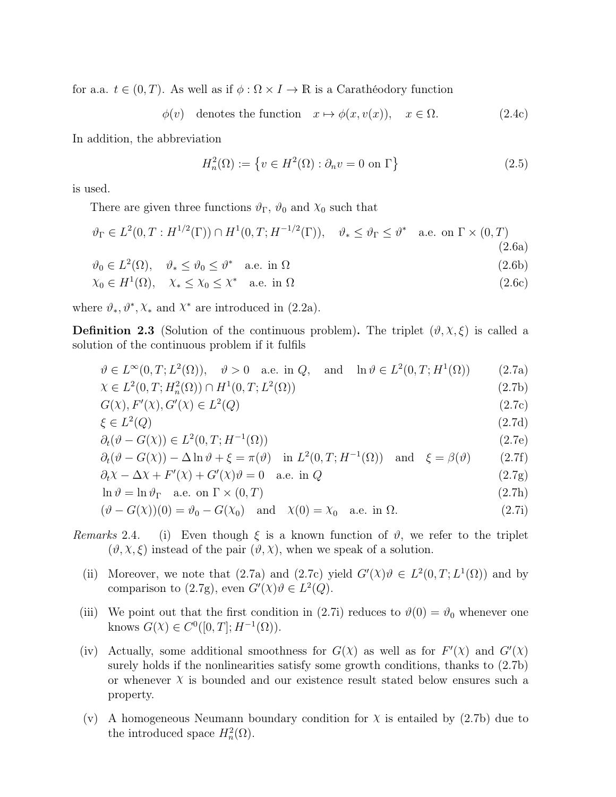for a.a.  $t \in (0, T)$ . As well as if  $\phi : \Omega \times I \to \mathbb{R}$  is a Carathéodory function

 $\phi(v)$  denotes the function  $x \mapsto \phi(x, v(x)), \quad x \in \Omega.$  (2.4c)

In addition, the abbreviation

$$
H_n^2(\Omega) := \left\{ v \in H^2(\Omega) : \partial_n v = 0 \text{ on } \Gamma \right\}
$$
 (2.5)

is used.

There are given three functions  $\vartheta_{\Gamma}$ ,  $\vartheta_0$  and  $\chi_0$  such that

$$
\vartheta_{\Gamma} \in L^{2}(0, T : H^{1/2}(\Gamma)) \cap H^{1}(0, T; H^{-1/2}(\Gamma)), \quad \vartheta_{*} \leq \vartheta_{\Gamma} \leq \vartheta^{*} \quad \text{a.e. on } \Gamma \times (0, T)
$$
\n(2.6a)

$$
\vartheta_0 \in L^2(\Omega), \quad \vartheta_* \le \vartheta_0 \le \vartheta^* \quad \text{a.e. in } \Omega
$$
  
\n
$$
\chi_0 \in H^1(\Omega), \quad \chi_* \le \chi_0 \le \chi^* \quad \text{a.e. in } \Omega
$$
  
\n(2.6c)

where  $\vartheta_*, \vartheta^*, \chi_*$  and  $\chi^*$  are introduced in (2.2a).

**Definition 2.3** (Solution of the continuous problem). The triplet  $(\vartheta, \chi, \xi)$  is called a solution of the continuous problem if it fulfils

$$
\vartheta \in L^{\infty}(0, T; L^{2}(\Omega)), \quad \vartheta > 0 \quad \text{a.e. in } Q, \quad \text{and} \quad \ln \vartheta \in L^{2}(0, T; H^{1}(\Omega)) \tag{2.7a}
$$

$$
\chi \in L^{2}(0, T; H_{n}^{2}(\Omega)) \cap H^{1}(0, T; L^{2}(\Omega))
$$
\n(2.7b)

$$
G(\mathcal{X}), F'(\mathcal{X}), G'(\mathcal{X}) \in L^2(Q)
$$
\n
$$
(2.7c)
$$

$$
\xi \in L^2(Q) \tag{2.7d}
$$

$$
\partial_t(\vartheta - G(\chi)) \in L^2(0, T; H^{-1}(\Omega))\tag{2.7e}
$$

$$
\partial_t(\vartheta - G(\chi)) - \Delta \ln \vartheta + \xi = \pi(\vartheta) \quad \text{in } L^2(0, T; H^{-1}(\Omega)) \quad \text{and} \quad \xi = \beta(\vartheta) \tag{2.7f}
$$

$$
\partial_t X - \Delta X + F'(X) + G'(X)\vartheta = 0 \quad \text{a.e. in } Q
$$
\n
$$
\ln \vartheta = \ln \vartheta_{\Gamma} \quad \text{a.e. on } \Gamma \times (0, T) \tag{2.7b}
$$

$$
\Pi v = \Pi v \Gamma \quad \text{a.e. on } \Gamma \times (0, 1) \tag{2.11}
$$
\n
$$
\Pi v = \Pi v \Gamma \quad \text{a.e. on } \Gamma \times (0, 1) \tag{2.12}
$$

$$
(\vartheta - G(\chi))(0) = \vartheta_0 - G(\chi_0) \quad \text{and} \quad \chi(0) = \chi_0 \quad \text{a.e. in } \Omega.
$$
 (2.7i)

- Remarks 2.4. (i) Even though  $\xi$  is a known function of  $\vartheta$ , we refer to the triplet  $(\vartheta, \chi, \xi)$  instead of the pair  $(\vartheta, \chi)$ , when we speak of a solution.
	- (ii) Moreover, we note that (2.7a) and (2.7c) yield  $G'(X)\theta \in L^2(0,T;L^1(\Omega))$  and by comparison to (2.7g), even  $G'(\chi)\vartheta \in L^2(Q)$ .
	- (iii) We point out that the first condition in (2.7i) reduces to  $\vartheta(0) = \vartheta_0$  whenever one knows  $G(\mathcal{X}) \in C^0([0,T]; H^{-1}(\Omega)).$
	- (iv) Actually, some additional smoothness for  $G(\chi)$  as well as for  $F'(\chi)$  and  $G'(\chi)$ surely holds if the nonlinearities satisfy some growth conditions, thanks to (2.7b) or whenever  $\chi$  is bounded and our existence result stated below ensures such a property.
	- (v) A homogeneous Neumann boundary condition for  $\chi$  is entailed by (2.7b) due to the introduced space  $H_n^2(\Omega)$ .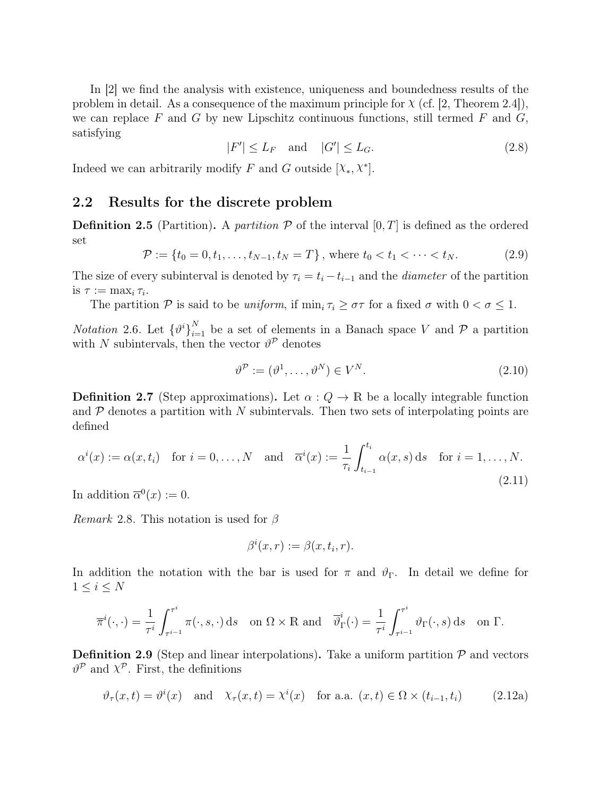In [2] we find the analysis with existence, uniqueness and boundedness results of the problem in detail. As a consequence of the maximum principle for  $\chi$  (cf. [2, Theorem 2.4]), we can replace F and G by new Lipschitz continuous functions, still termed F and  $G$ , satisfying

$$
|F'| \le L_F \quad \text{and} \quad |G'| \le L_G. \tag{2.8}
$$

Indeed we can arbitrarily modify F and G outside  $[\chi_*, \chi^*]$ .

### 2.2 Results for the discrete problem

**Definition 2.5** (Partition). A partition  $\mathcal P$  of the interval  $[0, T]$  is defined as the ordered set

$$
\mathcal{P} := \{ t_0 = 0, t_1, \dots, t_{N-1}, t_N = T \}, \text{ where } t_0 < t_1 < \dots < t_N. \tag{2.9}
$$

The size of every subinterval is denoted by  $\tau_i = t_i - t_{i-1}$  and the *diameter* of the partition is  $\tau := \max_i \tau_i$ .

The partition P is said to be *uniform*, if  $\min_i \tau_i \geq \sigma \tau$  for a fixed  $\sigma$  with  $0 < \sigma \leq 1$ .

*Notation* 2.6. Let  $\{\vartheta^i\}_{i=1}^N$  be a set of elements in a Banach space V and P a partition with N subintervals, then the vector  $\vartheta^{\mathcal{P}}$  denotes

$$
\vartheta^{\mathcal{P}} := (\vartheta^1, \dots, \vartheta^N) \in V^N. \tag{2.10}
$$

**Definition 2.7** (Step approximations). Let  $\alpha: Q \to \mathbb{R}$  be a locally integrable function and  $\mathcal P$  denotes a partition with N subintervals. Then two sets of interpolating points are defined

$$
\alpha^{i}(x) := \alpha(x, t_{i}) \quad \text{for } i = 0, \dots, N \quad \text{and} \quad \overline{\alpha}^{i}(x) := \frac{1}{\tau_{i}} \int_{t_{i-1}}^{t_{i}} \alpha(x, s) \, ds \quad \text{for } i = 1, \dots, N. \tag{2.11}
$$

In addition  $\overline{\alpha}^0(x) := 0$ .

*Remark* 2.8. This notation is used for  $\beta$ 

$$
\beta^i(x,r) := \beta(x,t_i,r).
$$

In addition the notation with the bar is used for  $\pi$  and  $\vartheta_{\Gamma}$ . In detail we define for  $1 \leq i \leq N$ 

$$
\overline{\pi}^i(\cdot,\cdot) = \frac{1}{\tau^i} \int_{\tau^{i-1}}^{\tau^i} \pi(\cdot,s,\cdot) \,ds \quad \text{on } \Omega \times \mathbb{R} \text{ and } \quad \overline{\vartheta}^i_{\Gamma}(\cdot) = \frac{1}{\tau^i} \int_{\tau^{i-1}}^{\tau^i} \vartheta_{\Gamma}(\cdot,s) \,ds \quad \text{on } \Gamma.
$$

**Definition 2.9** (Step and linear interpolations). Take a uniform partition  $P$  and vectors  $\vartheta^{\mathcal{P}}$  and  $\chi^{\mathcal{P}}$ . First, the definitions

$$
\vartheta_{\tau}(x,t) = \vartheta^{i}(x) \quad \text{and} \quad \chi_{\tau}(x,t) = \chi^{i}(x) \quad \text{for a.a. } (x,t) \in \Omega \times (t_{i-1}, t_i) \tag{2.12a}
$$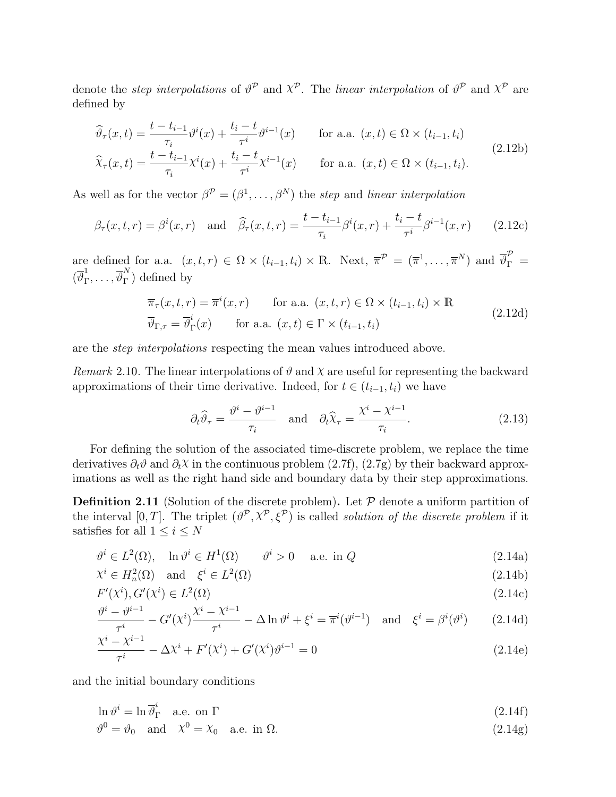denote the *step interpolations* of  $\vartheta^{\mathcal{P}}$  and  $\chi^{\mathcal{P}}$ . The *linear interpolation* of  $\vartheta^{\mathcal{P}}$  and  $\chi^{\mathcal{P}}$  are defined by

$$
\widehat{\vartheta}_{\tau}(x,t) = \frac{t - t_{i-1}}{\tau_i} \vartheta^i(x) + \frac{t_i - t}{\tau^i} \vartheta^{i-1}(x) \quad \text{for a.a. } (x,t) \in \Omega \times (t_{i-1}, t_i)
$$
\n
$$
\widehat{\chi}_{\tau}(x,t) = \frac{t - t_{i-1}}{\tau_i} \chi^i(x) + \frac{t_i - t}{\tau^i} \chi^{i-1}(x) \quad \text{for a.a. } (x,t) \in \Omega \times (t_{i-1}, t_i). \tag{2.12b}
$$

As well as for the vector  $\beta^{\mathcal{P}} = (\beta^1, \ldots, \beta^N)$  the step and linear interpolation

$$
\beta_{\tau}(x,t,r) = \beta^{i}(x,r)
$$
 and  $\hat{\beta}_{\tau}(x,t,r) = \frac{t - t_{i-1}}{\tau_i} \beta^{i}(x,r) + \frac{t_{i} - t}{\tau_i} \beta^{i-1}(x,r)$  (2.12c)

are defined for a.a.  $(x, t, r) \in \Omega \times (t_{i-1}, t_i) \times \mathbb{R}$ . Next,  $\overline{\pi}^{\mathcal{P}} = (\overline{\pi}^1, \dots, \overline{\pi}^N)$  and  $\overline{\vartheta}_{\Gamma}^{\mathcal{P}} =$  $\left(\overline{\vartheta}_{\text{L}}^1\right)$  $\frac{1}{\Gamma},\ldots,\overline{\vartheta}_\Gamma^N$  $\int_{\Gamma}^{\infty}$ ) defined by

$$
\overline{\pi}_{\tau}(x, t, r) = \overline{\pi}^{i}(x, r) \quad \text{for a.a. } (x, t, r) \in \Omega \times (t_{i-1}, t_i) \times \mathbb{R}
$$
\n
$$
\overline{\vartheta}_{\Gamma, \tau} = \overline{\vartheta}_{\Gamma}^{i}(x) \quad \text{for a.a. } (x, t) \in \Gamma \times (t_{i-1}, t_i)
$$
\n(2.12d)

are the step interpolations respecting the mean values introduced above.

*Remark* 2.10. The linear interpolations of  $\vartheta$  and  $\chi$  are useful for representing the backward approximations of their time derivative. Indeed, for  $t \in (t_{i-1}, t_i)$  we have

$$
\partial_t \widehat{\vartheta}_{\tau} = \frac{\vartheta^i - \vartheta^{i-1}}{\tau_i} \quad \text{and} \quad \partial_t \widehat{\chi}_{\tau} = \frac{\chi^i - \chi^{i-1}}{\tau_i}.
$$
 (2.13)

For defining the solution of the associated time-discrete problem, we replace the time derivatives  $\partial_t \vartheta$  and  $\partial_t \chi$  in the continuous problem (2.7f), (2.7g) by their backward approximations as well as the right hand side and boundary data by their step approximations.

**Definition 2.11** (Solution of the discrete problem). Let  $P$  denote a uniform partition of the interval [0, T]. The triplet  $(\vartheta^{\mathcal{P}}, \chi^{\mathcal{P}}, \xi^{\mathcal{P}})$  is called *solution of the discrete problem* if it satisfies for all  $1 \leq i \leq N$ 

$$
\vartheta^i \in L^2(\Omega), \quad \ln \vartheta^i \in H^1(\Omega) \qquad \vartheta^i > 0 \quad \text{a.e. in } Q \tag{2.14a}
$$

$$
\chi^i \in H_n^2(\Omega) \quad \text{and} \quad \xi^i \in L^2(\Omega) \tag{2.14b}
$$

$$
F'(\chi^i), G'(\chi^i) \in L^2(\Omega)
$$
  

$$
e^{qi} - e^{qi-1} \qquad \chi^i - \chi^{i-1}
$$
 (2.14c)

$$
\frac{\vartheta^{i} - \vartheta^{i-1}}{\tau^{i}} - G'(\chi^{i}) \frac{\chi^{i} - \chi^{i-1}}{\tau^{i}} - \Delta \ln \vartheta^{i} + \xi^{i} = \overline{\pi}^{i}(\vartheta^{i-1}) \quad \text{and} \quad \xi^{i} = \beta^{i}(\vartheta^{i}) \tag{2.14d}
$$

$$
\frac{\chi^{i} - \chi^{i-1}}{\tau^{i}} - \Delta \chi^{i} + F'(\chi^{i}) + G'(\chi^{i})\vartheta^{i-1} = 0
$$
\n(2.14e)

and the initial boundary conditions

$$
\ln \vartheta^i = \ln \overline{\vartheta}_{\Gamma}^i \quad \text{a.e. on } \Gamma \tag{2.14f}
$$

 $\vartheta^0 = \vartheta_0 \text{ and } \chi^0 = \chi_0 \text{ a.e. in } \Omega.$ (2.14g)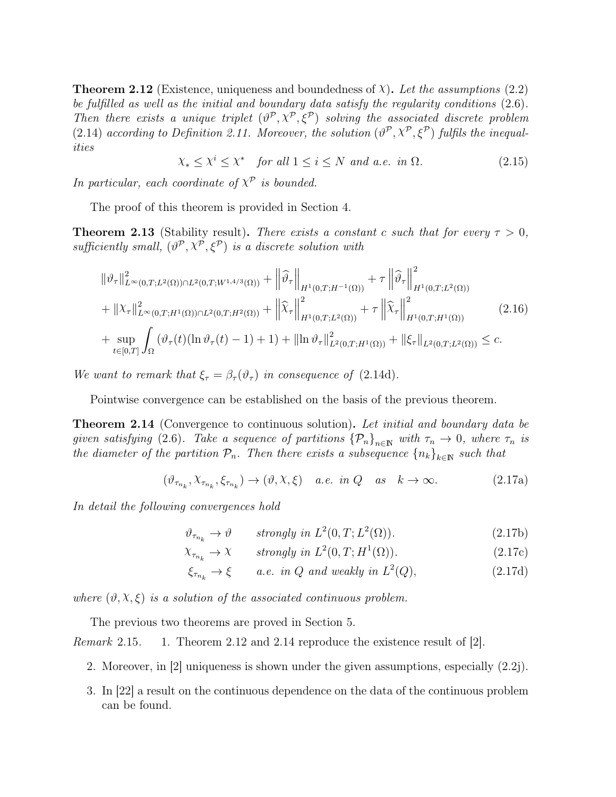**Theorem 2.12** (Existence, uniqueness and boundedness of  $\chi$ ). Let the assumptions (2.2) be fulfilled as well as the initial and boundary data satisfy the regularity conditions (2.6). Then there exists a unique triplet  $(\vartheta^{\mathcal{P}}, \chi^{\mathcal{P}}, \xi^{\mathcal{P}})$  solving the associated discrete problem (2.14) according to Definition 2.11. Moreover, the solution  $(\vartheta^{\mathcal{P}}, \chi^{\mathcal{P}}, \xi^{\mathcal{P}})$  fulfils the inequalities

$$
\chi_* \le \chi^i \le \chi^* \quad \text{for all } 1 \le i \le N \text{ and a.e. in } \Omega. \tag{2.15}
$$

In particular, each coordinate of  $X^{\mathcal{P}}$  is bounded.

The proof of this theorem is provided in Section 4.

**Theorem 2.13** (Stability result). There exists a constant c such that for every  $\tau > 0$ , sufficiently small,  $(\vartheta^{\mathcal{P}}, \chi^{\mathcal{P}}, \xi^{\mathcal{P}})$  is a discrete solution with

$$
\|\vartheta_{\tau}\|_{L^{\infty}(0,T;L^{2}(\Omega))\cap L^{2}(0,T;W^{1,4/3}(\Omega))}^{2} + \left\|\widehat{\vartheta}_{\tau}\right\|_{H^{1}(0,T;H^{-1}(\Omega))} + \tau \left\|\widehat{\vartheta}_{\tau}\right\|_{H^{1}(0,T;L^{2}(\Omega))}^{2}
$$
  
+  $\|\chi_{\tau}\|_{L^{\infty}(0,T;H^{1}(\Omega))\cap L^{2}(0,T;H^{2}(\Omega))}^{2} + \left\|\widehat{\chi}_{\tau}\right\|_{H^{1}(0,T;L^{2}(\Omega))}^{2} + \tau \left\|\widehat{\chi}_{\tau}\right\|_{H^{1}(0,T;H^{1}(\Omega))}^{2}$  (2.16)  
+  $\sup_{t\in[0,T]} \int_{\Omega} (\vartheta_{\tau}(t)(\ln \vartheta_{\tau}(t)-1)+1)+ \|\ln \vartheta_{\tau}\|_{L^{2}(0,T;H^{1}(\Omega))}^{2} + \|\xi_{\tau}\|_{L^{2}(0,T;L^{2}(\Omega))} \leq c.$ 

We want to remark that  $\xi_{\tau} = \beta_{\tau}(\vartheta_{\tau})$  in consequence of (2.14d).

Pointwise convergence can be established on the basis of the previous theorem.

**Theorem 2.14** (Convergence to continuous solution). Let initial and boundary data be given satisfying (2.6). Take a sequence of partitions  $\{\mathcal{P}_n\}_{n\in\mathbb{N}}$  with  $\tau_n \to 0$ , where  $\tau_n$  is the diameter of the partition  $\mathcal{P}_n$ . Then there exists a subsequence  ${n_k}_{k\in\mathbb{N}}$  such that

$$
(\vartheta_{\tau_{n_k}},\chi_{\tau_{n_k}},\xi_{\tau_{n_k}}) \to (\vartheta,\chi,\xi) \quad a.e. \in \mathcal{U} \quad as \quad k \to \infty. \tag{2.17a}
$$

In detail the following convergences hold

$$
\vartheta_{\tau_{n_k}} \to \vartheta \qquad \text{strongly in } L^2(0, T; L^2(\Omega)). \tag{2.17b}
$$

$$
\chi_{\tau_{n_k}} \to \chi \qquad strongly \ in \ L^2(0, T; H^1(\Omega)). \tag{2.17c}
$$

$$
\xi_{\tau_{n_k}} \to \xi \qquad a.e. \in \mathcal{U} \text{ and weakly in } L^2(Q), \tag{2.17d}
$$

where  $(\vartheta, \chi, \xi)$  is a solution of the associated continuous problem.

The previous two theorems are proved in Section 5.

Remark 2.15. 1. Theorem 2.12 and 2.14 reproduce the existence result of [2].

- 2. Moreover, in [2] uniqueness is shown under the given assumptions, especially (2.2j).
- 3. In [22] a result on the continuous dependence on the data of the continuous problem can be found.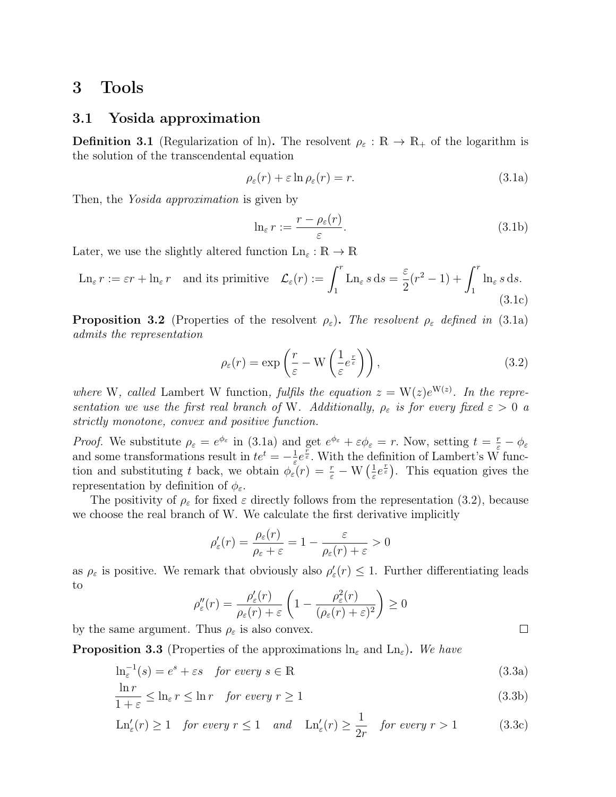# 3 Tools

### 3.1 Yosida approximation

**Definition 3.1** (Regularization of ln). The resolvent  $\rho_{\varepsilon}: \mathbb{R} \to \mathbb{R}_{+}$  of the logarithm is the solution of the transcendental equation

$$
\rho_{\varepsilon}(r) + \varepsilon \ln \rho_{\varepsilon}(r) = r. \tag{3.1a}
$$

Then, the *Yosida approximation* is given by

$$
\ln_{\varepsilon} r := \frac{r - \rho_{\varepsilon}(r)}{\varepsilon}.
$$
\n(3.1b)

Later, we use the slightly altered function  $\text{Ln}_{\varepsilon}: \mathbb{R} \to \mathbb{R}$ 

$$
\operatorname{Ln}_{\varepsilon} r := \varepsilon r + \ln_{\varepsilon} r \quad \text{and its primitive} \quad \mathcal{L}_{\varepsilon}(r) := \int_{1}^{r} \operatorname{Ln}_{\varepsilon} s \, ds = \frac{\varepsilon}{2} (r^{2} - 1) + \int_{1}^{r} \ln_{\varepsilon} s \, ds. \tag{3.1c}
$$

**Proposition 3.2** (Properties of the resolvent  $\rho_{\varepsilon}$ ). The resolvent  $\rho_{\varepsilon}$  defined in (3.1a) admits the representation

$$
\rho_{\varepsilon}(r) = \exp\left(\frac{r}{\varepsilon} - \mathcal{W}\left(\frac{1}{\varepsilon}e^{\frac{r}{\varepsilon}}\right)\right),\tag{3.2}
$$

 $\Box$ 

where W, called Lambert W function, fulfils the equation  $z = W(z)e^{W(z)}$ . In the representation we use the first real branch of W. Additionally,  $\rho_{\varepsilon}$  is for every fixed  $\varepsilon > 0$  a strictly monotone, convex and positive function.

*Proof.* We substitute  $\rho_{\varepsilon} = e^{\phi_{\varepsilon}}$  in (3.1a) and get  $e^{\phi_{\varepsilon}} + \varepsilon \phi_{\varepsilon} = r$ . Now, setting  $t = \frac{r}{\varepsilon} - \phi_{\varepsilon}$ and some transformations result in  $te^t = -\frac{1}{\varepsilon}$  $\frac{1}{\varepsilon}e^{\frac{\overline{r}}{\varepsilon}}$ . With the definition of Lambert's W function and substituting t back, we obtain  $\phi_{\varepsilon}(r) = \frac{r}{\varepsilon} - \mathbf{W}\left(\frac{1}{\varepsilon}\right)$  $(\frac{1}{\varepsilon}e^{\frac{r}{\varepsilon}})$ . This equation gives the representation by definition of  $\phi_{\varepsilon}$ .

The positivity of  $\rho_{\varepsilon}$  for fixed  $\varepsilon$  directly follows from the representation (3.2), because we choose the real branch of W. We calculate the first derivative implicitly

$$
\rho'_{\varepsilon}(r) = \frac{\rho_{\varepsilon}(r)}{\rho_{\varepsilon} + \varepsilon} = 1 - \frac{\varepsilon}{\rho_{\varepsilon}(r) + \varepsilon} > 0
$$

as  $\rho_{\varepsilon}$  is positive. We remark that obviously also  $\rho'_{\varepsilon}(r) \leq 1$ . Further differentiating leads to

$$
\rho_{\varepsilon}''(r) = \frac{\rho_{\varepsilon}'(r)}{\rho_{\varepsilon}(r) + \varepsilon} \left( 1 - \frac{\rho_{\varepsilon}^2(r)}{(\rho_{\varepsilon}(r) + \varepsilon)^2} \right) \ge 0
$$

by the same argument. Thus  $\rho_{\varepsilon}$  is also convex.

**Proposition 3.3** (Properties of the approximations  $\ln_{\varepsilon}$  and  $\ln_{\varepsilon}$ ). We have

$$
\ln_{\varepsilon}^{-1}(s) = e^s + \varepsilon s \quad \text{for every } s \in \mathbb{R} \tag{3.3a}
$$

$$
\frac{\ln r}{1+\varepsilon} \le \ln \varepsilon \quad \text{for every } r \ge 1 \tag{3.3b}
$$

$$
\operatorname{Ln}_{\varepsilon}'(r) \ge 1 \quad \text{for every } r \le 1 \quad \text{and} \quad \operatorname{Ln}_{\varepsilon}'(r) \ge \frac{1}{2r} \quad \text{for every } r > 1 \tag{3.3c}
$$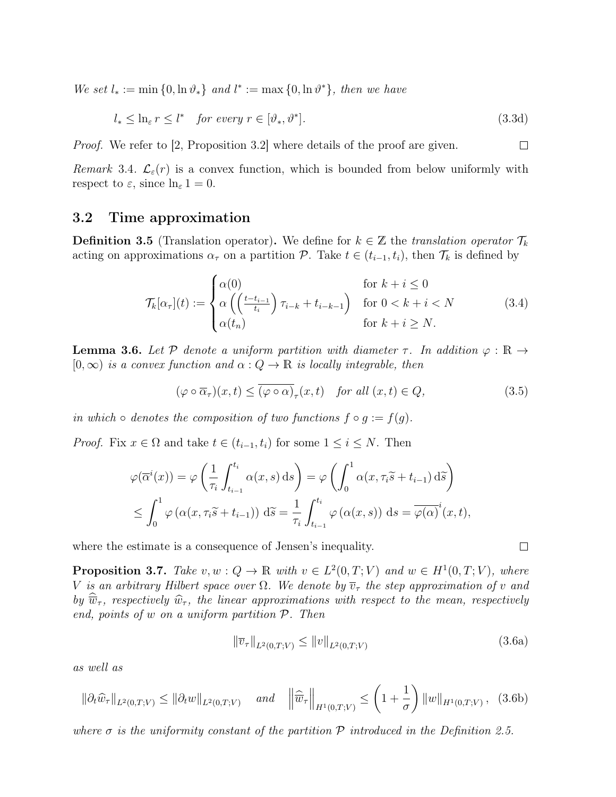We set  $l_* := \min\{0, \ln \vartheta_*\}$  and  $l^* := \max\{0, \ln \vartheta^*\},$  then we have

$$
l_* \leq \ln_{\varepsilon} r \leq l^* \quad \text{for every } r \in [\vartheta_*, \vartheta^*]. \tag{3.3d}
$$

 $\Box$ 

 $\Box$ 

*Proof.* We refer to [2, Proposition 3.2] where details of the proof are given.

Remark 3.4.  $\mathcal{L}_{\varepsilon}(r)$  is a convex function, which is bounded from below uniformly with respect to  $\varepsilon$ , since  $\ln_{\varepsilon} 1 = 0$ .

### 3.2 Time approximation

**Definition 3.5** (Translation operator). We define for  $k \in \mathbb{Z}$  the translation operator  $\mathcal{T}_k$ acting on approximations  $\alpha_{\tau}$  on a partition P. Take  $t \in (t_{i-1}, t_i)$ , then  $\mathcal{T}_k$  is defined by

$$
\mathcal{T}_{k}[\alpha_{\tau}](t) := \begin{cases} \alpha(0) & \text{for } k + i \le 0\\ \alpha\left(\left(\frac{t - t_{i-1}}{t_i}\right)\tau_{i-k} + t_{i-k-1}\right) & \text{for } 0 < k + i < N\\ \alpha(t_n) & \text{for } k + i \ge N. \end{cases} \tag{3.4}
$$

**Lemma 3.6.** Let P denote a uniform partition with diameter  $\tau$ . In addition  $\varphi : \mathbb{R} \to$  $[0, \infty)$  is a convex function and  $\alpha : Q \to \mathbb{R}$  is locally integrable, then

$$
(\varphi \circ \overline{\alpha}_{\tau})(x,t) \leq \overline{(\varphi \circ \alpha)}_{\tau}(x,t) \quad \text{for all } (x,t) \in Q,
$$
\n(3.5)

in which ∘ denotes the composition of two functions  $f \circ g := f(g)$ .

*Proof.* Fix  $x \in \Omega$  and take  $t \in (t_{i-1}, t_i)$  for some  $1 \leq i \leq N$ . Then

$$
\varphi(\overline{\alpha}^{i}(x)) = \varphi\left(\frac{1}{\tau_{i}} \int_{t_{i-1}}^{t_{i}} \alpha(x, s) \, ds\right) = \varphi\left(\int_{0}^{1} \alpha(x, \tau_{i}\widetilde{s} + t_{i-1}) \, d\widetilde{s}\right)
$$

$$
\leq \int_{0}^{1} \varphi\left(\alpha(x, \tau_{i}\widetilde{s} + t_{i-1})\right) d\widetilde{s} = \frac{1}{\tau_{i}} \int_{t_{i-1}}^{t_{i}} \varphi\left(\alpha(x, s)\right) ds = \overline{\varphi(\alpha)}^{i}(x, t),
$$

where the estimate is a consequence of Jensen's inequality.

**Proposition 3.7.** Take  $v, w : Q \to \mathbb{R}$  with  $v \in L^2(0,T;V)$  and  $w \in H^1(0,T;V)$ , where V is an arbitrary Hilbert space over  $\Omega$ . We denote by  $\overline{v}_{\tau}$  the step approximation of v and by  $\overline{\hat{w}}_{\tau}$ , respectively  $\hat{w}_{\tau}$ , the linear approximations with respect to the mean, respectively end, points of  $w$  on a uniform partition  $P$ . Then

$$
\|\overline{v}_{\tau}\|_{L^{2}(0,T;V)} \le \|v\|_{L^{2}(0,T;V)}\tag{3.6a}
$$

as well as

$$
\|\partial_t \widehat{w}_\tau\|_{L^2(0,T;V)} \le \|\partial_t w\|_{L^2(0,T;V)} \quad \text{and} \quad \left\|\widehat{\overline{w}}_\tau\right\|_{H^1(0,T;V)} \le \left(1 + \frac{1}{\sigma}\right) \|w\|_{H^1(0,T;V)}, \tag{3.6b}
$$

where  $\sigma$  is the uniformity constant of the partition  $P$  introduced in the Definition 2.5.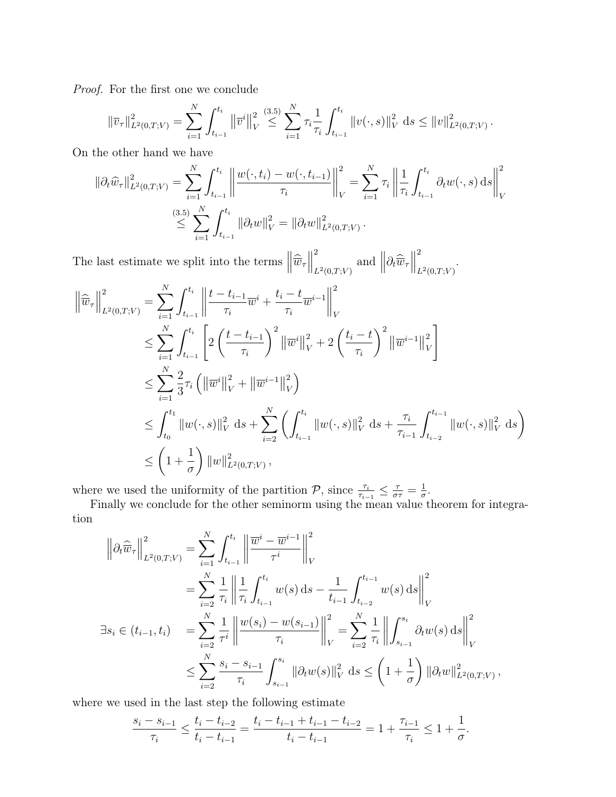Proof. For the first one we conclude

$$
\|\overline{v}_{\tau}\|_{L^{2}(0,T;V)}^{2} = \sum_{i=1}^{N} \int_{t_{i-1}}^{t_{i}} \left\|\overline{v}^{i}\right\|_{V}^{2} \leq \sum_{i=1}^{(3.5)} \sum_{\tau_{i}}^{N} \tau_{i} \frac{1}{\tau_{i}} \int_{t_{i-1}}^{t_{i}} \left\|v(\cdot,s)\right\|_{V}^{2} ds \leq \|v\|_{L^{2}(0,T;V)}^{2}.
$$

On the other hand we have

$$
\|\partial_t \widehat{w}_\tau\|_{L^2(0,T;V)}^2 = \sum_{i=1}^N \int_{t_{i-1}}^{t_i} \left\| \frac{w(\cdot, t_i) - w(\cdot, t_{i-1})}{\tau_i} \right\|_V^2 = \sum_{i=1}^N \tau_i \left\| \frac{1}{\tau_i} \int_{t_{i-1}}^{t_i} \partial_t w(\cdot, s) \, ds \right\|_V^2
$$
  

$$
\leq \sum_{i=1}^{(3.5)} \sum_{t_{i-1}}^N \int_{t_{i-1}}^{t_i} \|\partial_t w\|_V^2 = \|\partial_t w\|_{L^2(0,T;V)}^2.
$$

The last estimate we split into the terms  $\left\|\widehat{\overline{w}}_{\tau}\right\|$ 2  $\int_{L^2(0,T;V)}^2$  and  $\left\|\partial_t\widehat{\overline{w}}_{\tau}\right\|$ 2  $L^2(0,T;V)$ .

$$
\left\|\widehat{\overline{w}}_{\tau}\right\|_{L^{2}(0,T;V)}^{2} = \sum_{i=1}^{N} \int_{t_{i-1}}^{t_{i}} \left\|\frac{t - t_{i-1}}{\tau_{i}} \overline{w}^{i} + \frac{t_{i} - t}{\tau_{i}} \overline{w}^{i-1}\right\|_{V}^{2}
$$
\n
$$
\leq \sum_{i=1}^{N} \int_{t_{i-1}}^{t_{i}} \left[2\left(\frac{t - t_{i-1}}{\tau_{i}}\right)^{2} \left\|\overline{w}^{i}\right\|_{V}^{2} + 2\left(\frac{t_{i} - t}{\tau_{i}}\right)^{2} \left\|\overline{w}^{i-1}\right\|_{V}^{2}\right]
$$
\n
$$
\leq \sum_{i=1}^{N} \frac{2}{3} \tau_{i} \left(\left\|\overline{w}^{i}\right\|_{V}^{2} + \left\|\overline{w}^{i-1}\right\|_{V}^{2}\right)
$$
\n
$$
\leq \int_{t_{0}}^{t_{1}} \left\|w(\cdot, s)\right\|_{V}^{2} ds + \sum_{i=2}^{N} \left(\int_{t_{i-1}}^{t_{i}} \left\|w(\cdot, s)\right\|_{V}^{2} ds + \frac{\tau_{i}}{\tau_{i-1}} \int_{t_{i-2}}^{t_{i-1}} \left\|w(\cdot, s)\right\|_{V}^{2} ds\right)
$$
\n
$$
\leq \left(1 + \frac{1}{\sigma}\right) \left\|w\right\|_{L^{2}(0,T;V)}^{2},
$$

where we used the uniformity of the partition  $\mathcal{P}$ , since  $\frac{\tau_i}{\tau_{i-1}} \leq \frac{\tau}{\sigma \tau} = \frac{1}{\sigma}$  $\frac{1}{\sigma}$ .

Finally we conclude for the other seminorm using the mean value theorem for integration

$$
\left\|\partial_{t}\widehat{\overline{w}}_{\tau}\right\|_{L^{2}(0,T;V)}^{2} = \sum_{i=1}^{N} \int_{t_{i-1}}^{t_{i}} \left\|\frac{\overline{w}^{i} - \overline{w}^{i-1}}{\tau^{i}}\right\|_{V}^{2}
$$
\n
$$
= \sum_{i=2}^{N} \frac{1}{\tau_{i}} \left\|\frac{1}{\tau_{i}} \int_{t_{i-1}}^{t_{i}} w(s) \, ds - \frac{1}{t_{i-1}} \int_{t_{i-2}}^{t_{i-1}} w(s) \, ds\right\|_{V}^{2}
$$
\n
$$
\exists s_{i} \in (t_{i-1}, t_{i}) = \sum_{i=2}^{N} \frac{1}{\tau^{i}} \left\|\frac{w(s_{i}) - w(s_{i-1})}{\tau_{i}}\right\|_{V}^{2} = \sum_{i=2}^{N} \frac{1}{\tau_{i}} \left\|\int_{s_{i-1}}^{s_{i}} \partial_{t}w(s) \, ds\right\|_{V}^{2}
$$
\n
$$
\leq \sum_{i=2}^{N} \frac{s_{i} - s_{i-1}}{\tau_{i}} \int_{s_{i-1}}^{s_{i}} \|\partial_{t}w(s)\|_{V}^{2} \, ds \leq \left(1 + \frac{1}{\sigma}\right) \|\partial_{t}w\|_{L^{2}(0,T;V)}^{2},
$$

where we used in the last step the following estimate

$$
\frac{s_i - s_{i-1}}{\tau_i} \le \frac{t_i - t_{i-2}}{t_i - t_{i-1}} = \frac{t_i - t_{i-1} + t_{i-1} - t_{i-2}}{t_i - t_{i-1}} = 1 + \frac{\tau_{i-1}}{\tau_i} \le 1 + \frac{1}{\sigma}.
$$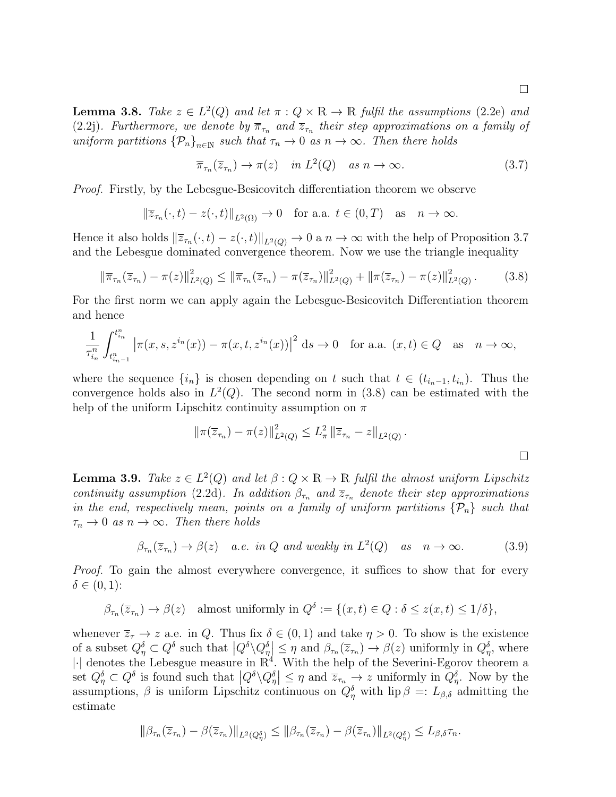**Lemma 3.8.** Take  $z \in L^2(Q)$  and let  $\pi : Q \times \mathbb{R} \to \mathbb{R}$  fulfil the assumptions (2.2e) and (2.2j). Furthermore, we denote by  $\overline{\pi}_{\tau_n}$  and  $\overline{z}_{\tau_n}$  their step approximations on a family of uniform partitions  $\{\mathcal{P}_n\}_{n\in\mathbb{N}}$  such that  $\tau_n \to 0$  as  $n \to \infty$ . Then there holds

$$
\overline{\pi}_{\tau_n}(\overline{z}_{\tau_n}) \to \pi(z) \quad in \ L^2(Q) \quad as \ n \to \infty. \tag{3.7}
$$

Proof. Firstly, by the Lebesgue-Besicovitch differentiation theorem we observe

$$
\|\overline{z}_{\tau_n}(\cdot,t) - z(\cdot,t)\|_{L^2(\Omega)} \to 0 \quad \text{for a.a. } t \in (0,T) \quad \text{as} \quad n \to \infty.
$$

Hence it also holds  $\|\overline{z}_{\tau_n}(\cdot, t) - z(\cdot, t)\|_{L^2(Q)} \to 0$  a  $n \to \infty$  with the help of Proposition 3.7 and the Lebesgue dominated convergence theorem. Now we use the triangle inequality

$$
\|\overline{\pi}_{\tau_n}(\overline{z}_{\tau_n}) - \pi(z)\|_{L^2(Q)}^2 \le \|\overline{\pi}_{\tau_n}(\overline{z}_{\tau_n}) - \pi(\overline{z}_{\tau_n})\|_{L^2(Q)}^2 + \|\pi(\overline{z}_{\tau_n}) - \pi(z)\|_{L^2(Q)}^2. \tag{3.8}
$$

For the first norm we can apply again the Lebesgue-Besicovitch Differentiation theorem and hence

$$
\frac{1}{\tau_{i_n}^n} \int_{t_{i_{n-1}}^n}^{t_{i_n}^n} \left| \pi(x, s, z^{i_n}(x)) - \pi(x, t, z^{i_n}(x)) \right|^2 ds \to 0 \quad \text{for a.a. } (x, t) \in Q \quad \text{as} \quad n \to \infty,
$$

where the sequence  $\{i_n\}$  is chosen depending on t such that  $t \in (t_{i_n-1}, t_{i_n})$ . Thus the convergence holds also in  $L^2(Q)$ . The second norm in (3.8) can be estimated with the help of the uniform Lipschitz continuity assumption on  $\pi$ 

$$
\|\pi(\overline{z}_{\tau_n}) - \pi(z)\|_{L^2(Q)}^2 \le L_\pi^2 \|\overline{z}_{\tau_n} - z\|_{L^2(Q)}.
$$

**Lemma 3.9.** Take  $z \in L^2(Q)$  and let  $\beta: Q \times \mathbb{R} \to \mathbb{R}$  fulfil the almost uniform Lipschitz continuity assumption (2.2d). In addition  $\beta_{\tau_n}$  and  $\overline{z}_{\tau_n}$  denote their step approximations in the end, respectively mean, points on a family of uniform partitions  $\{\mathcal{P}_n\}$  such that  $\tau_n \to 0$  as  $n \to \infty$ . Then there holds

$$
\beta_{\tau_n}(\overline{z}_{\tau_n}) \to \beta(z) \quad a.e. \in \mathcal{U} \text{ and weakly in } L^2(Q) \quad as \quad n \to \infty. \tag{3.9}
$$

Proof. To gain the almost everywhere convergence, it suffices to show that for every  $\delta \in (0,1)$ :

$$
\beta_{\tau_n}(\overline{z}_{\tau_n}) \to \beta(z)
$$
 almost uniformly in  $Q^{\delta} := \{(x, t) \in Q : \delta \le z(x, t) \le 1/\delta\},\$ 

whenever  $\overline{z}_{\tau} \to z$  a.e. in Q. Thus fix  $\delta \in (0,1)$  and take  $\eta > 0$ . To show is the existence of a subset  $Q_{\eta}^{\delta} \subset Q^{\delta}$  such that  $|Q^{\delta} \setminus Q_{\eta}^{\delta}| \leq \eta$  and  $\beta_{\tau_n}(\overline{z}_{\tau_n}) \to \beta(z)$  uniformly in  $Q_{\eta}^{\delta}$ , where  $|\cdot|$  denotes the Lebesgue measure in  $\mathbb{R}^4$ . With the help of the Severini-Egorov theorem a set  $Q_{\eta}^{\delta} \subset Q^{\delta}$  is found such that  $|Q^{\delta} \backslash Q_{\eta}^{\delta}| \leq \eta$  and  $\overline{z}_{\tau_n} \to z$  uniformly in  $Q_{\eta}^{\delta}$ . Now by the assumptions,  $\beta$  is uniform Lipschitz continuous on  $Q_{\eta}^{\delta}$  with  $\text{lip }\beta =: L_{\beta,\delta}$  admitting the estimate

$$
\|\beta_{\tau_n}(\overline{z}_{\tau_n})-\beta(\overline{z}_{\tau_n})\|_{L^2(Q_\eta^\delta)} \le \|\beta_{\tau_n}(\overline{z}_{\tau_n})-\beta(\overline{z}_{\tau_n})\|_{L^2(Q_\eta^\delta)} \le L_{\beta,\delta} \tau_n.
$$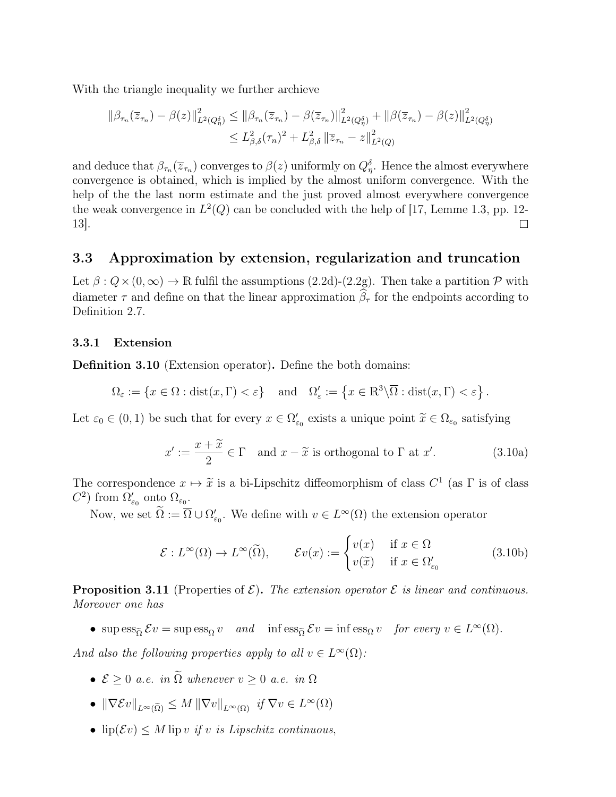With the triangle inequality we further archieve

$$
\|\beta_{\tau_n}(\overline{z}_{\tau_n}) - \beta(z)\|_{L^2(Q_{\eta}^{\delta})}^2 \le \|\beta_{\tau_n}(\overline{z}_{\tau_n}) - \beta(\overline{z}_{\tau_n})\|_{L^2(Q_{\eta}^{\delta})}^2 + \|\beta(\overline{z}_{\tau_n}) - \beta(z)\|_{L^2(Q_{\eta}^{\delta})}^2
$$
  

$$
\le L^2_{\beta,\delta}(\tau_n)^2 + L^2_{\beta,\delta} \|\overline{z}_{\tau_n} - z\|_{L^2(Q)}^2
$$

and deduce that  $\beta_{\tau_n}(\bar{z}_{\tau_n})$  converges to  $\beta(z)$  uniformly on  $Q_{\eta}^{\delta}$ . Hence the almost everywhere convergence is obtained, which is implied by the almost uniform convergence. With the help of the the last norm estimate and the just proved almost everywhere convergence the weak convergence in  $L^2(Q)$  can be concluded with the help of [17, Lemme 1.3, pp. 12-13].  $\Box$ 

### 3.3 Approximation by extension, regularization and truncation

Let  $\beta: Q \times (0, \infty) \to \mathbb{R}$  fulfil the assumptions (2.2d)-(2.2g). Then take a partition  $\mathcal{P}$  with diameter  $\tau$  and define on that the linear approximation  $\hat{\beta}_{\tau}$  for the endpoints according to Definition 2.7.

### 3.3.1 Extension

Definition 3.10 (Extension operator). Define the both domains:

$$
\Omega_{\varepsilon} := \left\{ x \in \Omega : \text{dist}(x, \Gamma) < \varepsilon \right\} \quad \text{and} \quad \Omega_{\varepsilon}' := \left\{ x \in \mathbb{R}^3 \backslash \overline{\Omega} : \text{dist}(x, \Gamma) < \varepsilon \right\}.
$$

Let  $\varepsilon_0 \in (0,1)$  be such that for every  $x \in \Omega'_{\varepsilon_0}$  exists a unique point  $\widetilde{x} \in \Omega_{\varepsilon_0}$  satisfying

$$
x' := \frac{x + \widetilde{x}}{2} \in \Gamma \quad \text{and } x - \widetilde{x} \text{ is orthogonal to } \Gamma \text{ at } x'. \tag{3.10a}
$$

The correspondence  $x \mapsto \tilde{x}$  is a bi-Lipschitz diffeomorphism of class  $C^1$  (as  $\Gamma$  is of class  $C^2$ ) from  $\Omega'$  onto  $\Omega$  $C^2$ ) from  $\Omega_{\varepsilon_0}'$  onto  $\Omega_{\varepsilon_0}$ .

Now, we set  $\Omega := \overline{\Omega} \cup \Omega'_{\varepsilon_0}$ . We define with  $v \in L^{\infty}(\Omega)$  the extension operator

$$
\mathcal{E}: L^{\infty}(\Omega) \to L^{\infty}(\widetilde{\Omega}), \qquad \mathcal{E}v(x) := \begin{cases} v(x) & \text{if } x \in \Omega \\ v(\widetilde{x}) & \text{if } x \in \Omega'_{\varepsilon_0} \end{cases}
$$
(3.10b)

**Proposition 3.11** (Properties of  $\mathcal{E}$ ). The extension operator  $\mathcal{E}$  is linear and continuous. Moreover one has

• sup  $\text{ess}_{\tilde{\Omega}} \mathcal{E}v = \text{sup} \, \text{ess}_{\Omega} v$  and inf  $\text{ess}_{\tilde{\Omega}} \mathcal{E}v = \text{inf} \, \text{ess}_{\Omega} v$  for every  $v \in L^{\infty}(\Omega)$ .

And also the following properties apply to all  $v \in L^{\infty}(\Omega)$ :

- $\mathcal{E} > 0$  a.e. in  $\tilde{\Omega}$  whenever  $v > 0$  a.e. in  $\Omega$
- $\|\nabla \mathcal{E}v\|_{L^{\infty}(\tilde{\Omega})} \leq M \|\nabla v\|_{L^{\infty}(\Omega)} \text{ if } \nabla v \in L^{\infty}(\Omega)$
- $\text{lip}(\mathcal{E}v) \leq M \text{ lip } v \text{ if } v \text{ is Lipschitz continuous,}$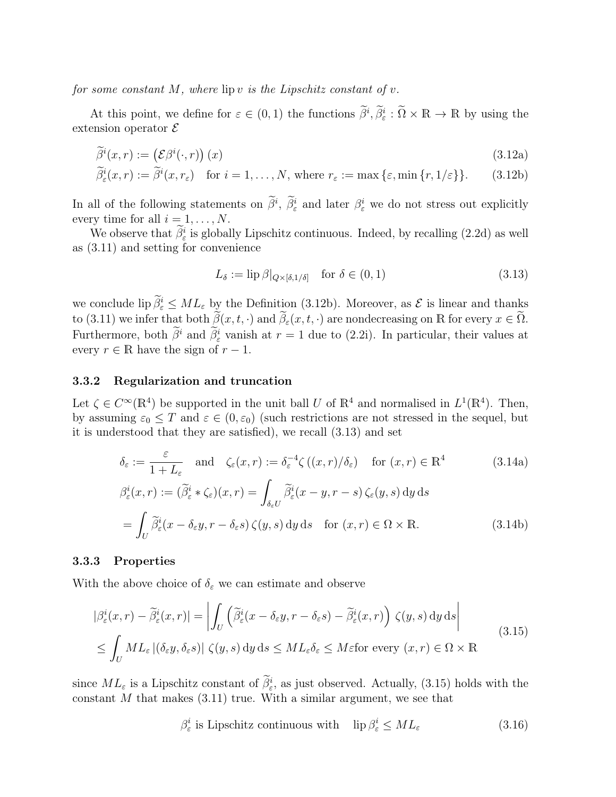for some constant M, where  $\text{lip } v$  is the Lipschitz constant of v.

At this point, we define for  $\varepsilon \in (0,1)$  the functions  $\tilde{\beta}^i$ ,  $\tilde{\beta}^i_{\varepsilon} : \tilde{\Omega} \times \mathbb{R} \to \mathbb{R}$  by using the extension operator  $\mathcal E$ 

$$
\widetilde{\beta}^i(x,r) := (\mathcal{E}\beta^i(\cdot,r))(x)
$$
\n(3.12a)

$$
\widetilde{\beta}_{\varepsilon}^{i}(x,r) := \widetilde{\beta}^{i}(x,r_{\varepsilon}) \quad \text{for } i = 1,\ldots,N, \text{ where } r_{\varepsilon} := \max\left\{\varepsilon, \min\left\{r, 1/\varepsilon\right\}\right\}. \tag{3.12b}
$$

In all of the following statements on  $\hat{\beta}^i$ ,  $\hat{\beta}^i_{\varepsilon}$  and later  $\beta^i_{\varepsilon}$  we do not stress out explicitly every time for all  $i = 1, \ldots, N$ .

We observe that  $\beta_{\varepsilon}^{i}$  is globally Lipschitz continuous. Indeed, by recalling (2.2d) as well as (3.11) and setting for convenience

$$
L_{\delta} := \text{lip}\,\beta|_{Q \times [\delta, 1/\delta]} \quad \text{for } \delta \in (0, 1)
$$
\n(3.13)

we conclude  $\lim_{\epsilon \to 0} \tilde{\beta}_{\epsilon}^{i} \leq ML_{\epsilon}$  by the Definition (3.12b). Moreover, as  $\mathcal{E}$  is linear and thanks to (3.11) we infer that both  $\widetilde{\beta}(x, t, \cdot)$  and  $\widetilde{\beta}_{\varepsilon}(x, t, \cdot)$  are nondecreasing on R for every  $x \in \widetilde{\Omega}$ . Furthermore, both  $\tilde{\beta}^i$  and  $\tilde{\beta}^i_{\varepsilon}$  vanish at  $r = 1$  due to (2.2i). In particular, their values at every  $r \in \mathbb{R}$  have the sign of  $r - 1$ .

### 3.3.2 Regularization and truncation

Let  $\zeta \in C^{\infty}(\mathbb{R}^4)$  be supported in the unit ball U of  $\mathbb{R}^4$  and normalised in  $L^1(\mathbb{R}^4)$ . Then, by assuming  $\varepsilon_0 \leq T$  and  $\varepsilon \in (0, \varepsilon_0)$  (such restrictions are not stressed in the sequel, but it is understood that they are satisfied), we recall (3.13) and set

$$
\delta_{\varepsilon} := \frac{\varepsilon}{1 + L_{\varepsilon}} \quad \text{and} \quad \zeta_{\varepsilon}(x, r) := \delta_{\varepsilon}^{-4} \zeta((x, r) / \delta_{\varepsilon}) \quad \text{for } (x, r) \in \mathbb{R}^{4} \tag{3.14a}
$$
\n
$$
\beta_{\varepsilon}^{i}(x, r) := (\widetilde{\beta}_{\varepsilon}^{i} * \zeta_{\varepsilon})(x, r) = \int_{\delta_{\varepsilon}U} \widetilde{\beta}_{\varepsilon}^{i}(x - y, r - s) \zeta_{\varepsilon}(y, s) \, dy \, ds
$$
\n
$$
= \int_{U} \widetilde{\beta}_{\varepsilon}^{i}(x - \delta_{\varepsilon}y, r - \delta_{\varepsilon}s) \zeta(y, s) \, dy \, ds \quad \text{for } (x, r) \in \Omega \times \mathbb{R}. \tag{3.14b}
$$

### 3.3.3 Properties

With the above choice of  $\delta_{\varepsilon}$  we can estimate and observe

$$
|\beta_{\varepsilon}^{i}(x,r) - \tilde{\beta}_{\varepsilon}^{i}(x,r)| = \left| \int_{U} \left( \tilde{\beta}_{\varepsilon}^{i}(x - \delta_{\varepsilon} y, r - \delta_{\varepsilon} s) - \tilde{\beta}_{\varepsilon}^{i}(x,r) \right) \zeta(y,s) dy ds \right|
$$
  
 
$$
\leq \int_{U} ML_{\varepsilon} |(\delta_{\varepsilon} y, \delta_{\varepsilon} s)| \zeta(y,s) dy ds \leq ML_{\varepsilon} \delta_{\varepsilon} \leq M \varepsilon
$$
for every  $(x,r) \in \Omega \times \mathbb{R}$  (3.15)

since  $ML_{\varepsilon}$  is a Lipschitz constant of  $\beta_{\varepsilon}^{i}$ , as just observed. Actually, (3.15) holds with the constant  $M$  that makes  $(3.11)$  true. With a similar argument, we see that

$$
\beta_{\varepsilon}^{i} \text{ is Lipschitz continuous with } \text{lip } \beta_{\varepsilon}^{i} \leq ML_{\varepsilon} \tag{3.16}
$$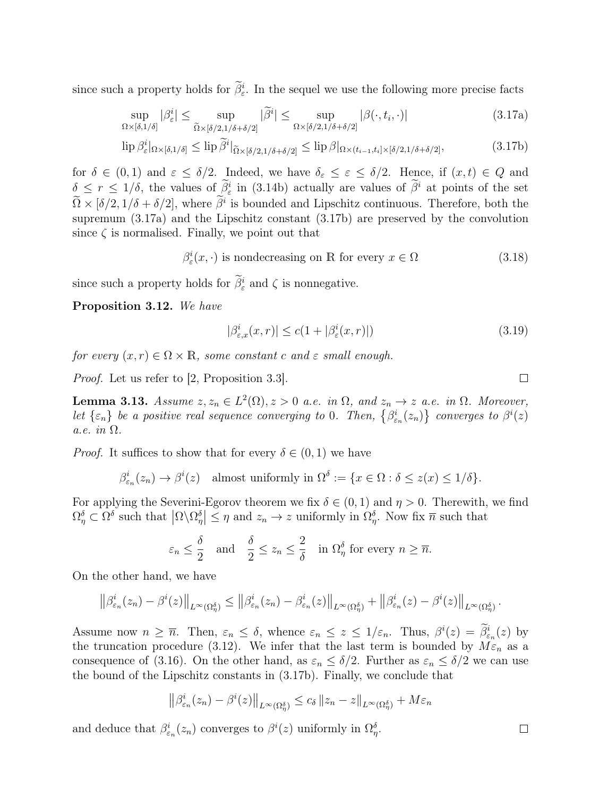since such a property holds for  $\beta_{\varepsilon}^{i}$ . In the sequel we use the following more precise facts

$$
\sup_{\Omega \times [\delta, 1/\delta]} |\beta_{\varepsilon}^i| \le \sup_{\tilde{\Omega} \times [\delta/2, 1/\delta + \delta/2]} |\tilde{\beta}^i| \le \sup_{\Omega \times [\delta/2, 1/\delta + \delta/2]} |\beta(\cdot, t_i, \cdot)| \tag{3.17a}
$$

$$
\text{lip}\,\beta_{\varepsilon}^i|_{\Omega\times[\delta,1/\delta]}\leq \text{lip}\,\widetilde{\beta}^i|_{\widetilde{\Omega}\times[\delta/2,1/\delta+\delta/2]}\leq \text{lip}\,\beta|_{\Omega\times(t_{i-1},t_i]\times[\delta/2,1/\delta+\delta/2]},\tag{3.17b}
$$

for  $\delta \in (0,1)$  and  $\varepsilon \leq \delta/2$ . Indeed, we have  $\delta_{\varepsilon} \leq \varepsilon \leq \delta/2$ . Hence, if  $(x,t) \in Q$  and  $\delta \leq r \leq 1/\delta$ , the values of  $\beta^i$  in (3.14b) actually are values of  $\beta^i$  at points of the set  $\Omega \times [\delta/2, 1/\delta + \delta/2]$ , where  $\beta^i$  is bounded and Lipschitz continuous. Therefore, both the supremum (3.17a) and the Lipschitz constant (3.17b) are preserved by the convolution since  $\zeta$  is normalised. Finally, we point out that

$$
\beta_{\varepsilon}^{i}(x,\cdot) \text{ is nondecreasing on } \mathbb{R} \text{ for every } x \in \Omega \tag{3.18}
$$

since such a property holds for  $\tilde{\beta}_{\varepsilon}^{i}$  and  $\zeta$  is nonnegative.

Proposition 3.12. We have

$$
|\beta_{\varepsilon,x}^i(x,r)| \le c(1+|\beta_{\varepsilon}^i(x,r)|)
$$
\n(3.19)

for every  $(x, r) \in \Omega \times \mathbb{R}$ , some constant c and  $\varepsilon$  small enough.

Proof. Let us refer to [2, Proposition 3.3].

**Lemma 3.13.** Assume  $z, z_n \in L^2(\Omega), z > 0$  a.e. in  $\Omega$ , and  $z_n \to z$  a.e. in  $\Omega$ . Moreover, let  $\{\varepsilon_n\}$  be a positive real sequence converging to 0. Then,  $\{\beta_{\varepsilon_n}^i(z_n)\}\)$  converges to  $\beta^i(z)$ a.e. in Ω.

*Proof.* It suffices to show that for every  $\delta \in (0,1)$  we have

$$
\beta_{\varepsilon_n}^i(z_n) \to \beta^i(z) \quad \text{almost uniformly in } \Omega^{\delta} := \{ x \in \Omega : \delta \le z(x) \le 1/\delta \}.
$$

For applying the Severini-Egorov theorem we fix  $\delta \in (0,1)$  and  $\eta > 0$ . Therewith, we find  $\Omega_{\eta}^{\delta} \subset \Omega^{\delta}$  such that  $|\Omega \backslash \Omega_{\eta}^{\delta}| \leq \eta$  and  $z_n \to z$  uniformly in  $\Omega_{\eta}^{\delta}$ . Now fix  $\overline{n}$  such that

$$
\varepsilon_n \leq \frac{\delta}{2}
$$
 and  $\frac{\delta}{2} \leq z_n \leq \frac{2}{\delta}$  in  $\Omega_{\eta}^{\delta}$  for every  $n \geq \overline{n}$ .

On the other hand, we have

$$
\left\|\beta_{\varepsilon_n}^i(z_n)-\beta^i(z)\right\|_{L^\infty(\Omega_\eta^\delta)} \leq \left\|\beta_{\varepsilon_n}^i(z_n)-\beta_{\varepsilon_n}^i(z)\right\|_{L^\infty(\Omega_\eta^\delta)} + \left\|\beta_{\varepsilon_n}^i(z)-\beta^i(z)\right\|_{L^\infty(\Omega_\eta^\delta)}.
$$

Assume now  $n \geq \overline{n}$ . Then,  $\varepsilon_n \leq \delta$ , whence  $\varepsilon_n \leq z \leq 1/\varepsilon_n$ . Thus,  $\beta^i(z) = \overline{\beta^i_{\varepsilon_n}}(z)$  by the truncation procedure (3.12). We infer that the last term is bounded by  $M\epsilon_n$  as a consequence of (3.16). On the other hand, as  $\varepsilon_n \leq \delta/2$ . Further as  $\varepsilon_n \leq \delta/2$  we can use the bound of the Lipschitz constants in (3.17b). Finally, we conclude that

$$
\left\|\beta_{\varepsilon_n}^i(z_n) - \beta^i(z)\right\|_{L^\infty(\Omega_\eta^\delta)} \le c_\delta \left\|z_n - z\right\|_{L^\infty(\Omega_\eta^\delta)} + M\varepsilon_n
$$

and deduce that  $\beta_{\varepsilon_n}^i(z_n)$  converges to  $\beta^i(z)$  uniformly in  $\Omega_{\eta}^{\delta}$ .

 $\Box$ 

 $\Box$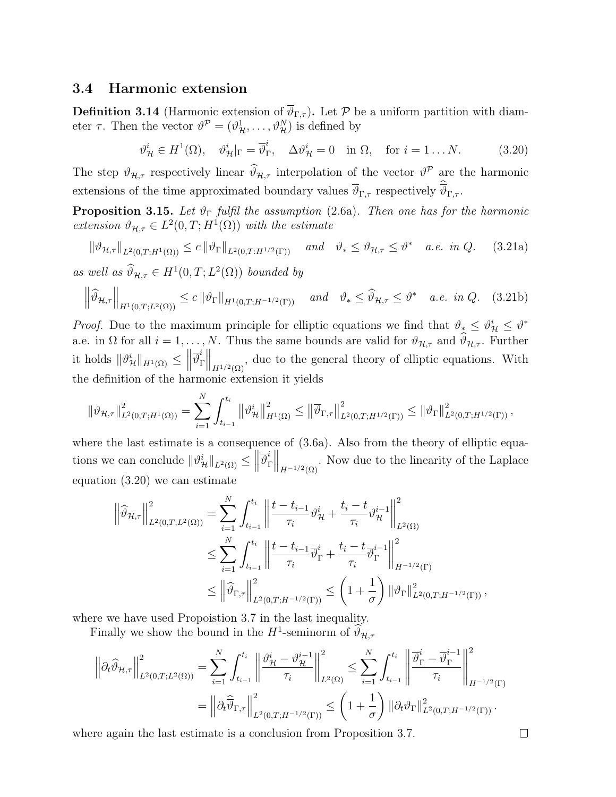### 3.4 Harmonic extension

**Definition 3.14** (Harmonic extension of  $\overline{\vartheta}_{\Gamma,\tau}$ ). Let P be a uniform partition with diameter  $\tau$ . Then the vector  $\vartheta^{\mathcal{P}} = (\vartheta^1_{\mathcal{H}}, \dots, \vartheta^N_{\mathcal{H}})$  is defined by

$$
\vartheta^i_{\mathcal{H}} \in H^1(\Omega), \quad \vartheta^i_{\mathcal{H}}|_{\Gamma} = \overline{\vartheta}^i_{\Gamma}, \quad \Delta \vartheta^i_{\mathcal{H}} = 0 \quad \text{in } \Omega, \quad \text{for } i = 1 \dots N. \tag{3.20}
$$

The step  $\vartheta_{\mathcal{H},\tau}$  respectively linear  $\widehat{\vartheta}_{\mathcal{H},\tau}$  interpolation of the vector  $\vartheta^{\mathcal{P}}$  are the harmonic extensions of the time approximated boundary values  $\vartheta_{\Gamma,\tau}$  respectively  $\vartheta_{\Gamma,\tau}$ .

**Proposition 3.15.** Let  $\vartheta_{\Gamma}$  fulfil the assumption (2.6a). Then one has for the harmonic extension  $\vartheta_{\mathcal{H},\tau} \in L^2(0,T;H^1(\Omega))$  with the estimate

$$
\|\vartheta_{\mathcal{H},\tau}\|_{L^{2}(0,T;H^{1}(\Omega))} \leq c \|\vartheta_{\Gamma}\|_{L^{2}(0,T;H^{1/2}(\Gamma))} \quad \text{and} \quad \vartheta_{*} \leq \vartheta_{\mathcal{H},\tau} \leq \vartheta^{*} \quad a.e. \infty \quad (3.21a)
$$

as well as  $\widehat{\vartheta}_{\mathcal{H},\tau} \in H^1(0,T;L^2(\Omega))$  bounded by

$$
\left\|\widehat{\vartheta}_{\mathcal{H},\tau}\right\|_{H^1(0,T;L^2(\Omega))} \le c \left\|\vartheta_{\Gamma}\right\|_{H^1(0,T;H^{-1/2}(\Gamma))} \quad \text{and} \quad \vartheta_* \le \widehat{\vartheta}_{\mathcal{H},\tau} \le \vartheta^* \quad a.e. \text{ in } Q. \tag{3.21b}
$$

*Proof.* Due to the maximum principle for elliptic equations we find that  $\vartheta_* \leq \vartheta^i_{\mathcal{H}} \leq \vartheta^*$ a.e. in  $\Omega$  for all  $i = 1, ..., N$ . Thus the same bounds are valid for  $\vartheta_{\mathcal{H},\tau}$  and  $\widehat{\vartheta}_{\mathcal{H},\tau}$ . Further it holds  $\|\vartheta^i_{\mathcal{H}}\|_{H^1(\Omega)} \leq \Big\|$  $\overline{\vartheta}^i_\text{I}$  $\Gamma^i$   $\left\| \ldots \right\|_{H^{1/2}(\Omega)}$ , due to the general theory of elliptic equations. With the definition of the harmonic extension it yields

$$
\|\vartheta_{\mathcal{H},\tau}\|_{L^2(0,T;H^1(\Omega))}^2 = \sum_{i=1}^N \int_{t_{i-1}}^{t_i} \left\|\vartheta_{\mathcal{H}}^i\right\|_{H^1(\Omega)}^2 \le \left\|\overline{\vartheta}_{\Gamma,\tau}\right\|_{L^2(0,T;H^{1/2}(\Gamma))}^2 \le \|\vartheta_{\Gamma}\|_{L^2(0,T;H^{1/2}(\Gamma))}^2,
$$

where the last estimate is a consequence of  $(3.6a)$ . Also from the theory of elliptic equations we can conclude  $||\vartheta^i_{\mathcal{H}}||_{L^2(\Omega)} \leq ||$  $\overline{\vartheta}^i_\text{I}$  $\Gamma^i$   $\left\| \ldots \right\|_{H^{-1/2}(\Omega)}$ . Now due to the linearity of the Laplace equation (3.20) we can estimate

$$
\left\|\widehat{\vartheta}_{\mathcal{H},\tau}\right\|_{L^{2}(0,T;L^{2}(\Omega))}^{2} = \sum_{i=1}^{N} \int_{t_{i-1}}^{t_{i}} \left\|\frac{t-t_{i-1}}{\tau_{i}} \vartheta_{\mathcal{H}}^{i} + \frac{t_{i}-t}{\tau_{i}} \vartheta_{\mathcal{H}}^{i-1}\right\|_{L^{2}(\Omega)}^{2}
$$
  

$$
\leq \sum_{i=1}^{N} \int_{t_{i-1}}^{t_{i}} \left\|\frac{t-t_{i-1}}{\tau_{i}} \overline{\vartheta}_{\Gamma}^{i} + \frac{t_{i}-t}{\tau_{i}} \overline{\vartheta}_{\Gamma}^{i-1}\right\|_{H^{-1/2}(\Gamma)}^{2}
$$
  

$$
\leq \left\|\widehat{\vartheta}_{\Gamma,\tau}\right\|_{L^{2}(0,T;H^{-1/2}(\Gamma))}^{2} \leq \left(1+\frac{1}{\sigma}\right) \left\|\vartheta_{\Gamma}\right\|_{L^{2}(0,T;H^{-1/2}(\Gamma))}^{2},
$$

where we have used Propoistion 3.7 in the last inequality.

Finally we show the bound in the  $H^1$ -seminorm of  $\hat{\theta}_{\mathcal{H},\tau}$ 

$$
\left\|\partial_t \widehat{\vartheta}_{\mathcal{H},\tau}\right\|_{L^2(0,T;L^2(\Omega))}^2 = \sum_{i=1}^N \int_{t_{i-1}}^{t_i} \left\|\frac{\vartheta_{\mathcal{H}}^i - \vartheta_{\mathcal{H}}^{i-1}}{\tau_i}\right\|_{L^2(\Omega)}^2 \le \sum_{i=1}^N \int_{t_{i-1}}^{t_i} \left\|\frac{\overline{\vartheta}_{\Gamma}^i - \overline{\vartheta}_{\Gamma}^{i-1}}{\tau_i}\right\|_{H^{-1/2}(\Gamma)}^2
$$

$$
= \left\|\partial_t \widehat{\overline{\vartheta}}_{\Gamma,\tau}\right\|_{L^2(0,T;H^{-1/2}(\Gamma))}^2 \le \left(1 + \frac{1}{\sigma}\right) \|\partial_t \vartheta_{\Gamma}\|_{L^2(0,T;H^{-1/2}(\Gamma))}^2.
$$

where again the last estimate is a conclusion from Proposition 3.7.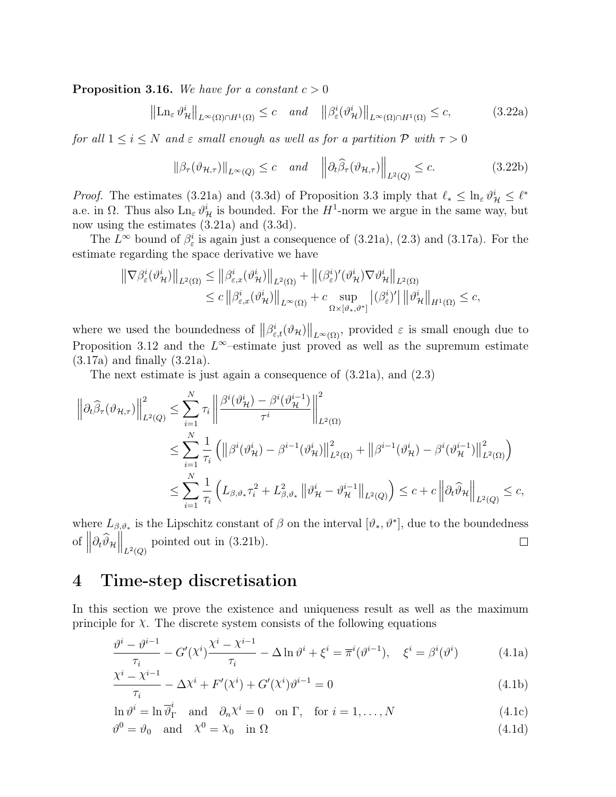**Proposition 3.16.** We have for a constant  $c > 0$ 

$$
\left\|\operatorname{Ln}_{\varepsilon} \vartheta_{\mathcal{H}}^{i}\right\|_{L^{\infty}(\Omega)\cap H^{1}(\Omega)} \leq c \quad \text{and} \quad \left\|\beta_{\varepsilon}^{i}(\vartheta_{\mathcal{H}}^{i})\right\|_{L^{\infty}(\Omega)\cap H^{1}(\Omega)} \leq c,
$$
 (3.22a)

for all  $1 \leq i \leq N$  and  $\varepsilon$  small enough as well as for a partition  $P$  with  $\tau > 0$ 

$$
\|\beta_{\tau}(\vartheta_{\mathcal{H},\tau})\|_{L^{\infty}(Q)} \le c \quad \text{and} \quad \left\|\partial_t\widehat{\beta}_{\tau}(\vartheta_{\mathcal{H},\tau})\right\|_{L^2(Q)} \le c. \tag{3.22b}
$$

*Proof.* The estimates (3.21a) and (3.3d) of Proposition 3.3 imply that  $\ell_* \leq \ln_{\varepsilon} \vartheta^i_{\mathcal{H}} \leq \ell^*$ a.e. in  $\Omega$ . Thus also  $\text{Ln}_{\varepsilon} \vartheta^i_{\mathcal{H}}$  is bounded. For the  $H^1$ -norm we argue in the same way, but now using the estimates  $(3.21a)$  and  $(3.3d)$ .

The  $L^{\infty}$  bound of  $\beta_{\varepsilon}^{i}$  is again just a consequence of (3.21a), (2.3) and (3.17a). For the estimate regarding the space derivative we have

$$
\|\nabla \beta_{\varepsilon}^{i}(\vartheta_{\mathcal{H}}^{i})\|_{L^{2}(\Omega)} \leq \|\beta_{\varepsilon,x}^{i}(\vartheta_{\mathcal{H}}^{i})\|_{L^{2}(\Omega)} + \|(\beta_{\varepsilon}^{i})'(\vartheta_{\mathcal{H}}^{i})\nabla \vartheta_{\mathcal{H}}^{i}\|_{L^{2}(\Omega)}
$$
  

$$
\leq c\|\beta_{\varepsilon,x}^{i}(\vartheta_{\mathcal{H}}^{i})\|_{L^{\infty}(\Omega)} + c \sup_{\Omega \times [\vartheta_{\ast},\vartheta^{\ast}]} |(\beta_{\varepsilon}^{i})'|\|\vartheta_{\mathcal{H}}^{i}\|_{H^{1}(\Omega)} \leq c,
$$

where we used the boundedness of  $\|\beta^i_{\varepsilon,t}(\vartheta_{\mathcal{H}})\|_{L^{\infty}(\Omega)}$ , provided  $\varepsilon$  is small enough due to Proposition 3.12 and the  $L^{\infty}$ -estimate just proved as well as the supremum estimate (3.17a) and finally (3.21a).

The next estimate is just again a consequence of (3.21a), and (2.3)

$$
\left\| \partial_t \widehat{\beta}_{\tau} (\vartheta_{\mathcal{H},\tau}) \right\|_{L^2(Q)}^2 \leq \sum_{i=1}^N \tau_i \left\| \frac{\beta^i (\vartheta_{\mathcal{H}}^i) - \beta^i (\vartheta_{\mathcal{H}}^{i-1})}{\tau^i} \right\|_{L^2(\Omega)}^2
$$
  

$$
\leq \sum_{i=1}^N \frac{1}{\tau_i} \left( \left\| \beta^i (\vartheta_{\mathcal{H}}^i) - \beta^{i-1} (\vartheta_{\mathcal{H}}^i) \right\|_{L^2(\Omega)}^2 + \left\| \beta^{i-1} (\vartheta_{\mathcal{H}}^i) - \beta^i (\vartheta_{\mathcal{H}}^{i-1}) \right\|_{L^2(\Omega)}^2 \right)
$$
  

$$
\leq \sum_{i=1}^N \frac{1}{\tau_i} \left( L_{\beta, \vartheta_*} \tau_i^2 + L_{\beta, \vartheta_*}^2 \left\| \vartheta_{\mathcal{H}}^i - \vartheta_{\mathcal{H}}^{i-1} \right\|_{L^2(Q)} \right) \leq c + c \left\| \partial_t \widehat{\vartheta}_{\mathcal{H}} \right\|_{L^2(Q)} \leq c,
$$

where  $L_{\beta,\vartheta_*}$  is the Lipschitz constant of  $\beta$  on the interval  $[\vartheta_*,\vartheta^*]$ , due to the boundedness of  $\left\|\partial_t \widehat{\vartheta}_H\right\|_{L^2(Q)}$  pointed out in (3.21b).  $\Box$ 

# 4 Time-step discretisation

In this section we prove the existence and uniqueness result as well as the maximum principle for  $\chi$ . The discrete system consists of the following equations

$$
\frac{\vartheta^{i} - \vartheta^{i-1}}{\tau_i} - G'(\chi^{i}) \frac{\chi^{i} - \chi^{i-1}}{\tau_i} - \Delta \ln \vartheta^{i} + \xi^{i} = \overline{\pi}^{i}(\vartheta^{i-1}), \quad \xi^{i} = \beta^{i}(\vartheta^{i})
$$
(4.1a)

$$
\frac{\chi^{i} - \chi^{i-1}}{\tau_i} - \Delta \chi^{i} + F'(\chi^{i}) + G'(\chi^{i})\vartheta^{i-1} = 0
$$
\n(4.1b)

$$
\ln \vartheta^i = \ln \overline{\vartheta}_\Gamma^i \quad \text{and} \quad \partial_n \chi^i = 0 \quad \text{on } \Gamma, \quad \text{for } i = 1, \dots, N \tag{4.1c}
$$

$$
\vartheta^0 = \vartheta_0 \quad \text{and} \quad \chi^0 = \chi_0 \quad \text{in } \Omega \tag{4.1d}
$$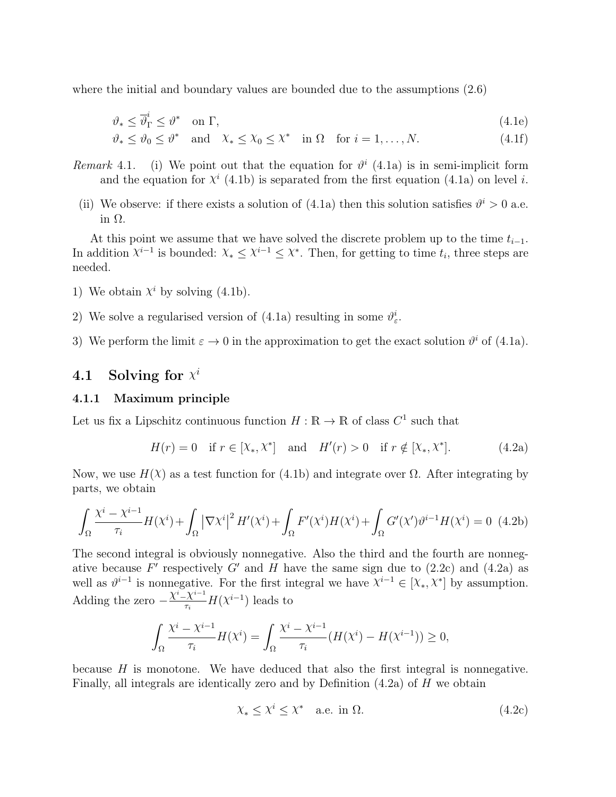where the initial and boundary values are bounded due to the assumptions (2.6)

$$
\vartheta_* \le \overline{\vartheta}_{\Gamma}^i \le \vartheta^* \quad \text{on } \Gamma,\tag{4.1e}
$$

$$
\vartheta_* \le \vartheta_0 \le \vartheta^* \quad \text{and} \quad \chi_* \le \chi_0 \le \chi^* \quad \text{in } \Omega \quad \text{for } i = 1, \dots, N. \tag{4.1f}
$$

- Remark 4.1. (i) We point out that the equation for  $\vartheta^i$  (4.1a) is in semi-implicit form and the equation for  $\chi^{i}$  (4.1b) is separated from the first equation (4.1a) on level *i*.
- (ii) We observe: if there exists a solution of (4.1a) then this solution satisfies  $\vartheta^i > 0$  a.e. in Ω.

At this point we assume that we have solved the discrete problem up to the time  $t_{i-1}$ . In addition  $\chi^{i-1}$  is bounded:  $\chi^* \leq \chi^{i-1} \leq \chi^*$ . Then, for getting to time  $t_i$ , three steps are needed.

- 1) We obtain  $\chi^i$  by solving (4.1b).
- 2) We solve a regularised version of (4.1a) resulting in some  $\vartheta_{\varepsilon}^{i}$ .
- 3) We perform the limit  $\varepsilon \to 0$  in the approximation to get the exact solution  $\vartheta^i$  of (4.1a).

# 4.1 Solving for  $\chi^i$

### 4.1.1 Maximum principle

Let us fix a Lipschitz continuous function  $H : \mathbb{R} \to \mathbb{R}$  of class  $C^1$  such that

$$
H(r) = 0
$$
 if  $r \in [X_*, X^*]$  and  $H'(r) > 0$  if  $r \notin [X_*, X^*]$ . (4.2a)

Now, we use  $H(\chi)$  as a test function for (4.1b) and integrate over  $\Omega$ . After integrating by parts, we obtain

$$
\int_{\Omega} \frac{\chi^i - \chi^{i-1}}{\tau_i} H(\chi^i) + \int_{\Omega} \left| \nabla \chi^i \right|^2 H'(\chi^i) + \int_{\Omega} F'(\chi^i) H(\chi^i) + \int_{\Omega} G'(\chi') \vartheta^{i-1} H(\chi^i) = 0 \tag{4.2b}
$$

The second integral is obviously nonnegative. Also the third and the fourth are nonnegative because F' respectively G' and H have the same sign due to  $(2.2c)$  and  $(4.2a)$  as well as  $\vartheta^{i-1}$  is nonnegative. For the first integral we have  $\chi^{i-1} \in [\chi_*, \chi^*]$  by assumption. Adding the zero  $-\frac{\chi^i-\chi^{i-1}}{\tau}$  $\frac{X^{i-1}}{\tau_i}H(\chi^{i-1})$  leads to

$$
\int_{\Omega} \frac{\chi^{i} - \chi^{i-1}}{\tau_i} H(\chi^{i}) = \int_{\Omega} \frac{\chi^{i} - \chi^{i-1}}{\tau_i} (H(\chi^{i}) - H(\chi^{i-1})) \ge 0,
$$

because H is monotone. We have deduced that also the first integral is nonnegative. Finally, all integrals are identically zero and by Definition (4.2a) of H we obtain

$$
\chi_* \le \chi^i \le \chi^* \quad \text{a.e. in } \Omega. \tag{4.2c}
$$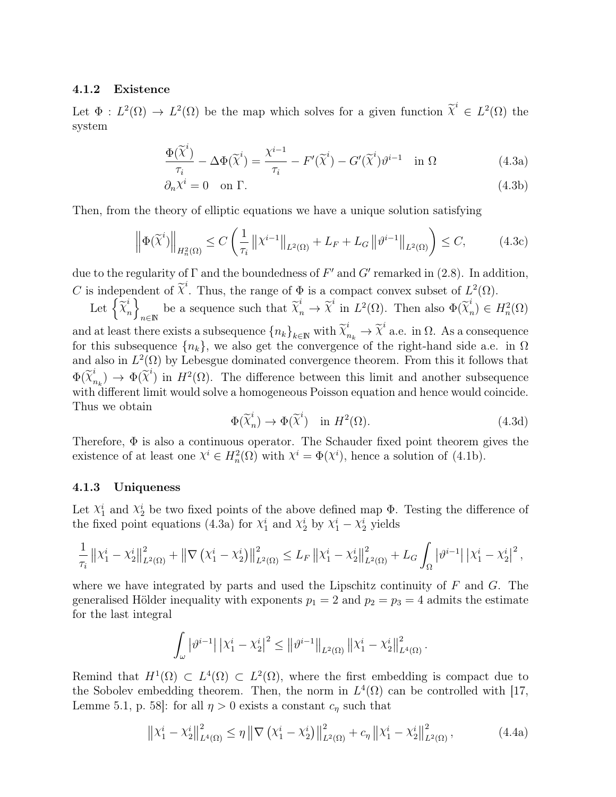### 4.1.2 Existence

Let  $\Phi: L^2(\Omega) \to L^2(\Omega)$  be the map which solves for a given function  $\tilde{\chi}^i \in L^2(\Omega)$  the system

$$
\frac{\Phi(\widetilde{\chi}^i)}{\tau_i} - \Delta \Phi(\widetilde{\chi}^i) = \frac{\chi^{i-1}}{\tau_i} - F'(\widetilde{\chi}^i) - G'(\widetilde{\chi}^i)\vartheta^{i-1} \quad \text{in } \Omega \tag{4.3a}
$$

$$
\partial_n \chi^i = 0 \quad \text{on } \Gamma. \tag{4.3b}
$$

Then, from the theory of elliptic equations we have a unique solution satisfying

$$
\left\|\Phi(\widetilde{\chi}^i)\right\|_{H_n^2(\Omega)} \le C\left(\frac{1}{\tau_i} \left\|\chi^{i-1}\right\|_{L^2(\Omega)} + L_F + L_G \left\|\vartheta^{i-1}\right\|_{L^2(\Omega)}\right) \le C,\tag{4.3c}
$$

due to the regularity of  $\Gamma$  and the boundedness of  $F'$  and  $G'$  remarked in (2.8). In addition, C is independent of  $\tilde{\chi}^i$ . Thus, the range of  $\Phi$  is a compact convex subset of  $L^2(\Omega)$ .

Let  $\left\{ \widetilde{\chi}_{r}^{i}\right\}$  $\begin{matrix} i \\ n \end{matrix}$ be a sequence such that  $\tilde{\chi}_n^i \to \tilde{\chi}^i$  in  $L^2(\Omega)$ . Then also  $\Phi(\tilde{\chi}_n^i)$  $n \choose n$   $\in H_n^2(\Omega)$ and at least there exists a subsequence  ${n_k}_{k\in\mathbb{N}}$  with  $\widetilde{\chi}_{n_k}^i \to \widetilde{\chi}_{n_k}^i$  a.e. in  $\Omega$ . As a consequence for this subsequence  ${n_k}$ , we also get the convergence of the right-hand side a.e. in  $\Omega$ and also in  $L^2(\Omega)$  by Lebesgue dominated convergence theorem. From this it follows that  $\Phi(\widetilde{\chi}_{i}^{i})$  $\begin{bmatrix} i \ n_k \end{bmatrix} \rightarrow \Phi(\widetilde{\chi}^i)$  in  $H^2(\Omega)$ . The difference between this limit and another subsequence with different limit would solve a homogeneous Poisson equation and hence would coincide. Thus we obtain

$$
\Phi(\widetilde{\chi}_n^i) \to \Phi(\widetilde{\chi}^i) \quad \text{in } H^2(\Omega). \tag{4.3d}
$$

Therefore,  $\Phi$  is also a continuous operator. The Schauder fixed point theorem gives the existence of at least one  $\chi^i \in H_n^2(\Omega)$  with  $\chi^i = \Phi(\chi^i)$ , hence a solution of (4.1b).

### 4.1.3 Uniqueness

Let  $\chi_1^i$  and  $\chi_2^i$  be two fixed points of the above defined map  $\Phi$ . Testing the difference of the fixed point equations (4.3a) for  $\chi_1^i$  and  $\chi_2^i$  by  $\chi_1^i - \chi_2^i$  yields

$$
\frac{1}{\tau_i} \left\| \chi_1^i - \chi_2^i \right\|_{L^2(\Omega)}^2 + \left\| \nabla \left( \chi_1^i - \chi_2^i \right) \right\|_{L^2(\Omega)}^2 \le L_F \left\| \chi_1^i - \chi_2^i \right\|_{L^2(\Omega)}^2 + L_G \int_{\Omega} \left| \vartheta^{i-1} \right| \left| \chi_1^i - \chi_2^i \right|^2,
$$

where we have integrated by parts and used the Lipschitz continuity of  $F$  and  $G$ . The generalised Hölder inequality with exponents  $p_1 = 2$  and  $p_2 = p_3 = 4$  admits the estimate for the last integral

$$
\int_{\omega} \left| \vartheta^{i-1} \right| \left| \chi_1^i - \chi_2^i \right|^2 \leq \left\| \vartheta^{i-1} \right\|_{L^2(\Omega)} \left\| \chi_1^i - \chi_2^i \right\|_{L^4(\Omega)}^2.
$$

Remind that  $H^1(\Omega) \subset L^4(\Omega) \subset L^2(\Omega)$ , where the first embedding is compact due to the Sobolev embedding theorem. Then, the norm in  $L^4(\Omega)$  can be controlled with [17, Lemme 5.1, p. 58]: for all  $\eta > 0$  exists a constant  $c_{\eta}$  such that

$$
\left\| \chi_1^i - \chi_2^i \right\|_{L^4(\Omega)}^2 \le \eta \left\| \nabla \left( \chi_1^i - \chi_2^i \right) \right\|_{L^2(\Omega)}^2 + c_\eta \left\| \chi_1^i - \chi_2^i \right\|_{L^2(\Omega)}^2, \tag{4.4a}
$$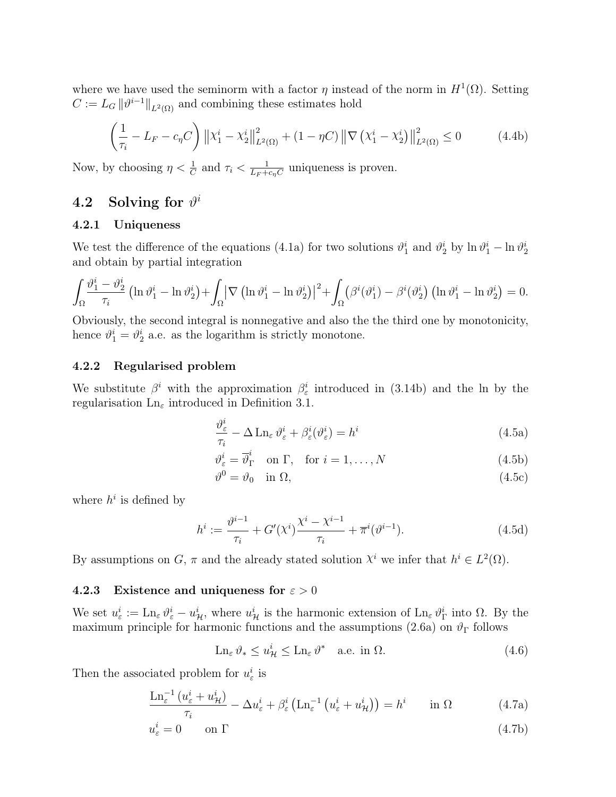where we have used the seminorm with a factor  $\eta$  instead of the norm in  $H^1(\Omega)$ . Setting  $C := L_G ||\vartheta^{i-1}||_{L^2(\Omega)}$  and combining these estimates hold

$$
\left(\frac{1}{\tau_i} - L_F - c_{\eta} C\right) \left\| \chi_1^i - \chi_2^i \right\|_{L^2(\Omega)}^2 + (1 - \eta C) \left\| \nabla \left( \chi_1^i - \chi_2^i \right) \right\|_{L^2(\Omega)}^2 \le 0 \tag{4.4b}
$$

Now, by choosing  $\eta < \frac{1}{C}$  and  $\tau_i < \frac{1}{L_F + 1}$  $\frac{1}{L_F + c_\eta C}$  uniqueness is proven.

# $4.2$  Solving for  $\vartheta^i$

#### 4.2.1 Uniqueness

We test the difference of the equations (4.1a) for two solutions  $\vartheta_1^i$  and  $\vartheta_2^i$  by  $\ln \vartheta_1^i - \ln \vartheta_2^i$ and obtain by partial integration

$$
\int_{\Omega} \frac{\vartheta_1^i - \vartheta_2^i}{\tau_i} \left( \ln \vartheta_1^i - \ln \vartheta_2^i \right) + \int_{\Omega} \left| \nabla \left( \ln \vartheta_1^i - \ln \vartheta_2^i \right) \right|^2 + \int_{\Omega} \left( \beta^i (\vartheta_1^i) - \beta^i (\vartheta_2^i) \left( \ln \vartheta_1^i - \ln \vartheta_2^i \right) \right) = 0.
$$

Obviously, the second integral is nonnegative and also the the third one by monotonicity, hence  $\vartheta_1^i = \vartheta_2^i$  a.e. as the logarithm is strictly monotone.

#### 4.2.2 Regularised problem

We substitute  $\beta^i$  with the approximation  $\beta^i_{\varepsilon}$  introduced in (3.14b) and the ln by the regularisation  $\text{Ln}_{\varepsilon}$  introduced in Definition 3.1.

$$
\frac{\partial_{\varepsilon}^{i}}{\tau_{i}} - \Delta \operatorname{Ln}_{\varepsilon} \vartheta_{\varepsilon}^{i} + \beta_{\varepsilon}^{i} (\vartheta_{\varepsilon}^{i}) = h^{i}
$$
\n(4.5a)

$$
\vartheta_{\varepsilon}^{i} = \overline{\vartheta}_{\Gamma}^{i} \quad \text{on } \Gamma, \quad \text{for } i = 1, \dots, N \tag{4.5b}
$$

$$
\vartheta^0 = \vartheta_0 \quad \text{in } \Omega,\tag{4.5c}
$$

where  $h^i$  is defined by

$$
h^{i} := \frac{\vartheta^{i-1}}{\tau_i} + G'(\chi^{i}) \frac{\chi^{i} - \chi^{i-1}}{\tau_i} + \overline{\pi}^{i}(\vartheta^{i-1}).
$$
\n(4.5d)

By assumptions on G,  $\pi$  and the already stated solution  $\chi^i$  we infer that  $h^i \in L^2(\Omega)$ .

#### 4.2.3 Existence and uniqueness for  $\varepsilon > 0$

We set  $u_{\varepsilon}^i := \text{Ln}_{\varepsilon} \vartheta_{\varepsilon}^i - u_{\mathcal{H}}^i$ , where  $u_{\mathcal{H}}^i$  is the harmonic extension of  $\text{Ln}_{\varepsilon} \vartheta_{\Gamma}^i$  into  $\Omega$ . By the maximum principle for harmonic functions and the assumptions (2.6a) on  $\vartheta_{\Gamma}$  follows

$$
\operatorname{Ln}_{\varepsilon} \vartheta_* \le u^i_{\mathcal{H}} \le \operatorname{Ln}_{\varepsilon} \vartheta^* \quad \text{a.e. in } \Omega. \tag{4.6}
$$

Then the associated problem for  $u_{\varepsilon}^{i}$  is

$$
\frac{\text{Ln}_{\varepsilon}^{-1} \left( u_{\varepsilon}^{i} + u_{\mathcal{H}}^{i} \right)}{\tau_{i}} - \Delta u_{\varepsilon}^{i} + \beta_{\varepsilon}^{i} \left( \text{Ln}_{\varepsilon}^{-1} \left( u_{\varepsilon}^{i} + u_{\mathcal{H}}^{i} \right) \right) = h^{i} \qquad \text{in } \Omega \tag{4.7a}
$$

$$
u_{\varepsilon}^{i} = 0 \qquad \text{on } \Gamma \tag{4.7b}
$$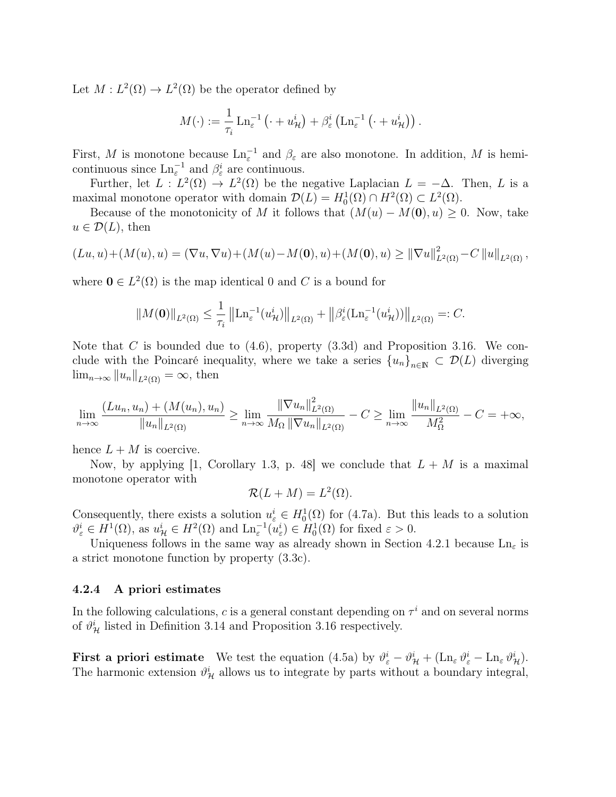Let  $M: L^2(\Omega) \to L^2(\Omega)$  be the operator defined by

$$
M(\cdot) := \frac{1}{\tau_i} \operatorname{Ln}_{\varepsilon}^{-1} \left( \cdot + u_{\mathcal{H}}^{i} \right) + \beta_{\varepsilon}^{i} \left( \operatorname{Ln}_{\varepsilon}^{-1} \left( \cdot + u_{\mathcal{H}}^{i} \right) \right).
$$

First, M is monotone because  $\text{Ln}_{\varepsilon}^{-1}$  and  $\beta_{\varepsilon}$  are also monotone. In addition, M is hemicontinuous since  $\text{Ln}_{\varepsilon}^{-1}$  and  $\beta_{\varepsilon}^{i}$  are continuous.

Further, let  $L : L^2(\Omega) \to L^2(\Omega)$  be the negative Laplacian  $L = -\Delta$ . Then, L is a maximal monotone operator with domain  $\mathcal{D}(L) = H_0^1(\Omega) \cap H^2(\Omega) \subset L^2(\Omega)$ .

Because of the monotonicity of M it follows that  $(M(u) - M(0), u) \geq 0$ . Now, take  $u \in \mathcal{D}(L)$ , then

$$
(Lu, u) + (M(u), u) = (\nabla u, \nabla u) + (M(u) - M(0), u) + (M(0), u) \ge ||\nabla u||_{L^{2}(\Omega)}^{2} - C ||u||_{L^{2}(\Omega)},
$$

where  $\mathbf{0} \in L^2(\Omega)$  is the map identical 0 and C is a bound for

$$
||M(\mathbf{0})||_{L^2(\Omega)} \leq \frac{1}{\tau_i} ||\mathrm{Ln}_{\varepsilon}^{-1}(u_{\mathcal{H}}^i)||_{L^2(\Omega)} + ||\beta_{\varepsilon}^i(\mathrm{Ln}_{\varepsilon}^{-1}(u_{\mathcal{H}}^i))||_{L^2(\Omega)} =: C.
$$

Note that C is bounded due to  $(4.6)$ , property  $(3.3d)$  and Proposition 3.16. We conclude with the Poincaré inequality, where we take a series  ${u_n}_{n\in\mathbb{N}} \subset \mathcal{D}(L)$  diverging  $\lim_{n\to\infty}||u_n||_{L^2(\Omega)}=\infty$ , then

$$
\lim_{n \to \infty} \frac{(Lu_n, u_n) + (M(u_n), u_n)}{\|u_n\|_{L^2(\Omega)}} \ge \lim_{n \to \infty} \frac{\|\nabla u_n\|_{L^2(\Omega)}^2}{M_{\Omega} \|\nabla u_n\|_{L^2(\Omega)}} - C \ge \lim_{n \to \infty} \frac{\|u_n\|_{L^2(\Omega)}}{M_{\Omega}^2} - C = +\infty,
$$

hence  $L + M$  is coercive.

Now, by applying [1, Corollary 1.3, p. 48] we conclude that  $L + M$  is a maximal monotone operator with

$$
\mathcal{R}(L+M) = L^2(\Omega).
$$

Consequently, there exists a solution  $u_{\varepsilon}^i \in H_0^1(\Omega)$  for (4.7a). But this leads to a solution  $\vartheta_{\varepsilon}^{i} \in H^{1}(\Omega)$ , as  $u_{\mathcal{H}}^{i} \in H^{2}(\Omega)$  and  $\text{Ln}_{\varepsilon}^{-1}(u_{\varepsilon}^{i}) \in H_{0}^{1}(\Omega)$  for fixed  $\varepsilon > 0$ .

Uniqueness follows in the same way as already shown in Section 4.2.1 because  $\text{Ln}_{\varepsilon}$  is a strict monotone function by property (3.3c).

#### 4.2.4 A priori estimates

In the following calculations, c is a general constant depending on  $\tau^i$  and on several norms of  $\vartheta^i_{\mathcal{H}}$  listed in Definition 3.14 and Proposition 3.16 respectively.

**First a priori estimate** We test the equation  $(4.5a)$  by  $\vartheta_{\varepsilon}^{i} - \vartheta_{\mathcal{H}}^{i} + (\text{Ln}_{\varepsilon} \vartheta_{\varepsilon}^{i} - \text{Ln}_{\varepsilon} \vartheta_{\mathcal{H}}^{i}).$ The harmonic extension  $\vartheta^i_{\mathcal{H}}$  allows us to integrate by parts without a boundary integral,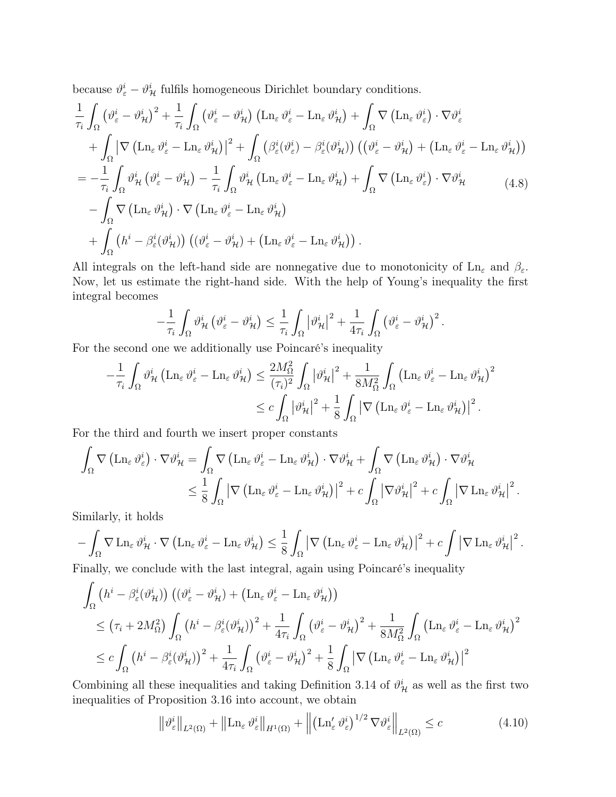because  $\vartheta_{\varepsilon}^{i} - \vartheta_{\mathcal{H}}^{i}$  fulfils homogeneous Dirichlet boundary conditions.

$$
\frac{1}{\tau_{i}} \int_{\Omega} \left( \vartheta_{\varepsilon}^{i} - \vartheta_{\mathcal{H}}^{i} \right)^{2} + \frac{1}{\tau_{i}} \int_{\Omega} \left( \vartheta_{\varepsilon}^{i} - \vartheta_{\mathcal{H}}^{i} \right) \left( \mathrm{Ln}_{\varepsilon} \vartheta_{\varepsilon}^{i} - \mathrm{Ln}_{\varepsilon} \vartheta_{\mathcal{H}}^{i} \right) + \int_{\Omega} \nabla \left( \mathrm{Ln}_{\varepsilon} \vartheta_{\varepsilon}^{i} \right) \cdot \nabla \vartheta_{\varepsilon}^{i} \n+ \int_{\Omega} \left| \nabla \left( \mathrm{Ln}_{\varepsilon} \vartheta_{\varepsilon}^{i} - \mathrm{Ln}_{\varepsilon} \vartheta_{\mathcal{H}}^{i} \right) \right|^{2} + \int_{\Omega} \left( \beta_{\varepsilon}^{i} (\vartheta_{\varepsilon}^{i}) - \beta_{\varepsilon}^{i} (\vartheta_{\mathcal{H}}^{i}) \right) \left( \left( \vartheta_{\varepsilon}^{i} - \vartheta_{\mathcal{H}}^{i} \right) + \left( \mathrm{Ln}_{\varepsilon} \vartheta_{\varepsilon}^{i} - \mathrm{Ln}_{\varepsilon} \vartheta_{\mathcal{H}}^{i} \right) \right) \n= -\frac{1}{\tau_{i}} \int_{\Omega} \vartheta_{\mathcal{H}}^{i} \left( \vartheta_{\varepsilon}^{i} - \vartheta_{\mathcal{H}}^{i} \right) - \frac{1}{\tau_{i}} \int_{\Omega} \vartheta_{\mathcal{H}}^{i} \left( \mathrm{Ln}_{\varepsilon} \vartheta_{\varepsilon}^{i} - \mathrm{Ln}_{\varepsilon} \vartheta_{\mathcal{H}}^{i} \right) + \int_{\Omega} \nabla \left( \mathrm{Ln}_{\varepsilon} \vartheta_{\varepsilon}^{i} \right) \cdot \nabla \vartheta_{\mathcal{H}}^{i} \qquad (4.8)
$$
\n
$$
- \int_{\Omega} \nabla \left( \mathrm{Ln}_{\varepsilon} \vartheta_{\mathcal{H}}^{i} \right) \cdot \nabla \left( \mathrm{Ln}_{\varepsilon} \vartheta_{\varepsilon}^{i} - \mathrm{Ln}_{\varepsilon} \vartheta_{\mathcal{H}}^{i} \right) \
$$

All integrals on the left-hand side are nonnegative due to monotonicity of Ln<sub>ε</sub> and  $\beta_{\varepsilon}$ . Now, let us estimate the right-hand side. With the help of Young's inequality the first integral becomes

$$
-\frac{1}{\tau_i} \int_{\Omega} \vartheta_{\mathcal{H}}^i \left( \vartheta_{\varepsilon}^i - \vartheta_{\mathcal{H}}^i \right) \leq \frac{1}{\tau_i} \int_{\Omega} \left| \vartheta_{\mathcal{H}}^i \right|^2 + \frac{1}{4\tau_i} \int_{\Omega} \left( \vartheta_{\varepsilon}^i - \vartheta_{\mathcal{H}}^i \right)^2.
$$

For the second one we additionally use Poincaré's inequality

$$
-\frac{1}{\tau_i} \int_{\Omega} \vartheta_{\mathcal{H}}^i \left( \mathrm{Ln}_{\varepsilon} \vartheta_{\varepsilon}^i - \mathrm{Ln}_{\varepsilon} \vartheta_{\mathcal{H}}^i \right) \leq \frac{2M_{\Omega}^2}{(\tau_i)^2} \int_{\Omega} |\vartheta_{\mathcal{H}}^i|^2 + \frac{1}{8M_{\Omega}^2} \int_{\Omega} \left( \mathrm{Ln}_{\varepsilon} \vartheta_{\varepsilon}^i - \mathrm{Ln}_{\varepsilon} \vartheta_{\mathcal{H}}^i \right)^2
$$
  

$$
\leq c \int_{\Omega} |\vartheta_{\mathcal{H}}^i|^2 + \frac{1}{8} \int_{\Omega} |\nabla \left( \mathrm{Ln}_{\varepsilon} \vartheta_{\varepsilon}^i - \mathrm{Ln}_{\varepsilon} \vartheta_{\mathcal{H}}^i \right)|^2.
$$

For the third and fourth we insert proper constants

$$
\int_{\Omega} \nabla \left( \mathrm{Ln}_{\varepsilon} \,\vartheta_{\varepsilon}^{i} \right) \cdot \nabla \vartheta_{\mathcal{H}}^{i} = \int_{\Omega} \nabla \left( \mathrm{Ln}_{\varepsilon} \,\vartheta_{\varepsilon}^{i} - \mathrm{Ln}_{\varepsilon} \,\vartheta_{\mathcal{H}}^{i} \right) \cdot \nabla \vartheta_{\mathcal{H}}^{i} + \int_{\Omega} \nabla \left( \mathrm{Ln}_{\varepsilon} \,\vartheta_{\mathcal{H}}^{i} \right) \cdot \nabla \vartheta_{\mathcal{H}}^{i}
$$

$$
\leq \frac{1}{8} \int_{\Omega} \left| \nabla \left( \mathrm{Ln}_{\varepsilon} \,\vartheta_{\varepsilon}^{i} - \mathrm{Ln}_{\varepsilon} \,\vartheta_{\mathcal{H}}^{i} \right) \right|^{2} + c \int_{\Omega} \left| \nabla \vartheta_{\mathcal{H}}^{i} \right|^{2} + c \int_{\Omega} \left| \nabla \mathrm{Ln}_{\varepsilon} \,\vartheta_{\mathcal{H}}^{i} \right|^{2}.
$$

Similarly, it holds

$$
-\int_{\Omega} \nabla \operatorname{Ln}_{\varepsilon} \vartheta_{\mathcal{H}}^i \cdot \nabla \left( \operatorname{Ln}_{\varepsilon} \vartheta_{\varepsilon}^i - \operatorname{Ln}_{\varepsilon} \vartheta_{\mathcal{H}}^i \right) \leq \frac{1}{8} \int_{\Omega} \left| \nabla \left( \operatorname{Ln}_{\varepsilon} \vartheta_{\varepsilon}^i - \operatorname{Ln}_{\varepsilon} \vartheta_{\mathcal{H}}^i \right) \right|^2 + c \int \left| \nabla \operatorname{Ln}_{\varepsilon} \vartheta_{\mathcal{H}}^i \right|^2.
$$
  
Finally, we can check with the last integral, again using Riemann's inequality, in equality.

Finally, we conclude with the last integral, again using Poincaré's inequality

$$
\int_{\Omega} (h^{i} - \beta_{\varepsilon}^{i}(\vartheta_{\mathcal{H}}^{i})) \left( (\vartheta_{\varepsilon}^{i} - \vartheta_{\mathcal{H}}^{i}) + (\mathrm{Ln}_{\varepsilon} \vartheta_{\varepsilon}^{i} - \mathrm{Ln}_{\varepsilon} \vartheta_{\mathcal{H}}^{i}) \right) \n\leq (\tau_{i} + 2M_{\Omega}^{2}) \int_{\Omega} (h^{i} - \beta_{\varepsilon}^{i}(\vartheta_{\mathcal{H}}^{i}))^{2} + \frac{1}{4\tau_{i}} \int_{\Omega} (\vartheta_{\varepsilon}^{i} - \vartheta_{\mathcal{H}}^{i})^{2} + \frac{1}{8M_{\Omega}^{2}} \int_{\Omega} (\mathrm{Ln}_{\varepsilon} \vartheta_{\varepsilon}^{i} - \mathrm{Ln}_{\varepsilon} \vartheta_{\mathcal{H}}^{i})^{2} \n\leq c \int_{\Omega} (h^{i} - \beta_{\varepsilon}^{i}(\vartheta_{\mathcal{H}}^{i}))^{2} + \frac{1}{4\tau_{i}} \int_{\Omega} (\vartheta_{\varepsilon}^{i} - \vartheta_{\mathcal{H}}^{i})^{2} + \frac{1}{8} \int_{\Omega} |\nabla (\mathrm{Ln}_{\varepsilon} \vartheta_{\varepsilon}^{i} - \mathrm{Ln}_{\varepsilon} \vartheta_{\mathcal{H}}^{i})|^{2}
$$

Combining all these inequalities and taking Definition 3.14 of  $\vartheta^i_{\mathcal{H}}$  as well as the first two inequalities of Proposition 3.16 into account, we obtain

$$
\left\|\vartheta_{\varepsilon}^{i}\right\|_{L^{2}(\Omega)} + \left\|\operatorname{Ln}_{\varepsilon} \vartheta_{\varepsilon}^{i}\right\|_{H^{1}(\Omega)} + \left\|\left(\operatorname{Ln}_{\varepsilon}' \vartheta_{\varepsilon}^{i}\right)^{1/2} \nabla \vartheta_{\varepsilon}^{i}\right\|_{L^{2}(\Omega)} \leq c \tag{4.10}
$$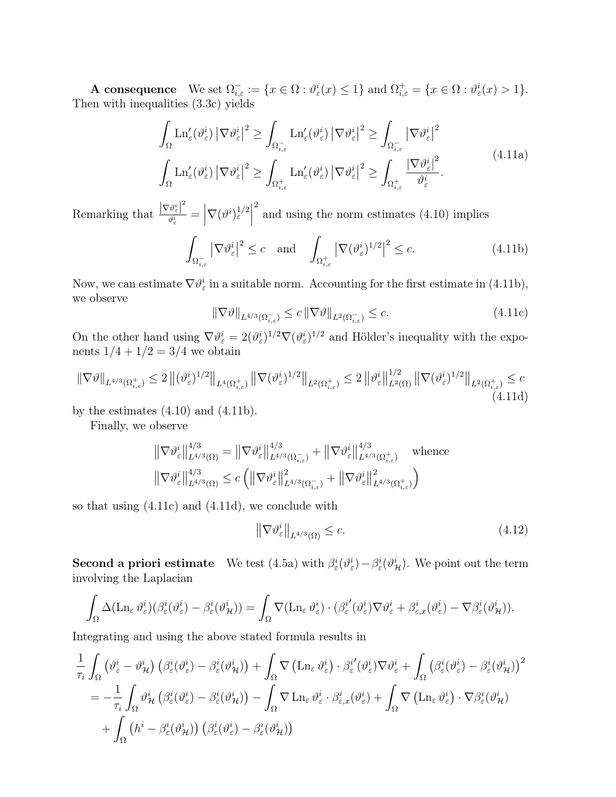**A consequence** We set  $\Omega_{i,\varepsilon}^- := \{x \in \Omega : \vartheta_{\varepsilon}^i(x) \leq 1\}$  and  $\Omega_{i,\varepsilon}^+ = \{x \in \Omega : \vartheta_{\varepsilon}^i(x) > 1\}.$ Then with inequalities (3.3c) yields

$$
\int_{\Omega} \mathrm{Ln}_{\varepsilon}'(\vartheta_{\varepsilon}^{i}) \left| \nabla \vartheta_{\varepsilon}^{i} \right|^{2} \geq \int_{\Omega_{i,\varepsilon}^{-}} \mathrm{Ln}_{\varepsilon}'(\vartheta_{\varepsilon}^{i}) \left| \nabla \vartheta_{\varepsilon}^{i} \right|^{2} \geq \int_{\Omega_{i,\varepsilon}^{-}} \left| \nabla \vartheta_{\varepsilon}^{i} \right|^{2}
$$
\n
$$
\int_{\Omega} \mathrm{Ln}_{\varepsilon}'(\vartheta_{\varepsilon}^{i}) \left| \nabla \vartheta_{\varepsilon}^{i} \right|^{2} \geq \int_{\Omega_{i,\varepsilon}^{+}} \mathrm{Ln}_{\varepsilon}'(\vartheta_{\varepsilon}^{i}) \left| \nabla \vartheta_{\varepsilon}^{i} \right|^{2} \geq \int_{\Omega_{i,\varepsilon}^{+}} \frac{\left| \nabla \vartheta_{\varepsilon}^{i} \right|^{2}}{\vartheta_{\varepsilon}^{i}}.
$$
\n(4.11a)

Remarking that  $\frac{|\nabla \vartheta_{\varepsilon}^i|^2}{\vartheta_i^i}$  $\frac{\partial \vartheta^i_\varepsilon\big|^2}{\partial \vartheta^i_\varepsilon} = \left|\nabla (\vartheta^i)_\varepsilon^{1/2}\right|$ <sup>2</sup> and using the norm estimates (4.10) implies

$$
\int_{\Omega_{i,\varepsilon}^{-}} \left| \nabla \vartheta_{\varepsilon}^{i} \right|^{2} \leq c \quad \text{and} \quad \int_{\Omega_{i,\varepsilon}^{+}} \left| \nabla (\vartheta_{\varepsilon}^{i})^{1/2} \right|^{2} \leq c. \tag{4.11b}
$$

Now, we can estimate  $\nabla \vartheta_{\varepsilon}^{i}$  in a suitable norm. Accounting for the first estimate in (4.11b), we observe

$$
\|\nabla \vartheta\|_{L^{4/3}(\Omega^-_{i,\varepsilon})} \le c \|\nabla \vartheta\|_{L^2(\Omega^-_{i,\varepsilon})} \le c. \tag{4.11c}
$$

On the other hand using  $\nabla \vartheta_{\varepsilon}^{i} = 2(\vartheta_{\varepsilon}^{i})^{1/2} \nabla (\vartheta_{\varepsilon}^{i})^{1/2}$  and Hölder's inequality with the exponents  $1/4 + 1/2 = 3/4$  we obtain

$$
\|\nabla\vartheta\|_{L^{4/3}(\Omega_{i,\varepsilon}^+)} \le 2 \left\| (\vartheta_{\varepsilon}^i)^{1/2} \right\|_{L^4(\Omega_{i,\varepsilon}^+)} \left\| \nabla(\vartheta_{\varepsilon}^i)^{1/2} \right\|_{L^2(\Omega_{i,\varepsilon}^+)} \le 2 \left\| \vartheta_{\varepsilon}^i \right\|_{L^2(\Omega)}^{1/2} \left\| \nabla(\vartheta_{\varepsilon}^i)^{1/2} \right\|_{L^2(\Omega_{i,\varepsilon}^+)} \le c \tag{4.11d}
$$

by the estimates  $(4.10)$  and  $(4.11b)$ .

Finally, we observe

$$
\|\nabla \vartheta_{\varepsilon}^{i}\|_{L^{4/3}(\Omega)}^{4/3} = \|\nabla \vartheta_{\varepsilon}^{i}\|_{L^{4/3}(\Omega_{i,\varepsilon}^{-})}^{4/3} + \|\nabla \vartheta_{\varepsilon}^{i}\|_{L^{4/3}(\Omega_{i,\varepsilon}^{+})}^{4/3} \quad \text{whence}
$$

$$
\|\nabla \vartheta_{\varepsilon}^{i}\|_{L^{4/3}(\Omega)}^{4/3} \le c \left( \|\nabla \vartheta_{\varepsilon}^{i}\|_{L^{4/3}(\Omega_{i,\varepsilon}^{-})}^{2} + \|\nabla \vartheta_{\varepsilon}^{i}\|_{L^{4/3}(\Omega_{i,\varepsilon}^{+})}^{2} \right)
$$

so that using (4.11c) and (4.11d), we conclude with

$$
\left\|\nabla\vartheta_{\varepsilon}^{i}\right\|_{L^{4/3}(\Omega)} \leq c.\tag{4.12}
$$

**Second a priori estimate** We test  $(4.5a)$  with  $\beta_{\varepsilon}^{i}(\vartheta_{\varepsilon}^{i}) - \beta_{\varepsilon}^{i}(\vartheta_{\mathcal{H}}^{i})$ . We point out the term involving the Laplacian

$$
\int_{\Omega} \Delta(\mathrm{Ln}_{\varepsilon} \,\vartheta_{\varepsilon}^{i}) (\beta_{\varepsilon}^{i}(\vartheta_{\varepsilon}^{i}) - \beta_{\varepsilon}^{i}(\vartheta_{\mathcal{H}}^{i})) = \int_{\Omega} \nabla(\mathrm{Ln}_{\varepsilon} \,\vartheta_{\varepsilon}^{i}) \cdot (\beta_{\varepsilon}^{i'}(\vartheta_{\varepsilon}^{i}) \nabla \vartheta_{\varepsilon}^{i} + \beta_{\varepsilon,x}^{i}(\vartheta_{\varepsilon}^{i}) - \nabla \beta_{\varepsilon}^{i}(\vartheta_{\mathcal{H}}^{i})).
$$

Integrating and using the above stated formula results in

$$
\frac{1}{\tau_i} \int_{\Omega} \left( \vartheta_{\varepsilon}^i - \vartheta_{\mathcal{H}}^i \right) \left( \beta_{\varepsilon}^i (\vartheta_{\varepsilon}^i) - \beta_{\varepsilon}^i (\vartheta_{\mathcal{H}}^i) \right) + \int_{\Omega} \nabla \left( \mathrm{Ln}_{\varepsilon} \vartheta_{\varepsilon}^i \right) \cdot \beta_{\varepsilon}^{i'} (\vartheta_{\varepsilon}^i) \nabla \vartheta_{\varepsilon}^i + \int_{\Omega} \left( \beta_{\varepsilon}^i (\vartheta_{\varepsilon}^i) - \beta_{\varepsilon}^i (\vartheta_{\mathcal{H}}^i) \right)^2 \n= -\frac{1}{\tau_i} \int_{\Omega} \vartheta_{\mathcal{H}}^i \left( \beta_{\varepsilon}^i (\vartheta_{\varepsilon}^i) - \beta_{\varepsilon}^i (\vartheta_{\mathcal{H}}^i) \right) - \int_{\Omega} \nabla \mathrm{Ln}_{\varepsilon} \vartheta_{\varepsilon}^i \cdot \beta_{\varepsilon, x}^i (\vartheta_{\varepsilon}^i) + \int_{\Omega} \nabla \left( \mathrm{Ln}_{\varepsilon} \vartheta_{\varepsilon}^i \right) \cdot \nabla \beta_{\varepsilon}^i (\vartheta_{\mathcal{H}}^i) \n+ \int_{\Omega} \left( h^i - \beta_{\varepsilon}^i (\vartheta_{\mathcal{H}}^i) \right) \left( \beta_{\varepsilon}^i (\vartheta_{\varepsilon}^i) - \beta_{\varepsilon}^i (\vartheta_{\mathcal{H}}^i) \right)
$$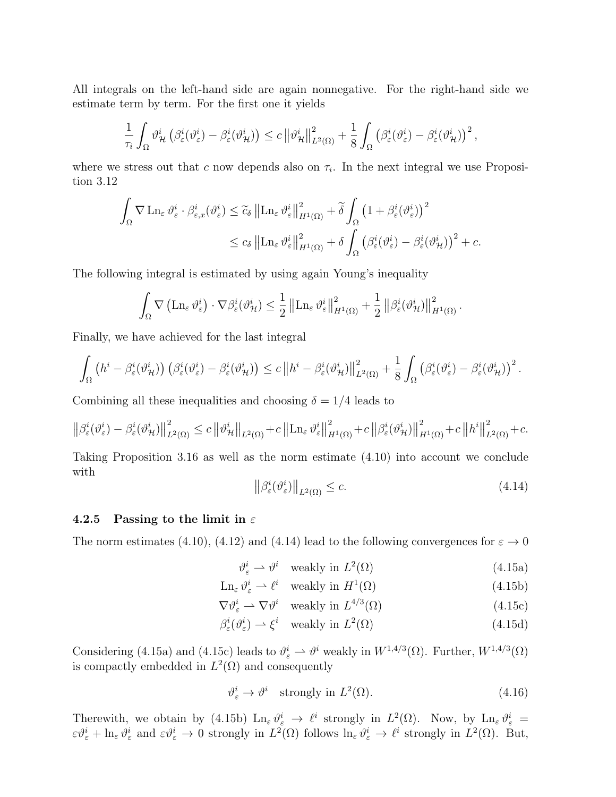All integrals on the left-hand side are again nonnegative. For the right-hand side we estimate term by term. For the first one it yields

$$
\frac{1}{\tau_i} \int_{\Omega} \vartheta_{\mathcal{H}}^i \left( \beta_{\varepsilon}^i (\vartheta_{\varepsilon}^i) - \beta_{\varepsilon}^i (\vartheta_{\mathcal{H}}^i) \right) \leq c \left\| \vartheta_{\mathcal{H}}^i \right\|_{L^2(\Omega)}^2 + \frac{1}{8} \int_{\Omega} \left( \beta_{\varepsilon}^i (\vartheta_{\varepsilon}^i) - \beta_{\varepsilon}^i (\vartheta_{\mathcal{H}}^i) \right)^2,
$$

where we stress out that c now depends also on  $\tau_i$ . In the next integral we use Proposition 3.12

$$
\int_{\Omega} \nabla \operatorname{Ln}_{\varepsilon} \vartheta_{\varepsilon}^{i} \cdot \beta_{\varepsilon,x}^{i} (\vartheta_{\varepsilon}^{i}) \leq \widetilde{c}_{\delta} \left\| \operatorname{Ln}_{\varepsilon} \vartheta_{\varepsilon}^{i} \right\|_{H^{1}(\Omega)}^{2} + \widetilde{\delta} \int_{\Omega} \left( 1 + \beta_{\varepsilon}^{i} (\vartheta_{\varepsilon}^{i}) \right)^{2} \leq c_{\delta} \left\| \operatorname{Ln}_{\varepsilon} \vartheta_{\varepsilon}^{i} \right\|_{H^{1}(\Omega)}^{2} + \delta \int_{\Omega} \left( \beta_{\varepsilon}^{i} (\vartheta_{\varepsilon}^{i}) - \beta_{\varepsilon}^{i} (\vartheta_{\mathcal{H}}^{i}) \right)^{2} + c.
$$

The following integral is estimated by using again Young's inequality

$$
\int_{\Omega} \nabla \left( \mathrm{Ln}_{\varepsilon} \,\vartheta_{\varepsilon}^{i} \right) \cdot \nabla \beta_{\varepsilon}^{i}(\vartheta_{\mathcal{H}}^{i}) \leq \frac{1}{2} \left\| \mathrm{Ln}_{\varepsilon} \,\vartheta_{\varepsilon}^{i} \right\|_{H^{1}(\Omega)}^{2} + \frac{1}{2} \left\| \beta_{\varepsilon}^{i}(\vartheta_{\mathcal{H}}^{i}) \right\|_{H^{1}(\Omega)}^{2}.
$$

Finally, we have achieved for the last integral

$$
\int_{\Omega} \left( h^{i} - \beta_{\varepsilon}^{i}(\vartheta_{\mathcal{H}}^{i}) \right) \left( \beta_{\varepsilon}^{i}(\vartheta_{\varepsilon}^{i}) - \beta_{\varepsilon}^{i}(\vartheta_{\mathcal{H}}^{i}) \right) \leq c \left\| h^{i} - \beta_{\varepsilon}^{i}(\vartheta_{\mathcal{H}}^{i}) \right\|_{L^{2}(\Omega)}^{2} + \frac{1}{8} \int_{\Omega} \left( \beta_{\varepsilon}^{i}(\vartheta_{\varepsilon}^{i}) - \beta_{\varepsilon}^{i}(\vartheta_{\mathcal{H}}^{i}) \right)^{2}.
$$

Combining all these inequalities and choosing  $\delta = 1/4$  leads to

$$
\left\| \beta^i_\varepsilon(\vartheta^i_\varepsilon)-\beta^i_\varepsilon(\vartheta^i_\mathcal{H}) \right\|^2_{L^2(\Omega)} \leq c \left\| \vartheta^i_\mathcal{H} \right\|_{L^2(\Omega)} + c \left\| \mathrm{Ln}_\varepsilon \, \vartheta^i_\varepsilon \right\|^2_{H^1(\Omega)} + c \left\| \beta^i_\varepsilon(\vartheta^i_\mathcal{H}) \right\|^2_{H^1(\Omega)} + c \left\| h^i \right\|^2_{L^2(\Omega)} + c.
$$

Taking Proposition 3.16 as well as the norm estimate (4.10) into account we conclude with  $\sim$ 

$$
\left\| \beta_{\varepsilon}^{i}(\vartheta_{\varepsilon}^{i}) \right\|_{L^{2}(\Omega)} \leq c.
$$
\n(4.14)

### 4.2.5 Passing to the limit in  $\varepsilon$

The norm estimates (4.10), (4.12) and (4.14) lead to the following convergences for  $\varepsilon \to 0$ 

$$
\vartheta_{\varepsilon}^{i} \rightharpoonup \vartheta^{i} \quad \text{weakly in } L^{2}(\Omega) \tag{4.15a}
$$

$$
\operatorname{Ln}_{\varepsilon} \vartheta_{\varepsilon}^{i} \rightharpoonup \ell^{i} \quad \text{weakly in } H^{1}(\Omega) \tag{4.15b}
$$

$$
\nabla \vartheta_{\varepsilon}^{i} \rightharpoonup \nabla \vartheta^{i} \quad \text{weakly in } L^{4/3}(\Omega) \tag{4.15c}
$$

$$
\beta_{\varepsilon}^{i}(\vartheta_{\varepsilon}^{i}) \rightharpoonup \xi^{i} \quad \text{weakly in } L^{2}(\Omega) \tag{4.15d}
$$

Considering (4.15a) and (4.15c) leads to  $\vartheta_{\varepsilon}^{i} \rightharpoonup \vartheta^{i}$  weakly in  $W^{1,4/3}(\Omega)$ . Further,  $W^{1,4/3}(\Omega)$ is compactly embedded in  $L^2(\Omega)$  and consequently

$$
\vartheta_{\varepsilon}^{i} \to \vartheta^{i} \quad \text{strongly in } L^{2}(\Omega). \tag{4.16}
$$

Therewith, we obtain by (4.15b)  $\text{Ln}_{\varepsilon} \vartheta_{\varepsilon}^i \to \ell^i$  strongly in  $L^2(\Omega)$ . Now, by  $\text{Ln}_{\varepsilon} \vartheta_{\varepsilon}^i =$  $\varepsilon \vartheta_{\varepsilon}^{i} + \ln_{\varepsilon} \vartheta_{\varepsilon}^{i}$  and  $\varepsilon \vartheta_{\varepsilon}^{i} \to 0$  strongly in  $L^{2}(\Omega)$  follows  $\ln_{\varepsilon} \vartheta_{\varepsilon}^{i} \to \ell^{i}$  strongly in  $L^{2}(\Omega)$ . But,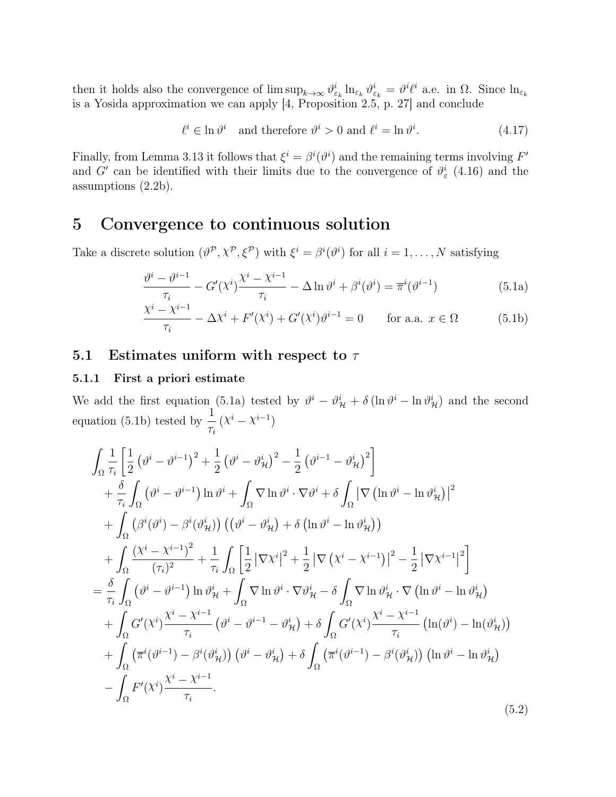then it holds also the convergence of  $\limsup_{k\to\infty} \vartheta_{\varepsilon_k}^i \ln_{\varepsilon_k} \vartheta_{\varepsilon_k}^i = \vartheta^i \ell^i$  a.e. in  $\Omega$ . Since  $\ln_{\varepsilon_k}$ is a Yosida approximation we can apply  $[4,$  Proposition 2.5, p. 27] and conclude

$$
\ell^i \in \ln \vartheta^i \quad \text{and therefore } \vartheta^i > 0 \text{ and } \ell^i = \ln \vartheta^i. \tag{4.17}
$$

Finally, from Lemma 3.13 it follows that  $\xi^i = \beta^i(\vartheta^i)$  and the remaining terms involving  $F'$ and G' can be identified with their limits due to the convergence of  $\vartheta_{\varepsilon}^{i}$  (4.16) and the assumptions (2.2b).

# 5 Convergence to continuous solution

Take a discrete solution  $(\vartheta^{\mathcal{P}}, \chi^{\mathcal{P}}, \xi^{\mathcal{P}})$  with  $\xi^i = \beta^i(\vartheta^i)$  for all  $i = 1, ..., N$  satisfying

$$
\frac{\vartheta^{i} - \vartheta^{i-1}}{\tau_i} - G'(\chi^{i}) \frac{\chi^{i} - \chi^{i-1}}{\tau_i} - \Delta \ln \vartheta^{i} + \beta^{i}(\vartheta^{i}) = \overline{\pi}^{i}(\vartheta^{i-1})
$$
(5.1a)

$$
\frac{\chi^i - \chi^{i-1}}{\tau_i} - \Delta \chi^i + F'(\chi^i) + G'(\chi^i)\vartheta^{i-1} = 0 \quad \text{for a.a. } x \in \Omega \tag{5.1b}
$$

### 5.1 Estimates uniform with respect to  $\tau$

### 5.1.1 First a priori estimate

We add the first equation (5.1a) tested by  $\vartheta^i - \vartheta^i_{\mathcal{H}} + \delta (\ln \vartheta^i - \ln \vartheta^i_{\mathcal{H}})$  and the second equation (5.1b) tested by  $\frac{1}{1}$  $\tau_i$  $(\chi^i - \chi^{i-1})$ 

$$
\int_{\Omega} \frac{1}{\tau_{i}} \left[ \frac{1}{2} \left( \vartheta^{i} - \vartheta^{i-1} \right)^{2} + \frac{1}{2} \left( \vartheta^{i} - \vartheta_{\mathcal{H}}^{i} \right)^{2} - \frac{1}{2} \left( \vartheta^{i-1} - \vartheta_{\mathcal{H}}^{i} \right)^{2} \right] \n+ \frac{\delta}{\tau_{i}} \int_{\Omega} \left( \vartheta^{i} - \vartheta^{i-1} \right) \ln \vartheta^{i} + \int_{\Omega} \nabla \ln \vartheta^{i} \cdot \nabla \vartheta^{i} + \delta \int_{\Omega} \left| \nabla \left( \ln \vartheta^{i} - \ln \vartheta_{\mathcal{H}}^{i} \right) \right|^{2} \n+ \int_{\Omega} \left( \beta^{i} (\vartheta^{i}) - \beta^{i} (\vartheta_{\mathcal{H}}^{i}) \right) \left( \left( \vartheta^{i} - \vartheta_{\mathcal{H}}^{i} \right) + \delta \left( \ln \vartheta^{i} - \ln \vartheta_{\mathcal{H}}^{i} \right) \right) \n+ \int_{\Omega} \frac{\left( \chi^{i} - \chi^{i-1} \right)^{2}}{\left( \tau_{i} \right)^{2}} + \frac{1}{\tau_{i}} \int_{\Omega} \left[ \frac{1}{2} \left| \nabla \chi^{i} \right|^{2} + \frac{1}{2} \left| \nabla \left( \chi^{i} - \chi^{i-1} \right) \right|^{2} - \frac{1}{2} \left| \nabla \chi^{i-1} \right|^{2} \right] \n= \frac{\delta}{\tau_{i}} \int_{\Omega} \left( \vartheta^{i} - \vartheta^{i-1} \right) \ln \vartheta_{\mathcal{H}}^{i} + \int_{\Omega} \nabla \ln \vartheta^{i} \cdot \nabla \vartheta_{\mathcal{H}}^{i} - \delta \int_{\Omega} \nabla \ln \vartheta_{\mathcal{H}}^{i} \cdot \nabla \left( \ln \vartheta^{i} - \ln \vartheta_{\mathcal{H}}^{i} \right) \n+ \int_{\Omega} G'(\chi^{i}) \frac{\chi^{i} - \chi^{i-1}}{\tau_{i}} \left( \vartheta^{i} - \vartheta^{i-1} - \vartheta_{\
$$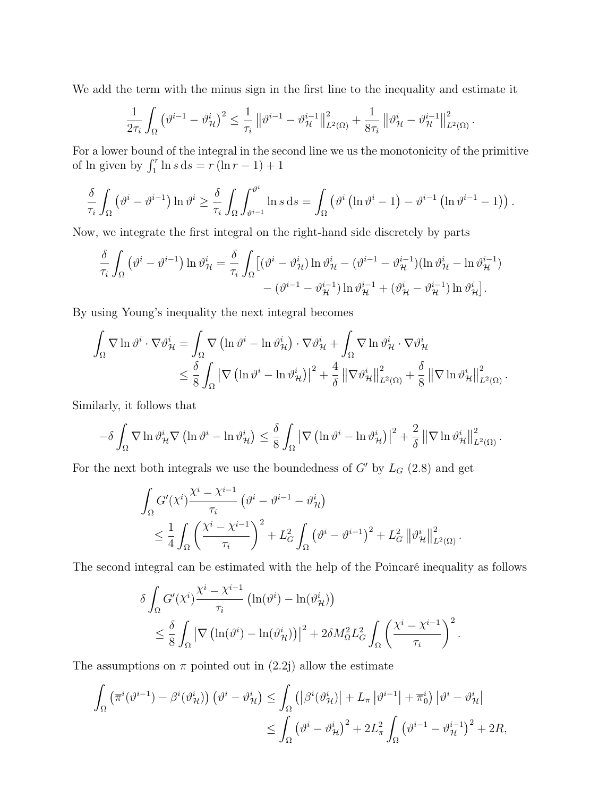We add the term with the minus sign in the first line to the inequality and estimate it

$$
\frac{1}{2\tau_i} \int_{\Omega} \left( \vartheta^{i-1} - \vartheta^i_{\mathcal{H}} \right)^2 \leq \frac{1}{\tau_i} \left\| \vartheta^{i-1} - \vartheta^{i-1}_{\mathcal{H}} \right\|_{L^2(\Omega)}^2 + \frac{1}{8\tau_i} \left\| \vartheta^i_{\mathcal{H}} - \vartheta^{i-1}_{\mathcal{H}} \right\|_{L^2(\Omega)}^2.
$$

For a lower bound of the integral in the second line we us the monotonicity of the primitive of ln given by  $\int_1^r \ln s \, ds = r \left( \ln r - 1 \right) + 1$ 

$$
\frac{\delta}{\tau_i} \int_{\Omega} \left( \vartheta^i - \vartheta^{i-1} \right) \ln \vartheta^i \ge \frac{\delta}{\tau_i} \int_{\Omega} \int_{\vartheta^{i-1}}^{\vartheta^i} \ln s \, ds = \int_{\Omega} \left( \vartheta^i \left( \ln \vartheta^i - 1 \right) - \vartheta^{i-1} \left( \ln \vartheta^{i-1} - 1 \right) \right).
$$

Now, we integrate the first integral on the right-hand side discretely by parts

$$
\frac{\delta}{\tau_i} \int_{\Omega} \left( \vartheta^i - \vartheta^{i-1} \right) \ln \vartheta^i_{\mathcal{H}} = \frac{\delta}{\tau_i} \int_{\Omega} \left[ (\vartheta^i - \vartheta^i_{\mathcal{H}}) \ln \vartheta^i_{\mathcal{H}} - (\vartheta^{i-1} - \vartheta^{i-1}_{\mathcal{H}}) (\ln \vartheta^i_{\mathcal{H}} - \ln \vartheta^{i-1}_{\mathcal{H}}) \right] - (\vartheta^{i-1} - \vartheta^{i-1}_{\mathcal{H}}) \ln \vartheta^i_{\mathcal{H}} + (\vartheta^i_{\mathcal{H}} - \vartheta^{i-1}_{\mathcal{H}}) \ln \vartheta^i_{\mathcal{H}} \right].
$$

By using Young's inequality the next integral becomes

$$
\int_{\Omega} \nabla \ln \vartheta^{i} \cdot \nabla \vartheta^{i}_{\mathcal{H}} = \int_{\Omega} \nabla \left( \ln \vartheta^{i} - \ln \vartheta^{i}_{\mathcal{H}} \right) \cdot \nabla \vartheta^{i}_{\mathcal{H}} + \int_{\Omega} \nabla \ln \vartheta^{i}_{\mathcal{H}} \cdot \nabla \vartheta^{i}_{\mathcal{H}} \n\leq \frac{\delta}{8} \int_{\Omega} \left| \nabla \left( \ln \vartheta^{i} - \ln \vartheta^{i}_{\mathcal{H}} \right) \right|^{2} + \frac{4}{\delta} \left\| \nabla \vartheta^{i}_{\mathcal{H}} \right\|_{L^{2}(\Omega)}^{2} + \frac{\delta}{8} \left\| \nabla \ln \vartheta^{i}_{\mathcal{H}} \right\|_{L^{2}(\Omega)}^{2}.
$$

Similarly, it follows that

$$
-\delta \int_{\Omega} \nabla \ln \vartheta_{\mathcal{H}}^i \nabla \left( \ln \vartheta^i - \ln \vartheta_{\mathcal{H}}^i \right) \leq \frac{\delta}{8} \int_{\Omega} \left| \nabla \left( \ln \vartheta^i - \ln \vartheta_{\mathcal{H}}^i \right) \right|^2 + \frac{2}{\delta} \left\| \nabla \ln \vartheta_{\mathcal{H}}^i \right\|_{L^2(\Omega)}^2.
$$

For the next both integrals we use the boundedness of  $G'$  by  $L_G$  (2.8) and get

$$
\int_{\Omega} G'(x^i) \frac{x^i - x^{i-1}}{\tau_i} \left( \vartheta^i - \vartheta^{i-1} - \vartheta^i_{\mathcal{H}} \right)
$$
\n
$$
\leq \frac{1}{4} \int_{\Omega} \left( \frac{x^i - x^{i-1}}{\tau_i} \right)^2 + L_G^2 \int_{\Omega} \left( \vartheta^i - \vartheta^{i-1} \right)^2 + L_G^2 \left\| \vartheta^i_{\mathcal{H}} \right\|_{L^2(\Omega)}^2.
$$

The second integral can be estimated with the help of the Poincaré inequality as follows

$$
\delta \int_{\Omega} G'(x^i) \frac{\chi^i - \chi^{i-1}}{\tau_i} \left( \ln(\vartheta^i) - \ln(\vartheta^i_{\mathcal{H}}) \right)
$$
  
\$\leq \frac{\delta}{8} \int\_{\Omega} |\nabla \left( \ln(\vartheta^i) - \ln(\vartheta^i\_{\mathcal{H}}) \right)|^2 + 2\delta M\_{\Omega}^2 L\_G^2 \int\_{\Omega} \left( \frac{\chi^i - \chi^{i-1}}{\tau\_i} \right)^2.

The assumptions on  $\pi$  pointed out in (2.2j) allow the estimate

$$
\int_{\Omega} \left( \overline{\pi}^i (\vartheta^{i-1}) - \beta^i (\vartheta^i_{\mathcal{H}}) \right) \left( \vartheta^i - \vartheta^i_{\mathcal{H}} \right) \le \int_{\Omega} \left( \left| \beta^i (\vartheta^i_{\mathcal{H}}) \right| + L_{\pi} \left| \vartheta^{i-1} \right| + \overline{\pi}_0^i \right) \left| \vartheta^i - \vartheta^i_{\mathcal{H}} \right|
$$
  

$$
\le \int_{\Omega} \left( \vartheta^i - \vartheta^i_{\mathcal{H}} \right)^2 + 2L_{\pi}^2 \int_{\Omega} \left( \vartheta^{i-1} - \vartheta^i_{\mathcal{H}} \right)^2 + 2R,
$$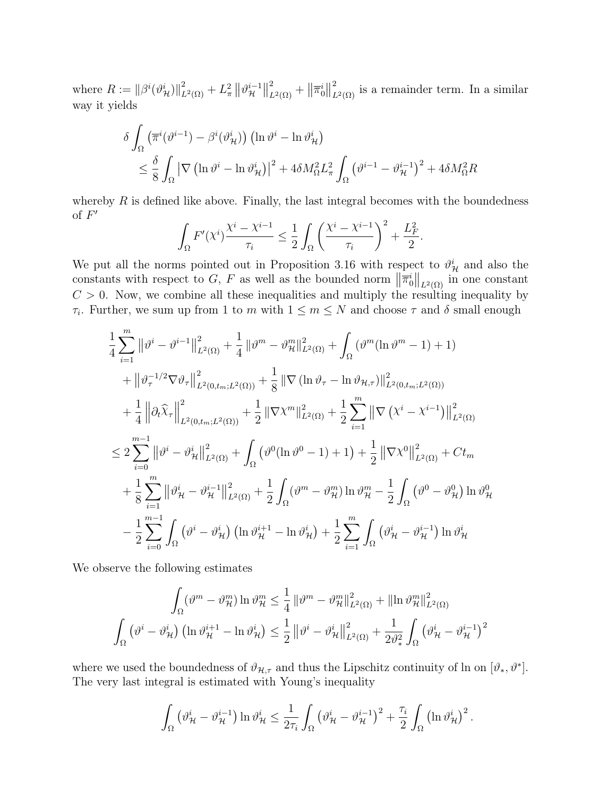where  $R := ||\beta^{i}(\vartheta^{i}_{\mathcal{H}})||_{L^{2}(\Omega)}^{2} + L_{\pi}^{2} ||\vartheta^{i-1}_{\mathcal{H}}$  $\frac{i-1}{\mathcal{H}}$  $\frac{2}{L^2(\Omega)} + ||\overline{\pi}_0^i||$  $\sum_{L^2(\Omega)}^2$  is a remainder term. In a similar way it yields

$$
\delta \int_{\Omega} \left( \overline{\pi}^i (\vartheta^{i-1}) - \beta^i (\vartheta^i_{\mathcal{H}}) \right) \left( \ln \vartheta^i - \ln \vartheta^i_{\mathcal{H}} \right) \n\leq \frac{\delta}{8} \int_{\Omega} \left| \nabla \left( \ln \vartheta^i - \ln \vartheta^i_{\mathcal{H}} \right) \right|^2 + 4 \delta M_{\Omega}^2 L_{\pi}^2 \int_{\Omega} \left( \vartheta^{i-1} - \vartheta^i_{\mathcal{H}} \right)^2 + 4 \delta M_{\Omega}^2 R
$$

whereby  $R$  is defined like above. Finally, the last integral becomes with the boundedness of  $F'$ 

$$
\int_{\Omega} F'(x^i) \frac{\chi^i - \chi^{i-1}}{\tau_i} \le \frac{1}{2} \int_{\Omega} \left( \frac{\chi^i - \chi^{i-1}}{\tau_i} \right)^2 + \frac{L_F^2}{2}.
$$

We put all the norms pointed out in Proposition 3.16 with respect to  $\vartheta^i_{\mathcal{H}}$  and also the constants with respect to G, F as well as the bounded norm  $\|\overline{\pi}_0^i\|_{L^2(\Omega)}$  in one constant  $C > 0$ . Now, we combine all these inequalities and multiply the resulting inequality by  $\tau_i$ . Further, we sum up from 1 to m with  $1 \leq m \leq N$  and choose  $\tau$  and  $\delta$  small enough

$$
\begin{split}\n&\frac{1}{4} \sum_{i=1}^{m} \left\| \vartheta^{i} - \vartheta^{i-1} \right\|_{L^{2}(\Omega)}^{2} + \frac{1}{4} \left\| \vartheta^{m} - \vartheta_{\mathcal{H}}^{m} \right\|_{L^{2}(\Omega)}^{2} + \int_{\Omega} \left( \vartheta^{m} (\ln \vartheta^{m} - 1) + 1 \right) \\
&+ \left\| \vartheta_{\tau}^{-1/2} \nabla \vartheta_{\tau} \right\|_{L^{2}(0,t_{m};L^{2}(\Omega))}^{2} + \frac{1}{8} \left\| \nabla (\ln \vartheta_{\tau} - \ln \vartheta_{\mathcal{H},\tau}) \right\|_{L^{2}(0,t_{m};L^{2}(\Omega))}^{2} \\
&+ \frac{1}{4} \left\| \partial_{t} \widehat{\chi}_{\tau} \right\|_{L^{2}(0,t_{m};L^{2}(\Omega))}^{2} + \frac{1}{2} \left\| \nabla \chi^{m} \right\|_{L^{2}(\Omega)}^{2} + \frac{1}{2} \sum_{i=1}^{m} \left\| \nabla \left( \chi^{i} - \chi^{i-1} \right) \right\|_{L^{2}(\Omega)}^{2} \\
&\leq 2 \sum_{i=0}^{m-1} \left\| \vartheta^{i} - \vartheta_{\mathcal{H}}^{i} \right\|_{L^{2}(\Omega)}^{2} + \int_{\Omega} \left( \vartheta^{0} (\ln \vartheta^{0} - 1) + 1 \right) + \frac{1}{2} \left\| \nabla \chi^{0} \right\|_{L^{2}(\Omega)}^{2} + Ct_{m} \\
&\quad + \frac{1}{8} \sum_{i=1}^{m} \left\| \vartheta_{\mathcal{H}}^{i} - \vartheta_{\mathcal{H}}^{i-1} \right\|_{L^{2}(\Omega)}^{2} + \frac{1}{2} \int_{\Omega} \left( \vartheta^{m} - \vartheta_{\mathcal{H}}^{m} \right) \ln \vartheta_{\mathcal{H}}^{m} - \frac{1}{2} \int_{\Omega} \left( \vartheta^{0} - \vartheta_{\mathcal{H}}^{0} \right) \ln \vartheta_{\mathcal{H}}^{0} \\
&- \frac{1}{2} \sum_{i=0}^{m-1} \int_{\Omega} \left( \vartheta^{i
$$

We observe the following estimates

$$
\int_{\Omega} (\vartheta^m - \vartheta^m_{\mathcal{H}}) \ln \vartheta^m_{\mathcal{H}} \leq \frac{1}{4} ||\vartheta^m - \vartheta^m_{\mathcal{H}}||^2_{L^2(\Omega)} + ||\ln \vartheta^m_{\mathcal{H}}||^2_{L^2(\Omega)}
$$

$$
\int_{\Omega} (\vartheta^i - \vartheta^i_{\mathcal{H}}) \left( \ln \vartheta^i_{\mathcal{H}}^{i+1} - \ln \vartheta^i_{\mathcal{H}} \right) \leq \frac{1}{2} ||\vartheta^i - \vartheta^i_{\mathcal{H}}||^2_{L^2(\Omega)} + \frac{1}{2\vartheta^2_{\ast}} \int_{\Omega} (\vartheta^i_{\mathcal{H}} - \vartheta^i_{\mathcal{H}})^2
$$

where we used the boundedness of  $\vartheta_{\mathcal{H},\tau}$  and thus the Lipschitz continuity of ln on  $[\vartheta_*, \vartheta^*]$ . The very last integral is estimated with Young's inequality

$$
\int_{\Omega} \left( \vartheta_{\mathcal{H}}^{i} - \vartheta_{\mathcal{H}}^{i-1} \right) \ln \vartheta_{\mathcal{H}}^{i} \leq \frac{1}{2\tau_{i}} \int_{\Omega} \left( \vartheta_{\mathcal{H}}^{i} - \vartheta_{\mathcal{H}}^{i-1} \right)^{2} + \frac{\tau_{i}}{2} \int_{\Omega} \left( \ln \vartheta_{\mathcal{H}}^{i} \right)^{2}.
$$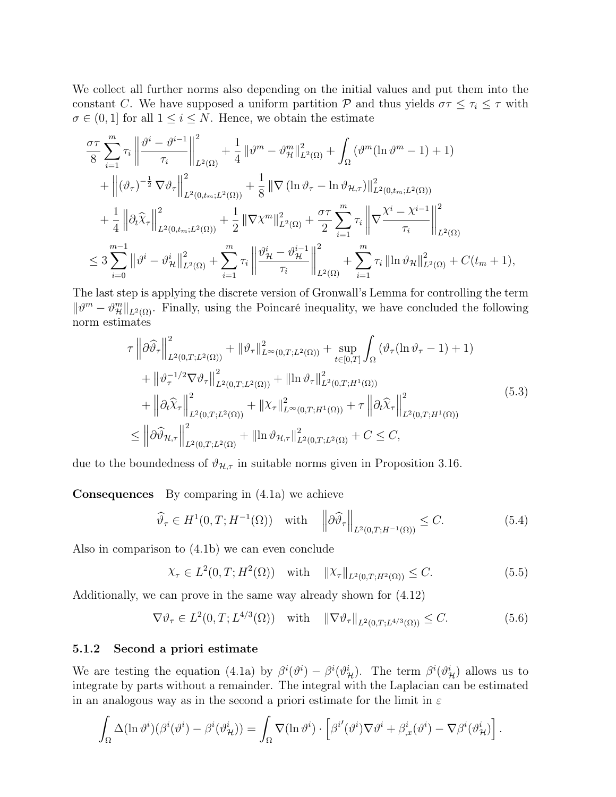We collect all further norms also depending on the initial values and put them into the constant C. We have supposed a uniform partition P and thus yields  $\sigma \tau \leq \tau_i \leq \tau$  with  $\sigma \in (0,1]$  for all  $1 \leq i \leq N$ . Hence, we obtain the estimate

$$
\frac{\sigma\tau}{8} \sum_{i=1}^{m} \tau_{i} \left\| \frac{\partial^{i} - \partial^{i-1}}{\tau_{i}} \right\|_{L^{2}(\Omega)}^{2} + \frac{1}{4} \left\| \partial^{m} - \partial_{\mathcal{H}}^{m} \right\|_{L^{2}(\Omega)}^{2} + \int_{\Omega} \left( \partial^{m} (\ln \partial^{m} - 1) + 1 \right) \n+ \left\| (\partial_{\tau})^{-\frac{1}{2}} \nabla \partial_{\tau} \right\|_{L^{2}(0,t_{m};L^{2}(\Omega))}^{2} + \frac{1}{8} \left\| \nabla (\ln \partial_{\tau} - \ln \partial_{\mathcal{H},\tau}) \right\|_{L^{2}(0,t_{m};L^{2}(\Omega))}^{2} \n+ \frac{1}{4} \left\| \partial_{t} \widehat{\chi}_{\tau} \right\|_{L^{2}(0,t_{m};L^{2}(\Omega))}^{2} + \frac{1}{2} \left\| \nabla \chi^{m} \right\|_{L^{2}(\Omega)}^{2} + \frac{\sigma\tau}{2} \sum_{i=1}^{m} \tau_{i} \left\| \nabla \frac{\chi^{i} - \chi^{i-1}}{\tau_{i}} \right\|_{L^{2}(\Omega)}^{2} \n\leq 3 \sum_{i=0}^{m-1} \left\| \partial^{i} - \partial_{\mathcal{H}}^{i} \right\|_{L^{2}(\Omega)}^{2} + \sum_{i=1}^{m} \tau_{i} \left\| \frac{\partial^{i} \chi_{i} - \partial^{i-1}}{\tau_{i}} \right\|_{L^{2}(\Omega)}^{2} + \sum_{i=1}^{m} \tau_{i} \left\| \ln \partial_{\mathcal{H}} \right\|_{L^{2}(\Omega)}^{2} + C(t_{m} + 1),
$$

The last step is applying the discrete version of Gronwall's Lemma for controlling the term  $\|\vartheta^m - \vartheta^m_{\mathcal{H}}\|_{L^2(\Omega)}$ . Finally, using the Poincaré inequality, we have concluded the following norm estimates

$$
\tau \left\| \partial \widehat{\vartheta}_{\tau} \right\|_{L^{2}(0,T;L^{2}(\Omega))}^{2} + \left\| \vartheta_{\tau} \right\|_{L^{\infty}(0,T;L^{2}(\Omega))}^{2} + \sup_{t \in [0,T]} \int_{\Omega} \left( \vartheta_{\tau} (\ln \vartheta_{\tau} - 1) + 1 \right) \n+ \left\| \vartheta_{\tau}^{-1/2} \nabla \vartheta_{\tau} \right\|_{L^{2}(0,T;L^{2}(\Omega))}^{2} + \left\| \ln \vartheta_{\tau} \right\|_{L^{2}(0,T;H^{1}(\Omega))}^{2} \n+ \left\| \partial_{t} \widehat{\chi}_{\tau} \right\|_{L^{2}(0,T;L^{2}(\Omega))}^{2} + \left\| \chi_{\tau} \right\|_{L^{\infty}(0,T;H^{1}(\Omega))}^{2} + \tau \left\| \partial_{t} \widehat{\chi}_{\tau} \right\|_{L^{2}(0,T;H^{1}(\Omega))}^{2} \n\leq \left\| \partial \widehat{\vartheta}_{\mathcal{H},\tau} \right\|_{L^{2}(0,T;L^{2}(\Omega))}^{2} + \left\| \ln \vartheta_{\mathcal{H},\tau} \right\|_{L^{2}(0,T;L^{2}(\Omega))}^{2} + C \leq C,
$$
\n(5.3)

due to the boundedness of  $\vartheta_{\mathcal{H},\tau}$  in suitable norms given in Proposition 3.16.

Consequences By comparing in (4.1a) we achieve

$$
\widehat{\vartheta}_{\tau} \in H^{1}(0, T; H^{-1}(\Omega)) \quad \text{with} \quad \left\|\partial \widehat{\vartheta}_{\tau}\right\|_{L^{2}(0, T; H^{-1}(\Omega))} \leq C. \tag{5.4}
$$

Also in comparison to (4.1b) we can even conclude

 $\chi_{\tau} \in L^2(0, T; H^2(\Omega))$  with  $\|\chi_{\tau}\|_{L^2(0,T;H^2(\Omega))} \leq C.$  (5.5)

Additionally, we can prove in the same way already shown for (4.12)

$$
\nabla \vartheta_{\tau} \in L^{2}(0, T; L^{4/3}(\Omega)) \quad \text{with} \quad \|\nabla \vartheta_{\tau}\|_{L^{2}(0, T; L^{4/3}(\Omega))} \leq C. \tag{5.6}
$$

#### 5.1.2 Second a priori estimate

We are testing the equation (4.1a) by  $\beta^i(\vartheta^i) - \beta^i(\vartheta^i_{\mathcal{H}})$ . The term  $\beta^i(\vartheta^i_{\mathcal{H}})$  allows us to integrate by parts without a remainder. The integral with the Laplacian can be estimated in an analogous way as in the second a priori estimate for the limit in  $\varepsilon$ 

$$
\int_{\Omega} \Delta(\ln \vartheta^{i})(\beta^{i}(\vartheta^{i}) - \beta^{i}(\vartheta^{i}_{\mathcal{H}})) = \int_{\Omega} \nabla(\ln \vartheta^{i}) \cdot \left[ \beta^{i'}(\vartheta^{i}) \nabla \vartheta^{i} + \beta^{i}_{x}(\vartheta^{i}) - \nabla \beta^{i}(\vartheta^{i}_{\mathcal{H}}) \right].
$$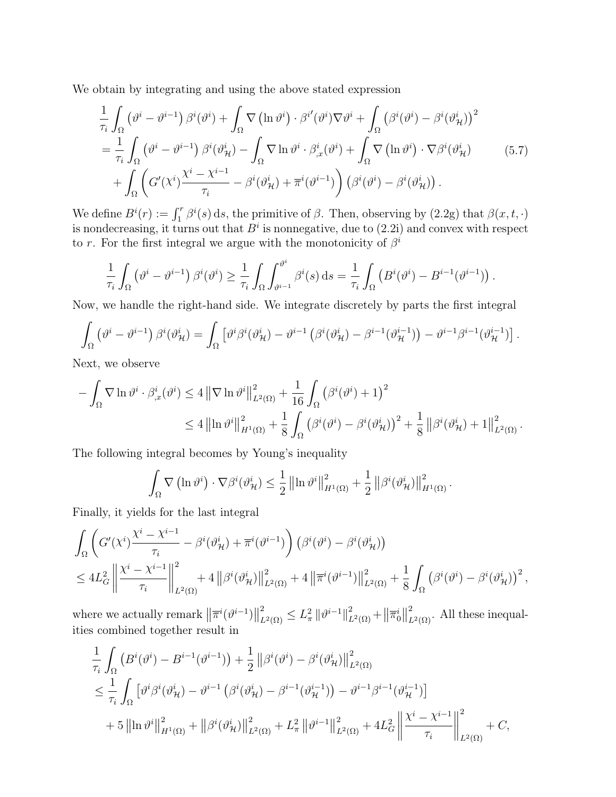We obtain by integrating and using the above stated expression

$$
\frac{1}{\tau_i} \int_{\Omega} \left( \vartheta^i - \vartheta^{i-1} \right) \beta^i (\vartheta^i) + \int_{\Omega} \nabla \left( \ln \vartheta^i \right) \cdot \beta^{i'} (\vartheta^i) \nabla \vartheta^i + \int_{\Omega} \left( \beta^i (\vartheta^i) - \beta^i (\vartheta^i_{\mathcal{H}}) \right)^2 \n= \frac{1}{\tau_i} \int_{\Omega} \left( \vartheta^i - \vartheta^{i-1} \right) \beta^i (\vartheta^i_{\mathcal{H}}) - \int_{\Omega} \nabla \ln \vartheta^i \cdot \beta^i_{,\mathcal{X}} (\vartheta^i) + \int_{\Omega} \nabla \left( \ln \vartheta^i \right) \cdot \nabla \beta^i (\vartheta^i_{\mathcal{H}}) \n+ \int_{\Omega} \left( G'(\chi^i) \frac{\chi^i - \chi^{i-1}}{\tau_i} - \beta^i (\vartheta^i_{\mathcal{H}}) + \overline{\pi}^i (\vartheta^{i-1}) \right) \left( \beta^i (\vartheta^i) - \beta^i (\vartheta^i_{\mathcal{H}}) \right).
$$
\n(5.7)

We define  $B^i(r) := \int_1^r \beta^i(s) \, ds$ , the primitive of  $\beta$ . Then, observing by  $(2.2g)$  that  $\beta(x, t, \cdot)$ is nondecreasing, it turns out that  $B^i$  is nonnegative, due to  $(2.2i)$  and convex with respect to r. For the first integral we argue with the monotonicity of  $\beta^i$ 

$$
\frac{1}{\tau_i} \int_{\Omega} \left( \vartheta^i - \vartheta^{i-1} \right) \beta^i(\vartheta^i) \ge \frac{1}{\tau_i} \int_{\Omega} \int_{\vartheta^{i-1}}^{\vartheta^i} \beta^i(s) \, ds = \frac{1}{\tau_i} \int_{\Omega} \left( B^i(\vartheta^i) - B^{i-1}(\vartheta^{i-1}) \right).
$$

Now, we handle the right-hand side. We integrate discretely by parts the first integral

$$
\int_{\Omega} \left( \vartheta^{i} - \vartheta^{i-1} \right) \beta^{i}(\vartheta_{\mathcal{H}}^{i}) = \int_{\Omega} \left[ \vartheta^{i} \beta^{i}(\vartheta_{\mathcal{H}}^{i}) - \vartheta^{i-1} \left( \beta^{i}(\vartheta_{\mathcal{H}}^{i}) - \beta^{i-1}(\vartheta_{\mathcal{H}}^{i-1}) \right) - \vartheta^{i-1} \beta^{i-1}(\vartheta_{\mathcal{H}}^{i-1}) \right].
$$

Next, we observe

$$
- \int_{\Omega} \nabla \ln \vartheta^{i} \cdot \beta_{,x}^{i}(\vartheta^{i}) \le 4 \left\| \nabla \ln \vartheta^{i} \right\|_{L^{2}(\Omega)}^{2} + \frac{1}{16} \int_{\Omega} (\beta^{i}(\vartheta^{i}) + 1)^{2} \le 4 \left\| \ln \vartheta^{i} \right\|_{H^{1}(\Omega)}^{2} + \frac{1}{8} \int_{\Omega} (\beta^{i}(\vartheta^{i}) - \beta^{i}(\vartheta^{i}_{\mathcal{H}}))^{2} + \frac{1}{8} \left\| \beta^{i}(\vartheta^{i}_{\mathcal{H}}) + 1 \right\|_{L^{2}(\Omega)}^{2}.
$$

The following integral becomes by Young's inequality

$$
\int_{\Omega} \nabla \left( \ln \vartheta^{i} \right) \cdot \nabla \beta^{i} (\vartheta^{i}_{\mathcal{H}}) \leq \frac{1}{2} \left\| \ln \vartheta^{i} \right\|_{H^{1}(\Omega)}^{2} + \frac{1}{2} \left\| \beta^{i} (\vartheta^{i}_{\mathcal{H}}) \right\|_{H^{1}(\Omega)}^{2}.
$$

Finally, it yields for the last integral

$$
\int_{\Omega} \left( G'(\chi^{i}) \frac{\chi^{i} - \chi^{i-1}}{\tau_{i}} - \beta^{i}(\vartheta^{i}_{\mathcal{H}}) + \overline{\pi}^{i}(\vartheta^{i-1}) \right) (\beta^{i}(\vartheta^{i}) - \beta^{i}(\vartheta^{i}_{\mathcal{H}}))
$$
\n
$$
\leq 4L_{G}^{2} \left\| \frac{\chi^{i} - \chi^{i-1}}{\tau_{i}} \right\|_{L^{2}(\Omega)}^{2} + 4 \left\| \beta^{i}(\vartheta^{i}_{\mathcal{H}}) \right\|_{L^{2}(\Omega)}^{2} + 4 \left\| \overline{\pi}^{i}(\vartheta^{i-1}) \right\|_{L^{2}(\Omega)}^{2} + \frac{1}{8} \int_{\Omega} (\beta^{i}(\vartheta^{i}) - \beta^{i}(\vartheta^{i}_{\mathcal{H}}))^{2},
$$

where we actually remark  $\left\|\overline{\pi}^{i}(\vartheta^{i-1})\right\|$  $\frac{2}{L^2(\Omega)} \leq L_\pi^2 \|\vartheta^{i-1}\|_{L^2(\Omega)}^2 + \|\overline{\pi}_0^i\|$  $L^2(\Omega)$ . All these inequalities combined together result in

$$
\frac{1}{\tau_{i}} \int_{\Omega} \left( B^{i}(\vartheta^{i}) - B^{i-1}(\vartheta^{i-1}) \right) + \frac{1}{2} \left\| \beta^{i}(\vartheta^{i}) - \beta^{i}(\vartheta_{\mathcal{H}}^{i}) \right\|_{L^{2}(\Omega)}^{2}
$$
\n
$$
\leq \frac{1}{\tau_{i}} \int_{\Omega} \left[ \vartheta^{i} \beta^{i}(\vartheta_{\mathcal{H}}^{i}) - \vartheta^{i-1} \left( \beta^{i}(\vartheta_{\mathcal{H}}^{i}) - \beta^{i-1}(\vartheta_{\mathcal{H}}^{i-1}) \right) - \vartheta^{i-1} \beta^{i-1}(\vartheta_{\mathcal{H}}^{i-1}) \right]
$$
\n
$$
+ 5 \left\| \left\| \mathbf{n} \vartheta^{i} \right\|_{H^{1}(\Omega)}^{2} + \left\| \beta^{i}(\vartheta_{\mathcal{H}}^{i}) \right\|_{L^{2}(\Omega)}^{2} + L_{\pi}^{2} \left\| \vartheta^{i-1} \right\|_{L^{2}(\Omega)}^{2} + 4L_{G}^{2} \left\| \frac{\chi^{i} - \chi^{i-1}}{\tau_{i}} \right\|_{L^{2}(\Omega)}^{2} + C,
$$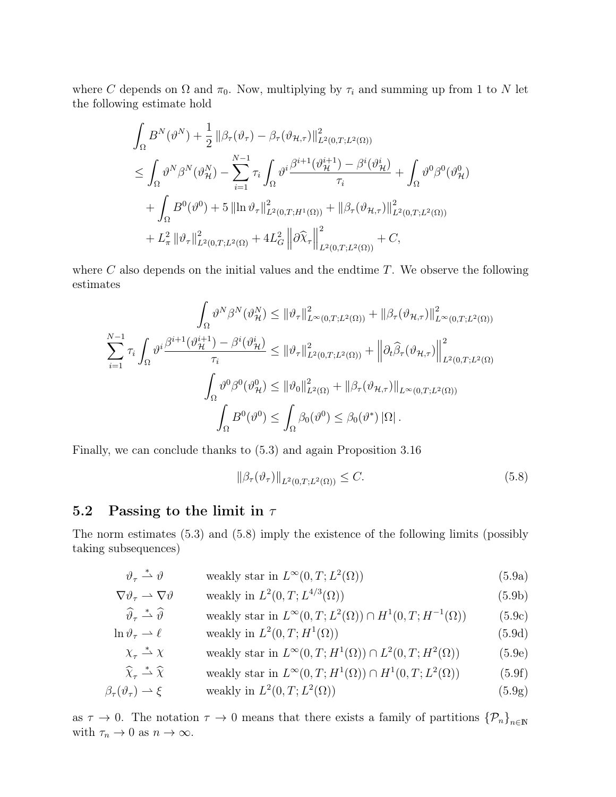where C depends on  $\Omega$  and  $\pi_0$ . Now, multiplying by  $\tau_i$  and summing up from 1 to N let the following estimate hold

$$
\int_{\Omega} B^{N}(\vartheta^{N}) + \frac{1}{2} ||\beta_{\tau}(\vartheta_{\tau}) - \beta_{\tau}(\vartheta_{\mathcal{H},\tau})||_{L^{2}(0,T;L^{2}(\Omega))}^{2}
$$
\n
$$
\leq \int_{\Omega} \vartheta^{N} \beta^{N}(\vartheta_{\mathcal{H}}^{N}) - \sum_{i=1}^{N-1} \tau_{i} \int_{\Omega} \vartheta^{i} \frac{\beta^{i+1}(\vartheta_{\mathcal{H}}^{i+1}) - \beta^{i}(\vartheta_{\mathcal{H}}^{i})}{\tau_{i}} + \int_{\Omega} \vartheta^{0} \beta^{0}(\vartheta_{\mathcal{H}}^{0})
$$
\n
$$
+ \int_{\Omega} B^{0}(\vartheta^{0}) + 5 ||\ln \vartheta_{\tau}||_{L^{2}(0,T;H^{1}(\Omega))}^{2} + ||\beta_{\tau}(\vartheta_{\mathcal{H},\tau})||_{L^{2}(0,T;L^{2}(\Omega))}^{2}
$$
\n
$$
+ L_{\pi}^{2} ||\vartheta_{\tau}||_{L^{2}(0,T;L^{2}(\Omega)}^{2} + 4L_{G}^{2} ||\partial \widehat{X}_{\tau}||_{L^{2}(0,T;L^{2}(\Omega))}^{2} + C,
$$

where  $C$  also depends on the initial values and the endtime  $T$ . We observe the following estimates

$$
\int_{\Omega} \vartheta^{N} \beta^{N} (\vartheta_{\mathcal{H}}^{N}) \leq \|\vartheta_{\tau}\|_{L^{\infty}(0,T;L^{2}(\Omega))}^{2} + \|\beta_{\tau}(\vartheta_{\mathcal{H},\tau})\|_{L^{\infty}(0,T;L^{2}(\Omega))}^{2}
$$

$$
\sum_{i=1}^{N-1} \tau_{i} \int_{\Omega} \vartheta^{i} \frac{\beta^{i+1} (\vartheta_{\mathcal{H}}^{i+1}) - \beta^{i} (\vartheta_{\mathcal{H}}^{i})}{\tau_{i}} \leq \|\vartheta_{\tau}\|_{L^{2}(0,T;L^{2}(\Omega))}^{2} + \left\|\partial_{t}\widehat{\beta}_{\tau}(\vartheta_{\mathcal{H},\tau})\right\|_{L^{2}(0,T;L^{2}(\Omega))}^{2}
$$

$$
\int_{\Omega} \vartheta^{0} \beta^{0} (\vartheta_{\mathcal{H}}^{0}) \leq \|\vartheta_{0}\|_{L^{2}(\Omega)}^{2} + \|\beta_{\tau}(\vartheta_{\mathcal{H},\tau})\|_{L^{\infty}(0,T;L^{2}(\Omega))}
$$

$$
\int_{\Omega} B^{0} (\vartheta^{0}) \leq \int_{\Omega} \beta_{0} (\vartheta^{0}) \leq \beta_{0} (\vartheta^{*}) \|\Omega\|.
$$

Finally, we can conclude thanks to (5.3) and again Proposition 3.16

$$
\|\beta_\tau(\vartheta_\tau)\|_{L^2(0,T;L^2(\Omega))} \le C. \tag{5.8}
$$

### 5.2 Passing to the limit in  $\tau$

The norm estimates (5.3) and (5.8) imply the existence of the following limits (possibly taking subsequences)

$$
\vartheta_{\tau} \stackrel{*}{\rightharpoonup} \vartheta \qquad \qquad \text{weakly star in } L^{\infty}(0, T; L^{2}(\Omega)) \tag{5.9a}
$$

$$
\nabla \vartheta_{\tau} \rightharpoonup \nabla \vartheta \qquad \text{ weakly in } L^{2}(0, T; L^{4/3}(\Omega)) \tag{5.9b}
$$

$$
\widehat{\vartheta}_{\tau} \stackrel{*}{\rightharpoonup} \widehat{\vartheta} \qquad \text{ weakly star in } L^{\infty}(0, T; L^{2}(\Omega)) \cap H^{1}(0, T; H^{-1}(\Omega)) \tag{5.9c}
$$

$$
\ln \vartheta_{\tau} \rightharpoonup \ell \qquad \text{ weakly in } L^{2}(0, T; H^{1}(\Omega)) \tag{5.9d}
$$

$$
\chi_{\tau} \stackrel{*}{\rightharpoonup} \chi \qquad \text{ weakly star in } L^{\infty}(0, T; H^{1}(\Omega)) \cap L^{2}(0, T; H^{2}(\Omega)) \tag{5.9e}
$$

 $\widehat{\chi}_{\tau} \stackrel{*}{\rightharpoonup} \widehat{\chi}$  $\stackrel{*}{\longrightarrow} \widehat{X}$  weakly star in  $L^{\infty}(0, T; H^1(\Omega)) \cap H^1(0, T; L^2)$  $(5.9f)$ 

$$
\beta_{\tau}(\vartheta_{\tau}) \rightharpoonup \xi \qquad \text{ weakly in } L^{2}(0, T; L^{2}(\Omega)) \tag{5.9g}
$$

as  $\tau \to 0$ . The notation  $\tau \to 0$  means that there exists a family of partitions  $\{\mathcal{P}_n\}_{n\in\mathbb{N}}$ with  $\tau_n \to 0$  as  $n \to \infty$ .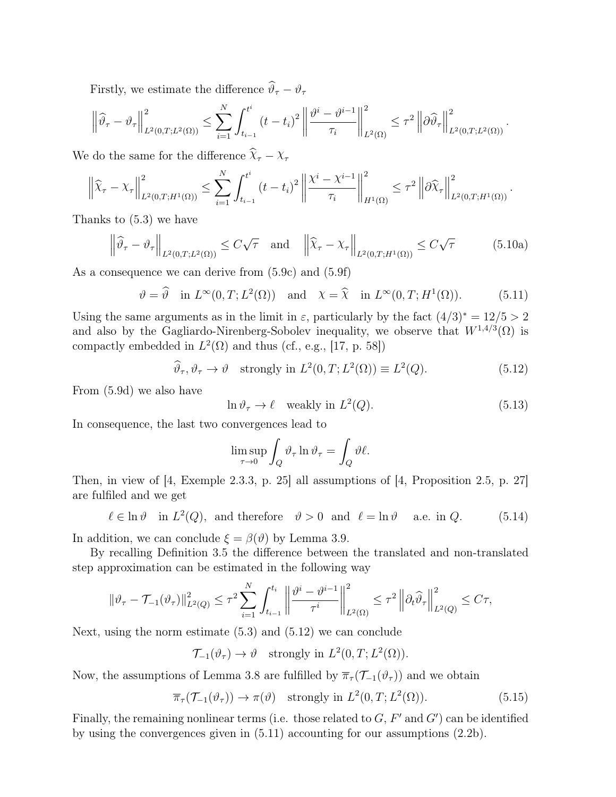Firstly, we estimate the difference  $\widehat\vartheta_\tau - \vartheta_\tau$ 

$$
\left\|\widehat{\vartheta}_{\tau}-\vartheta_{\tau}\right\|_{L^{2}(0,T;L^{2}(\Omega))}^{2}\leq\sum_{i=1}^{N}\int_{t_{i-1}}^{t^{i}}\left(t-t_{i}\right)^{2}\left\|\frac{\vartheta^{i}-\vartheta^{i-1}}{\tau_{i}}\right\|_{L^{2}(\Omega)}^{2}\leq\tau^{2}\left\|\widehat{\vartheta}\widehat{\vartheta}_{\tau}\right\|_{L^{2}(0,T;L^{2}(\Omega))}^{2}.
$$

We do the same for the difference  $\widehat{\chi}_{\tau} - \chi_{\tau}$ 

$$
\left\|\widehat{\chi}_{\tau}-\chi_{\tau}\right\|_{L^{2}(0,T;H^{1}(\Omega))}^{2}\leq \sum_{i=1}^{N}\int_{t_{i-1}}^{t^{i}}\left(t-t_{i}\right)^{2}\left\|\frac{\chi^{i}-\chi^{i-1}}{\tau_{i}}\right\|_{H^{1}(\Omega)}^{2}\leq \tau^{2}\left\|\partial\widehat{\chi}_{\tau}\right\|_{L^{2}(0,T;H^{1}(\Omega))}^{2}.
$$

Thanks to (5.3) we have

$$
\left\|\widehat{\vartheta}_{\tau} - \vartheta_{\tau}\right\|_{L^{2}(0,T;L^{2}(\Omega))} \leq C\sqrt{\tau} \quad \text{and} \quad \left\|\widehat{\chi}_{\tau} - \chi_{\tau}\right\|_{L^{2}(0,T;H^{1}(\Omega))} \leq C\sqrt{\tau}
$$
(5.10a)

As a consequence we can derive from (5.9c) and (5.9f)

$$
\vartheta = \widehat{\vartheta} \quad \text{in } L^{\infty}(0, T; L^{2}(\Omega)) \quad \text{and} \quad \chi = \widehat{\chi} \quad \text{in } L^{\infty}(0, T; H^{1}(\Omega)). \tag{5.11}
$$

Using the same arguments as in the limit in  $\varepsilon$ , particularly by the fact  $(4/3)^* = 12/5 > 2$ and also by the Gagliardo-Nirenberg-Sobolev inequality, we observe that  $W^{1,4/3}(\Omega)$  is compactly embedded in  $L^2(\Omega)$  and thus (cf., e.g., [17, p. 58])

$$
\widehat{\vartheta}_{\tau}, \vartheta_{\tau} \to \vartheta \quad \text{strongly in } L^{2}(0, T; L^{2}(\Omega)) \equiv L^{2}(Q). \tag{5.12}
$$

From (5.9d) we also have

$$
\ln \vartheta_{\tau} \to \ell \quad \text{weakly in } L^2(Q). \tag{5.13}
$$

In consequence, the last two convergences lead to

$$
\limsup_{\tau \to 0} \int_Q \vartheta_\tau \ln \vartheta_\tau = \int_Q \vartheta \ell.
$$

Then, in view of [4, Exemple 2.3.3, p. 25] all assumptions of [4, Proposition 2.5, p. 27] are fulfiled and we get

 $\ell \in \ln \vartheta$  in  $L^2(Q)$ , and therefore  $\vartheta > 0$  and  $\ell = \ln \vartheta$  a.e. in Q. (5.14)

In addition, we can conclude  $\xi = \beta(\vartheta)$  by Lemma 3.9.

By recalling Definition 3.5 the difference between the translated and non-translated step approximation can be estimated in the following way

$$
\|\vartheta_{\tau}-\mathcal{T}_{-1}(\vartheta_{\tau})\|_{L^{2}(Q)}^{2} \leq \tau^{2} \sum_{i=1}^{N} \int_{t_{i-1}}^{t_{i}} \left\|\frac{\vartheta^{i}-\vartheta^{i-1}}{\tau^{i}}\right\|_{L^{2}(\Omega)}^{2} \leq \tau^{2} \left\|\partial_{t}\widehat{\vartheta}_{\tau}\right\|_{L^{2}(Q)}^{2} \leq C\tau,
$$

Next, using the norm estimate (5.3) and (5.12) we can conclude

$$
\mathcal{T}_{-1}(\vartheta_{\tau}) \to \vartheta \quad \text{strongly in } L^2(0,T; L^2(\Omega)).
$$

Now, the assumptions of Lemma 3.8 are fulfilled by  $\overline{\pi}_{\tau}(\mathcal{T}_{-1}(\vartheta_{\tau}))$  and we obtain

$$
\overline{\pi}_{\tau}(\mathcal{T}_{-1}(\vartheta_{\tau})) \to \pi(\vartheta) \quad \text{strongly in } L^{2}(0,T; L^{2}(\Omega)). \tag{5.15}
$$

Finally, the remaining nonlinear terms (i.e. those related to  $G, F'$  and  $G'$ ) can be identified by using the convergences given in (5.11) accounting for our assumptions (2.2b).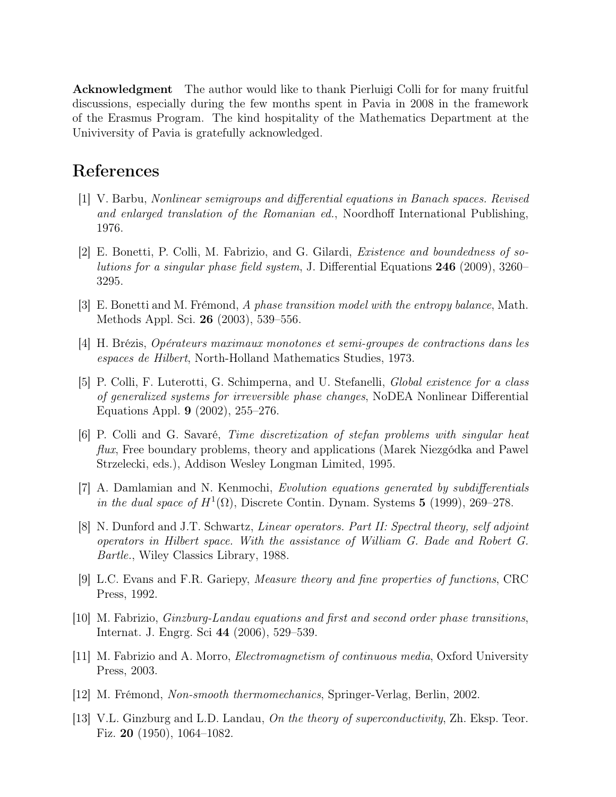Acknowledgment The author would like to thank Pierluigi Colli for for many fruitful discussions, especially during the few months spent in Pavia in 2008 in the framework of the Erasmus Program. The kind hospitality of the Mathematics Department at the Univiversity of Pavia is gratefully acknowledged.

# References

- [1] V. Barbu, Nonlinear semigroups and differential equations in Banach spaces. Revised and enlarged translation of the Romanian ed., Noordhoff International Publishing, 1976.
- [2] E. Bonetti, P. Colli, M. Fabrizio, and G. Gilardi, Existence and boundedness of solutions for a singular phase field system, J. Differential Equations 246 (2009), 3260– 3295.
- [3] E. Bonetti and M. Frémond, A phase transition model with the entropy balance, Math. Methods Appl. Sci. 26 (2003), 539–556.
- [4] H. Brézis, Opérateurs maximaux monotones et semi-groupes de contractions dans les espaces de Hilbert, North-Holland Mathematics Studies, 1973.
- [5] P. Colli, F. Luterotti, G. Schimperna, and U. Stefanelli, Global existence for a class of generalized systems for irreversible phase changes, NoDEA Nonlinear Differential Equations Appl. 9 (2002), 255–276.
- [6] P. Colli and G. Savaré, Time discretization of stefan problems with singular heat flux, Free boundary problems, theory and applications (Marek Niezgódka and Pawel Strzelecki, eds.), Addison Wesley Longman Limited, 1995.
- [7] A. Damlamian and N. Kenmochi, Evolution equations generated by subdifferentials in the dual space of  $H^1(\Omega)$ , Discrete Contin. Dynam. Systems 5 (1999), 269–278.
- [8] N. Dunford and J.T. Schwartz, Linear operators. Part II: Spectral theory, self adjoint operators in Hilbert space. With the assistance of William G. Bade and Robert G. Bartle., Wiley Classics Library, 1988.
- [9] L.C. Evans and F.R. Gariepy, Measure theory and fine properties of functions, CRC Press, 1992.
- [10] M. Fabrizio, Ginzburg-Landau equations and first and second order phase transitions, Internat. J. Engrg. Sci 44 (2006), 529–539.
- [11] M. Fabrizio and A. Morro, Electromagnetism of continuous media, Oxford University Press, 2003.
- [12] M. Frémond, Non-smooth thermomechanics, Springer-Verlag, Berlin, 2002.
- [13] V.L. Ginzburg and L.D. Landau, On the theory of superconductivity, Zh. Eksp. Teor. Fiz. 20 (1950), 1064–1082.